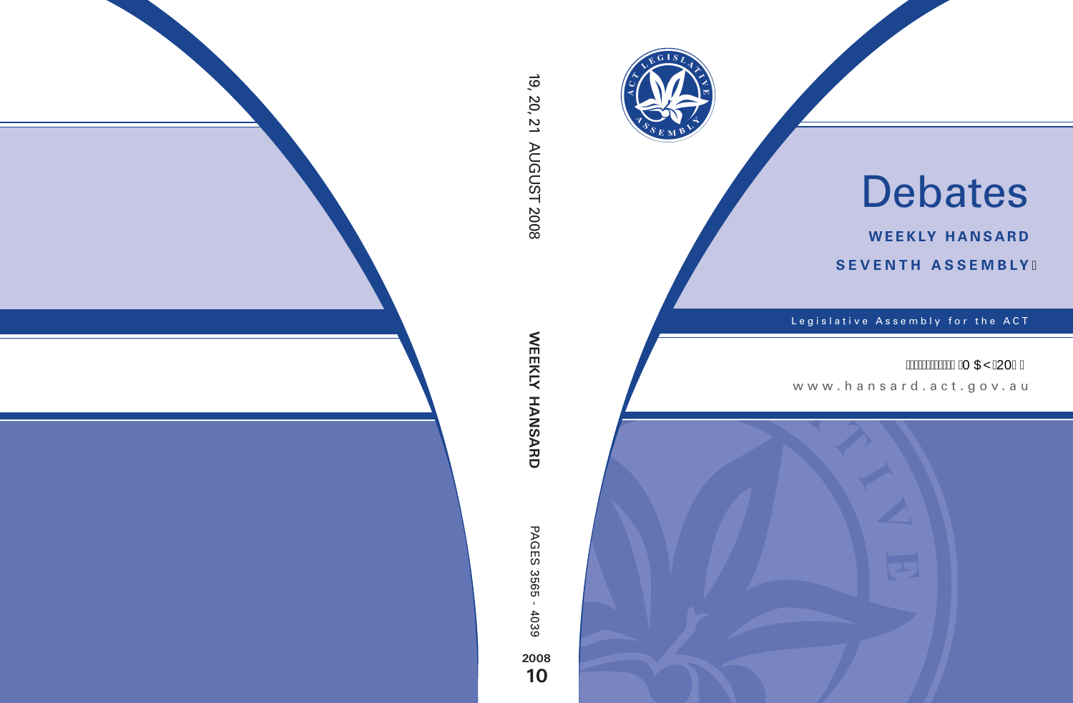

# Debates

**weekly hansard seventh asseMBly**

Legislative Assembly for the ACT

# **Á NO DE LA DE LA DE LA DE LA DE LE LA DE LE LA DE LE LA DE LE LA DE LE LA DE LE LA DE LE LA DE LA DE LA DE LE**

www .hansard.act.gov.au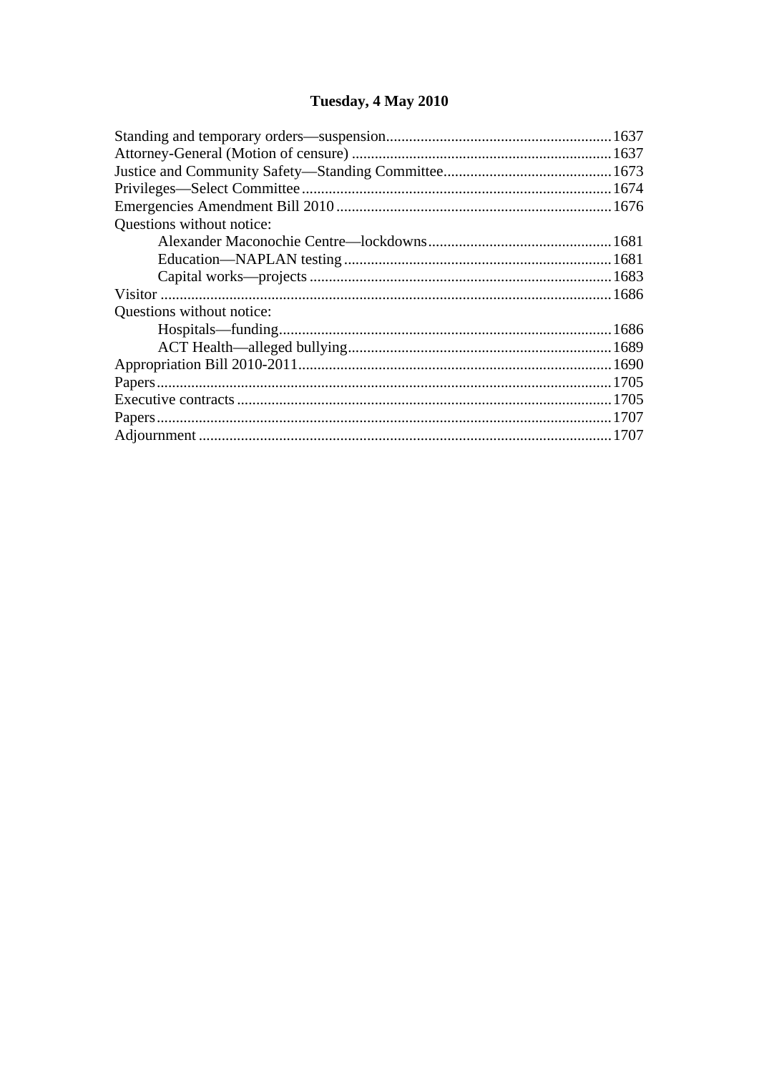# Tuesday, 4 May 2010

| Questions without notice: |  |
|---------------------------|--|
|                           |  |
|                           |  |
|                           |  |
|                           |  |
| Questions without notice: |  |
|                           |  |
|                           |  |
|                           |  |
|                           |  |
|                           |  |
|                           |  |
|                           |  |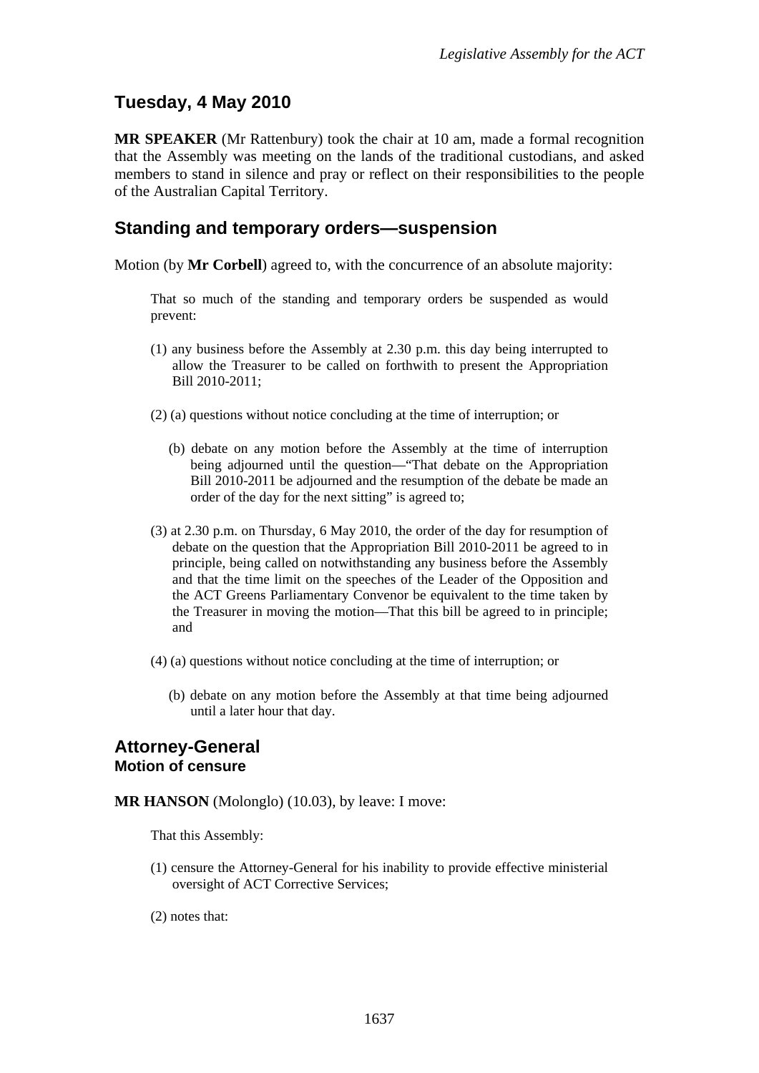# <span id="page-2-0"></span>**Tuesday, 4 May 2010**

**MR SPEAKER** (Mr Rattenbury) took the chair at 10 am, made a formal recognition that the Assembly was meeting on the lands of the traditional custodians, and asked members to stand in silence and pray or reflect on their responsibilities to the people of the Australian Capital Territory.

## <span id="page-2-1"></span>**Standing and temporary orders—suspension**

Motion (by **Mr Corbell**) agreed to, with the concurrence of an absolute majority:

That so much of the standing and temporary orders be suspended as would prevent:

- (1) any business before the Assembly at 2.30 p.m. this day being interrupted to allow the Treasurer to be called on forthwith to present the Appropriation Bill 2010-2011;
- (2) (a) questions without notice concluding at the time of interruption; or
	- (b) debate on any motion before the Assembly at the time of interruption being adjourned until the question—"That debate on the Appropriation Bill 2010-2011 be adjourned and the resumption of the debate be made an order of the day for the next sitting" is agreed to;
- (3) at 2.30 p.m. on Thursday, 6 May 2010, the order of the day for resumption of debate on the question that the Appropriation Bill 2010-2011 be agreed to in principle, being called on notwithstanding any business before the Assembly and that the time limit on the speeches of the Leader of the Opposition and the ACT Greens Parliamentary Convenor be equivalent to the time taken by the Treasurer in moving the motion—That this bill be agreed to in principle; and
- (4) (a) questions without notice concluding at the time of interruption; or
	- (b) debate on any motion before the Assembly at that time being adjourned until a later hour that day.

## <span id="page-2-2"></span>**Attorney-General Motion of censure**

**MR HANSON** (Molonglo) (10.03), by leave: I move:

That this Assembly:

- (1) censure the Attorney-General for his inability to provide effective ministerial oversight of ACT Corrective Services;
- (2) notes that: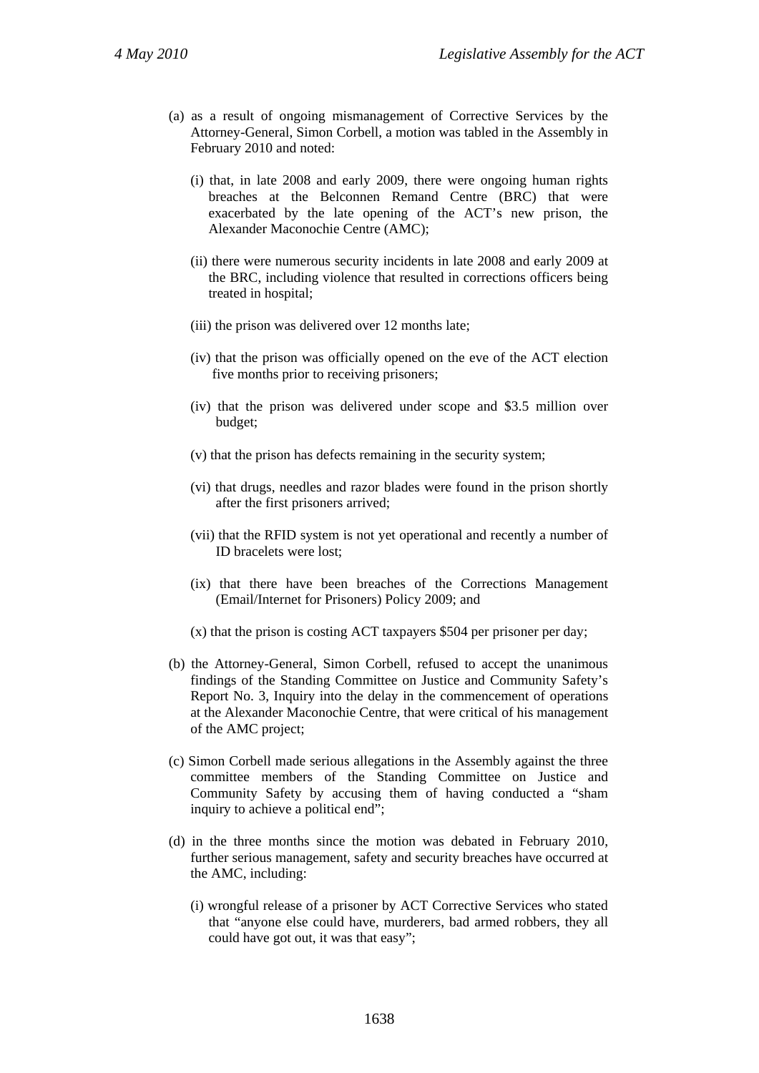- (a) as a result of ongoing mismanagement of Corrective Services by the Attorney-General, Simon Corbell, a motion was tabled in the Assembly in February 2010 and noted:
	- (i) that, in late 2008 and early 2009, there were ongoing human rights breaches at the Belconnen Remand Centre (BRC) that were exacerbated by the late opening of the ACT's new prison, the Alexander Maconochie Centre (AMC);
	- (ii) there were numerous security incidents in late 2008 and early 2009 at the BRC, including violence that resulted in corrections officers being treated in hospital;
	- (iii) the prison was delivered over 12 months late;
	- (iv) that the prison was officially opened on the eve of the ACT election five months prior to receiving prisoners;
	- (iv) that the prison was delivered under scope and \$3.5 million over budget;
	- (v) that the prison has defects remaining in the security system;
	- (vi) that drugs, needles and razor blades were found in the prison shortly after the first prisoners arrived;
	- (vii) that the RFID system is not yet operational and recently a number of ID bracelets were lost;
	- (ix) that there have been breaches of the Corrections Management (Email/Internet for Prisoners) Policy 2009; and
	- (x) that the prison is costing ACT taxpayers \$504 per prisoner per day;
- (b) the Attorney-General, Simon Corbell, refused to accept the unanimous findings of the Standing Committee on Justice and Community Safety's Report No. 3, Inquiry into the delay in the commencement of operations at the Alexander Maconochie Centre, that were critical of his management of the AMC project;
- (c) Simon Corbell made serious allegations in the Assembly against the three committee members of the Standing Committee on Justice and Community Safety by accusing them of having conducted a "sham inquiry to achieve a political end";
- (d) in the three months since the motion was debated in February 2010, further serious management, safety and security breaches have occurred at the AMC, including:
	- (i) wrongful release of a prisoner by ACT Corrective Services who stated that "anyone else could have, murderers, bad armed robbers, they all could have got out, it was that easy";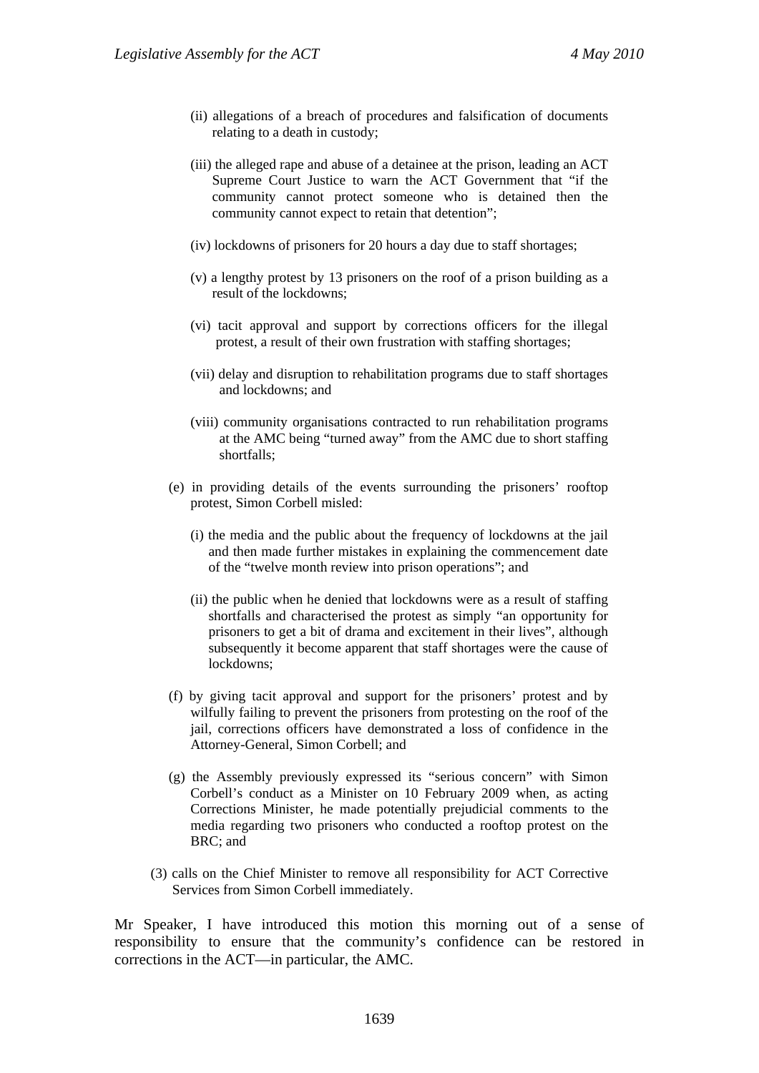- (ii) allegations of a breach of procedures and falsification of documents relating to a death in custody;
- (iii) the alleged rape and abuse of a detainee at the prison, leading an ACT Supreme Court Justice to warn the ACT Government that "if the community cannot protect someone who is detained then the community cannot expect to retain that detention";
- (iv) lockdowns of prisoners for 20 hours a day due to staff shortages;
- (v) a lengthy protest by 13 prisoners on the roof of a prison building as a result of the lockdowns;
- (vi) tacit approval and support by corrections officers for the illegal protest, a result of their own frustration with staffing shortages;
- (vii) delay and disruption to rehabilitation programs due to staff shortages and lockdowns; and
- (viii) community organisations contracted to run rehabilitation programs at the AMC being "turned away" from the AMC due to short staffing shortfalls;
- (e) in providing details of the events surrounding the prisoners' rooftop protest, Simon Corbell misled:
	- (i) the media and the public about the frequency of lockdowns at the jail and then made further mistakes in explaining the commencement date of the "twelve month review into prison operations"; and
	- (ii) the public when he denied that lockdowns were as a result of staffing shortfalls and characterised the protest as simply "an opportunity for prisoners to get a bit of drama and excitement in their lives", although subsequently it become apparent that staff shortages were the cause of lockdowns;
- (f) by giving tacit approval and support for the prisoners' protest and by wilfully failing to prevent the prisoners from protesting on the roof of the jail, corrections officers have demonstrated a loss of confidence in the Attorney-General, Simon Corbell; and
- (g) the Assembly previously expressed its "serious concern" with Simon Corbell's conduct as a Minister on 10 February 2009 when, as acting Corrections Minister, he made potentially prejudicial comments to the media regarding two prisoners who conducted a rooftop protest on the BRC; and
- (3) calls on the Chief Minister to remove all responsibility for ACT Corrective Services from Simon Corbell immediately.

Mr Speaker, I have introduced this motion this morning out of a sense of responsibility to ensure that the community's confidence can be restored in corrections in the ACT—in particular, the AMC.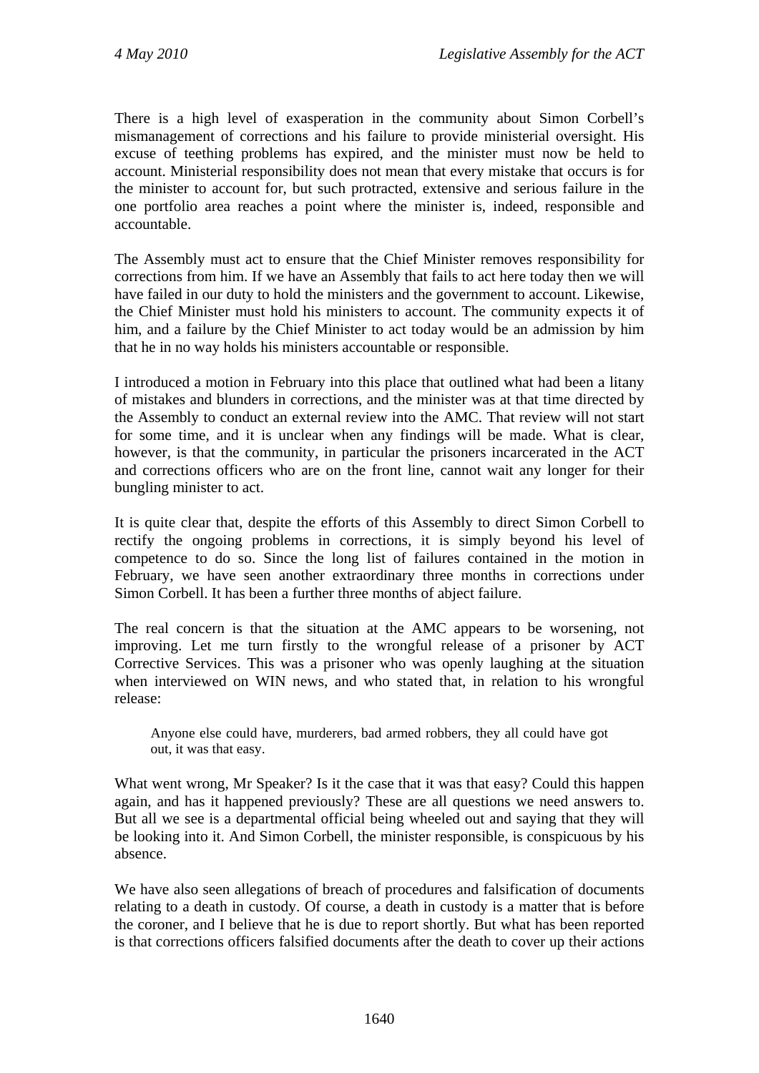There is a high level of exasperation in the community about Simon Corbell's mismanagement of corrections and his failure to provide ministerial oversight. His excuse of teething problems has expired, and the minister must now be held to account. Ministerial responsibility does not mean that every mistake that occurs is for the minister to account for, but such protracted, extensive and serious failure in the one portfolio area reaches a point where the minister is, indeed, responsible and accountable.

The Assembly must act to ensure that the Chief Minister removes responsibility for corrections from him. If we have an Assembly that fails to act here today then we will have failed in our duty to hold the ministers and the government to account. Likewise, the Chief Minister must hold his ministers to account. The community expects it of him, and a failure by the Chief Minister to act today would be an admission by him that he in no way holds his ministers accountable or responsible.

I introduced a motion in February into this place that outlined what had been a litany of mistakes and blunders in corrections, and the minister was at that time directed by the Assembly to conduct an external review into the AMC. That review will not start for some time, and it is unclear when any findings will be made. What is clear, however, is that the community, in particular the prisoners incarcerated in the ACT and corrections officers who are on the front line, cannot wait any longer for their bungling minister to act.

It is quite clear that, despite the efforts of this Assembly to direct Simon Corbell to rectify the ongoing problems in corrections, it is simply beyond his level of competence to do so. Since the long list of failures contained in the motion in February, we have seen another extraordinary three months in corrections under Simon Corbell. It has been a further three months of abject failure.

The real concern is that the situation at the AMC appears to be worsening, not improving. Let me turn firstly to the wrongful release of a prisoner by ACT Corrective Services. This was a prisoner who was openly laughing at the situation when interviewed on WIN news, and who stated that, in relation to his wrongful release:

Anyone else could have, murderers, bad armed robbers, they all could have got out, it was that easy.

What went wrong, Mr Speaker? Is it the case that it was that easy? Could this happen again, and has it happened previously? These are all questions we need answers to. But all we see is a departmental official being wheeled out and saying that they will be looking into it. And Simon Corbell, the minister responsible, is conspicuous by his absence.

We have also seen allegations of breach of procedures and falsification of documents relating to a death in custody. Of course, a death in custody is a matter that is before the coroner, and I believe that he is due to report shortly. But what has been reported is that corrections officers falsified documents after the death to cover up their actions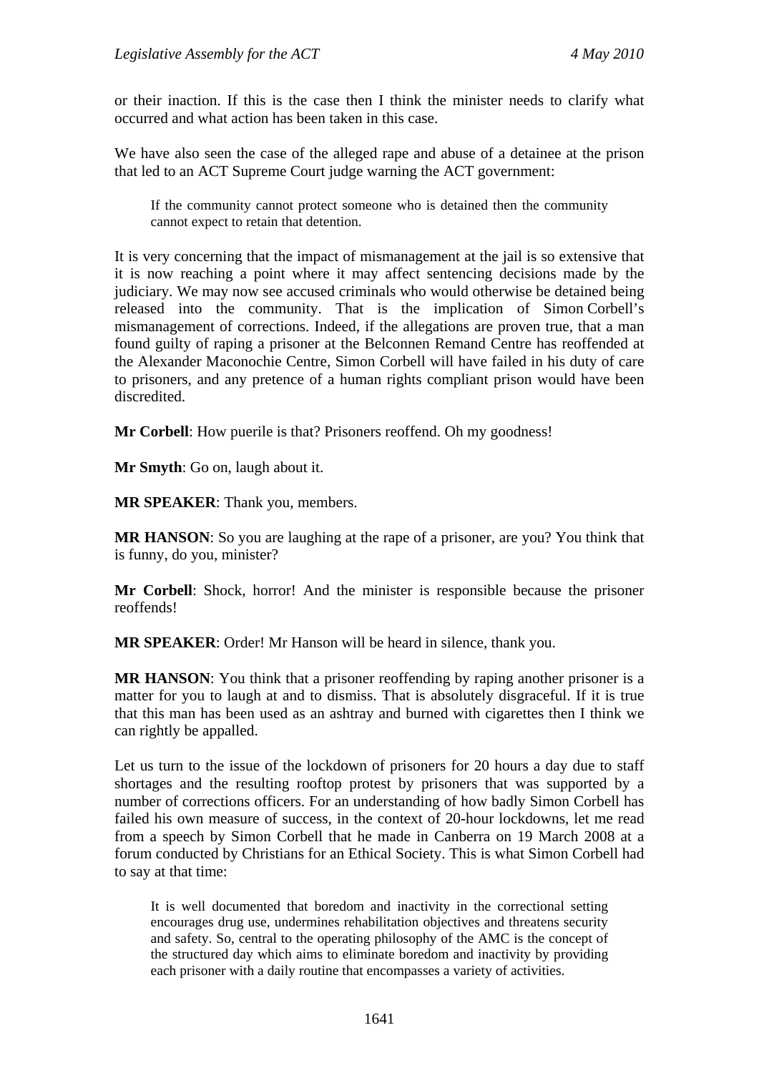or their inaction. If this is the case then I think the minister needs to clarify what occurred and what action has been taken in this case.

We have also seen the case of the alleged rape and abuse of a detainee at the prison that led to an ACT Supreme Court judge warning the ACT government:

If the community cannot protect someone who is detained then the community cannot expect to retain that detention.

It is very concerning that the impact of mismanagement at the jail is so extensive that it is now reaching a point where it may affect sentencing decisions made by the judiciary. We may now see accused criminals who would otherwise be detained being released into the community. That is the implication of Simon Corbell's mismanagement of corrections. Indeed, if the allegations are proven true, that a man found guilty of raping a prisoner at the Belconnen Remand Centre has reoffended at the Alexander Maconochie Centre, Simon Corbell will have failed in his duty of care to prisoners, and any pretence of a human rights compliant prison would have been discredited.

**Mr Corbell**: How puerile is that? Prisoners reoffend. Oh my goodness!

**Mr Smyth**: Go on, laugh about it.

**MR SPEAKER**: Thank you, members.

**MR HANSON**: So you are laughing at the rape of a prisoner, are you? You think that is funny, do you, minister?

**Mr Corbell**: Shock, horror! And the minister is responsible because the prisoner reoffends!

**MR SPEAKER**: Order! Mr Hanson will be heard in silence, thank you.

**MR HANSON:** You think that a prisoner reoffending by raping another prisoner is a matter for you to laugh at and to dismiss. That is absolutely disgraceful. If it is true that this man has been used as an ashtray and burned with cigarettes then I think we can rightly be appalled.

Let us turn to the issue of the lockdown of prisoners for 20 hours a day due to staff shortages and the resulting rooftop protest by prisoners that was supported by a number of corrections officers. For an understanding of how badly Simon Corbell has failed his own measure of success, in the context of 20-hour lockdowns, let me read from a speech by Simon Corbell that he made in Canberra on 19 March 2008 at a forum conducted by Christians for an Ethical Society. This is what Simon Corbell had to say at that time:

It is well documented that boredom and inactivity in the correctional setting encourages drug use, undermines rehabilitation objectives and threatens security and safety. So, central to the operating philosophy of the AMC is the concept of the structured day which aims to eliminate boredom and inactivity by providing each prisoner with a daily routine that encompasses a variety of activities.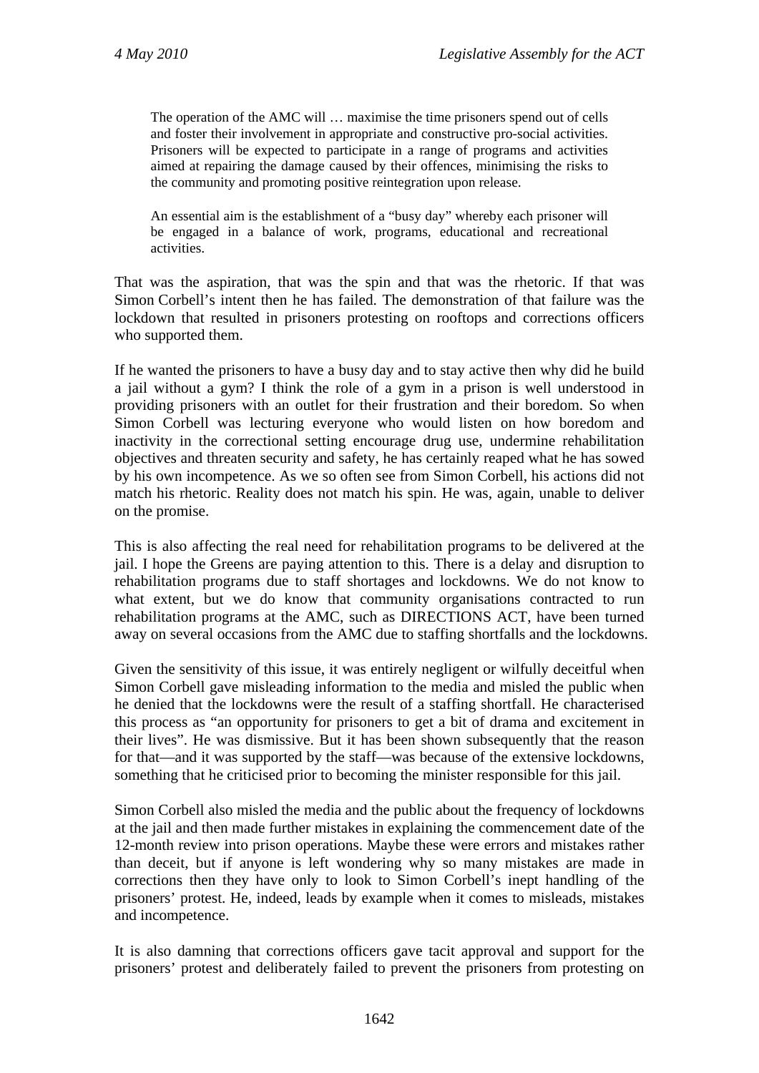The operation of the AMC will … maximise the time prisoners spend out of cells and foster their involvement in appropriate and constructive pro-social activities. Prisoners will be expected to participate in a range of programs and activities aimed at repairing the damage caused by their offences, minimising the risks to the community and promoting positive reintegration upon release.

An essential aim is the establishment of a "busy day" whereby each prisoner will be engaged in a balance of work, programs, educational and recreational activities.

That was the aspiration, that was the spin and that was the rhetoric. If that was Simon Corbell's intent then he has failed. The demonstration of that failure was the lockdown that resulted in prisoners protesting on rooftops and corrections officers who supported them.

If he wanted the prisoners to have a busy day and to stay active then why did he build a jail without a gym? I think the role of a gym in a prison is well understood in providing prisoners with an outlet for their frustration and their boredom. So when Simon Corbell was lecturing everyone who would listen on how boredom and inactivity in the correctional setting encourage drug use, undermine rehabilitation objectives and threaten security and safety, he has certainly reaped what he has sowed by his own incompetence. As we so often see from Simon Corbell, his actions did not match his rhetoric. Reality does not match his spin. He was, again, unable to deliver on the promise.

This is also affecting the real need for rehabilitation programs to be delivered at the jail. I hope the Greens are paying attention to this. There is a delay and disruption to rehabilitation programs due to staff shortages and lockdowns. We do not know to what extent, but we do know that community organisations contracted to run rehabilitation programs at the AMC, such as DIRECTIONS ACT, have been turned away on several occasions from the AMC due to staffing shortfalls and the lockdowns.

Given the sensitivity of this issue, it was entirely negligent or wilfully deceitful when Simon Corbell gave misleading information to the media and misled the public when he denied that the lockdowns were the result of a staffing shortfall. He characterised this process as "an opportunity for prisoners to get a bit of drama and excitement in their lives". He was dismissive. But it has been shown subsequently that the reason for that—and it was supported by the staff—was because of the extensive lockdowns, something that he criticised prior to becoming the minister responsible for this jail.

Simon Corbell also misled the media and the public about the frequency of lockdowns at the jail and then made further mistakes in explaining the commencement date of the 12-month review into prison operations. Maybe these were errors and mistakes rather than deceit, but if anyone is left wondering why so many mistakes are made in corrections then they have only to look to Simon Corbell's inept handling of the prisoners' protest. He, indeed, leads by example when it comes to misleads, mistakes and incompetence.

It is also damning that corrections officers gave tacit approval and support for the prisoners' protest and deliberately failed to prevent the prisoners from protesting on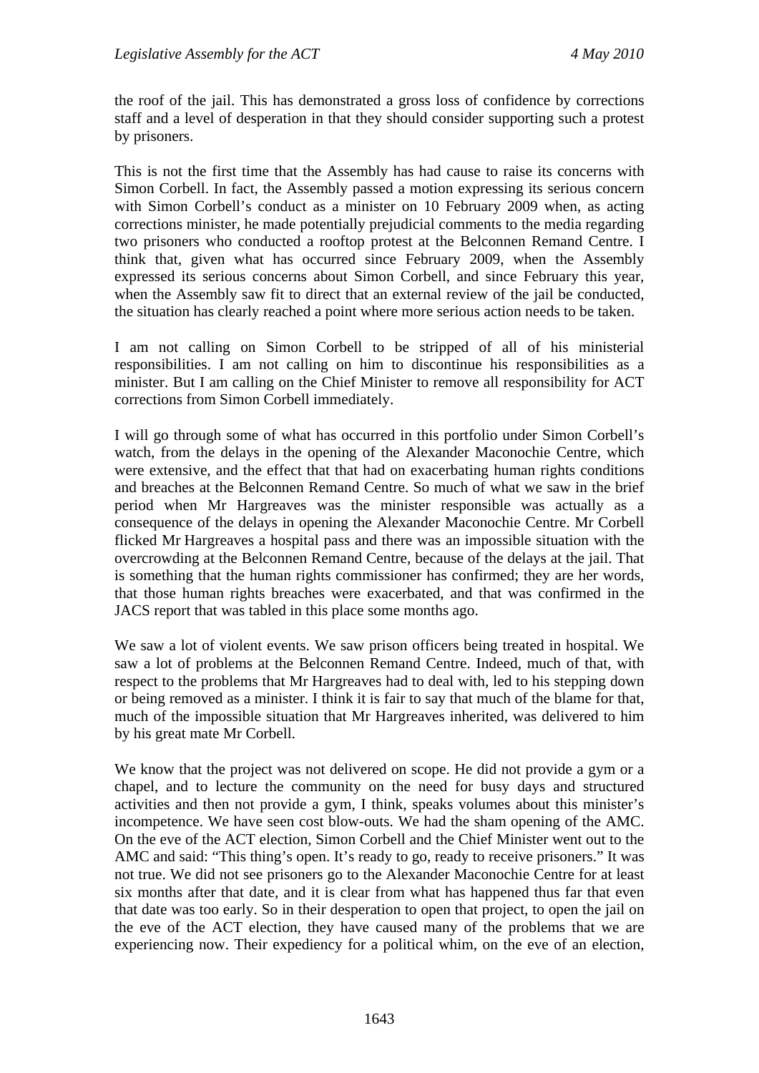the roof of the jail. This has demonstrated a gross loss of confidence by corrections staff and a level of desperation in that they should consider supporting such a protest by prisoners.

This is not the first time that the Assembly has had cause to raise its concerns with Simon Corbell. In fact, the Assembly passed a motion expressing its serious concern with Simon Corbell's conduct as a minister on 10 February 2009 when, as acting corrections minister, he made potentially prejudicial comments to the media regarding two prisoners who conducted a rooftop protest at the Belconnen Remand Centre. I think that, given what has occurred since February 2009, when the Assembly expressed its serious concerns about Simon Corbell, and since February this year, when the Assembly saw fit to direct that an external review of the jail be conducted, the situation has clearly reached a point where more serious action needs to be taken.

I am not calling on Simon Corbell to be stripped of all of his ministerial responsibilities. I am not calling on him to discontinue his responsibilities as a minister. But I am calling on the Chief Minister to remove all responsibility for ACT corrections from Simon Corbell immediately.

I will go through some of what has occurred in this portfolio under Simon Corbell's watch, from the delays in the opening of the Alexander Maconochie Centre, which were extensive, and the effect that that had on exacerbating human rights conditions and breaches at the Belconnen Remand Centre. So much of what we saw in the brief period when Mr Hargreaves was the minister responsible was actually as a consequence of the delays in opening the Alexander Maconochie Centre. Mr Corbell flicked Mr Hargreaves a hospital pass and there was an impossible situation with the overcrowding at the Belconnen Remand Centre, because of the delays at the jail. That is something that the human rights commissioner has confirmed; they are her words, that those human rights breaches were exacerbated, and that was confirmed in the JACS report that was tabled in this place some months ago.

We saw a lot of violent events. We saw prison officers being treated in hospital. We saw a lot of problems at the Belconnen Remand Centre. Indeed, much of that, with respect to the problems that Mr Hargreaves had to deal with, led to his stepping down or being removed as a minister. I think it is fair to say that much of the blame for that, much of the impossible situation that Mr Hargreaves inherited, was delivered to him by his great mate Mr Corbell.

We know that the project was not delivered on scope. He did not provide a gym or a chapel, and to lecture the community on the need for busy days and structured activities and then not provide a gym, I think, speaks volumes about this minister's incompetence. We have seen cost blow-outs. We had the sham opening of the AMC. On the eve of the ACT election, Simon Corbell and the Chief Minister went out to the AMC and said: "This thing's open. It's ready to go, ready to receive prisoners." It was not true. We did not see prisoners go to the Alexander Maconochie Centre for at least six months after that date, and it is clear from what has happened thus far that even that date was too early. So in their desperation to open that project, to open the jail on the eve of the ACT election, they have caused many of the problems that we are experiencing now. Their expediency for a political whim, on the eve of an election,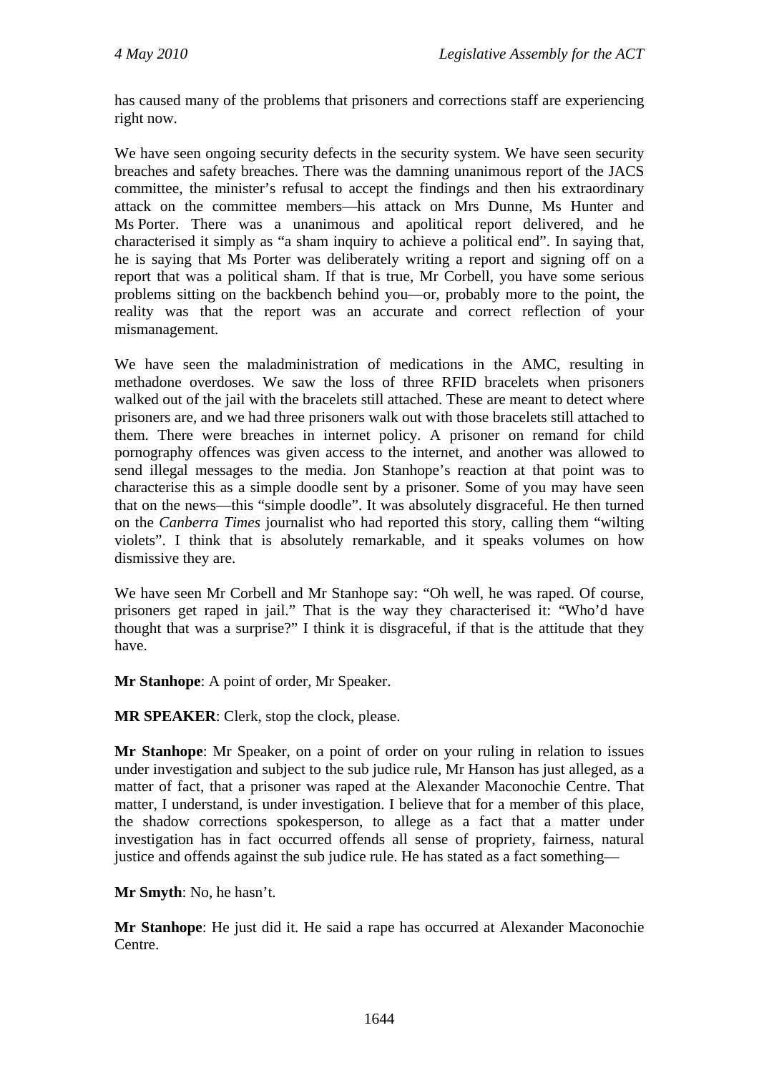has caused many of the problems that prisoners and corrections staff are experiencing right now.

We have seen ongoing security defects in the security system. We have seen security breaches and safety breaches. There was the damning unanimous report of the JACS committee, the minister's refusal to accept the findings and then his extraordinary attack on the committee members—his attack on Mrs Dunne, Ms Hunter and Ms Porter. There was a unanimous and apolitical report delivered, and he characterised it simply as "a sham inquiry to achieve a political end". In saying that, he is saying that Ms Porter was deliberately writing a report and signing off on a report that was a political sham. If that is true, Mr Corbell, you have some serious problems sitting on the backbench behind you—or, probably more to the point, the reality was that the report was an accurate and correct reflection of your mismanagement.

We have seen the maladministration of medications in the AMC, resulting in methadone overdoses. We saw the loss of three RFID bracelets when prisoners walked out of the jail with the bracelets still attached. These are meant to detect where prisoners are, and we had three prisoners walk out with those bracelets still attached to them. There were breaches in internet policy. A prisoner on remand for child pornography offences was given access to the internet, and another was allowed to send illegal messages to the media. Jon Stanhope's reaction at that point was to characterise this as a simple doodle sent by a prisoner. Some of you may have seen that on the news—this "simple doodle". It was absolutely disgraceful. He then turned on the *Canberra Times* journalist who had reported this story, calling them "wilting violets". I think that is absolutely remarkable, and it speaks volumes on how dismissive they are.

We have seen Mr Corbell and Mr Stanhope say: "Oh well, he was raped. Of course, prisoners get raped in jail." That is the way they characterised it: "Who'd have thought that was a surprise?" I think it is disgraceful, if that is the attitude that they have.

**Mr Stanhope**: A point of order, Mr Speaker.

**MR SPEAKER**: Clerk, stop the clock, please.

**Mr Stanhope**: Mr Speaker, on a point of order on your ruling in relation to issues under investigation and subject to the sub judice rule, Mr Hanson has just alleged, as a matter of fact, that a prisoner was raped at the Alexander Maconochie Centre. That matter, I understand, is under investigation. I believe that for a member of this place, the shadow corrections spokesperson, to allege as a fact that a matter under investigation has in fact occurred offends all sense of propriety, fairness, natural justice and offends against the sub judice rule. He has stated as a fact something—

**Mr Smyth**: No, he hasn't.

**Mr Stanhope**: He just did it. He said a rape has occurred at Alexander Maconochie Centre.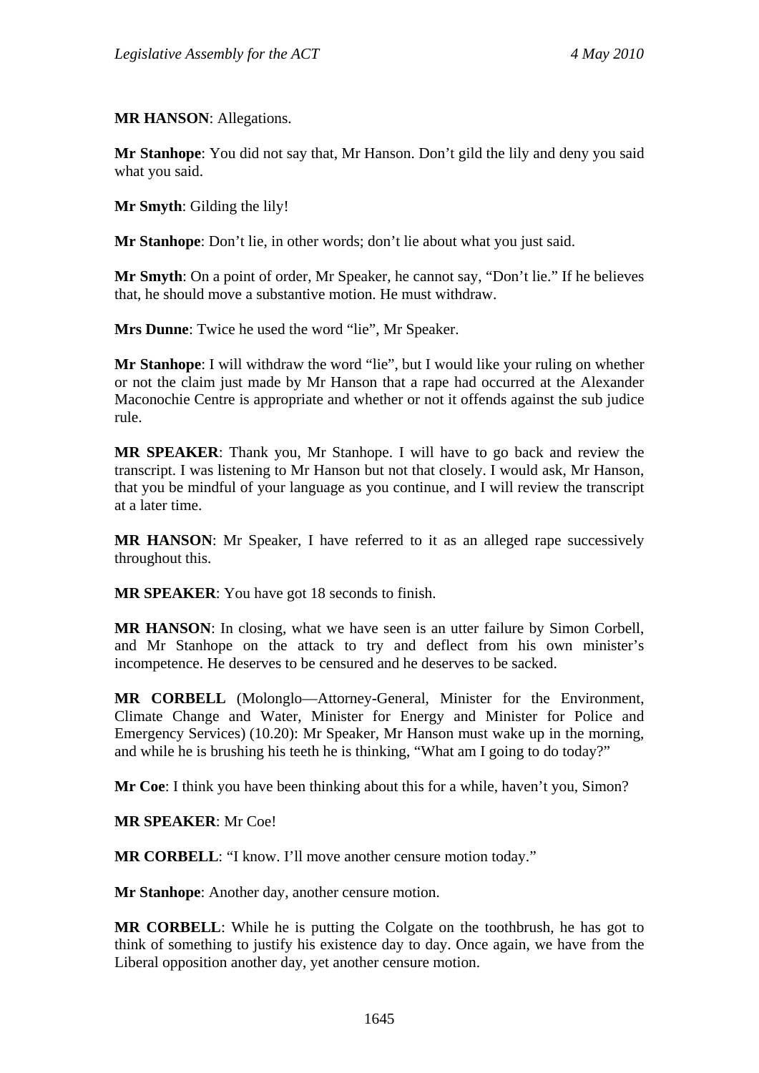#### **MR HANSON**: Allegations.

**Mr Stanhope**: You did not say that, Mr Hanson. Don't gild the lily and deny you said what you said.

**Mr Smyth**: Gilding the lily!

**Mr Stanhope**: Don't lie, in other words; don't lie about what you just said.

**Mr Smyth**: On a point of order, Mr Speaker, he cannot say, "Don't lie." If he believes that, he should move a substantive motion. He must withdraw.

**Mrs Dunne**: Twice he used the word "lie", Mr Speaker.

**Mr Stanhope**: I will withdraw the word "lie", but I would like your ruling on whether or not the claim just made by Mr Hanson that a rape had occurred at the Alexander Maconochie Centre is appropriate and whether or not it offends against the sub judice rule.

**MR SPEAKER**: Thank you, Mr Stanhope. I will have to go back and review the transcript. I was listening to Mr Hanson but not that closely. I would ask, Mr Hanson, that you be mindful of your language as you continue, and I will review the transcript at a later time.

**MR HANSON**: Mr Speaker, I have referred to it as an alleged rape successively throughout this.

**MR SPEAKER**: You have got 18 seconds to finish.

**MR HANSON**: In closing, what we have seen is an utter failure by Simon Corbell, and Mr Stanhope on the attack to try and deflect from his own minister's incompetence. He deserves to be censured and he deserves to be sacked.

**MR CORBELL** (Molonglo—Attorney-General, Minister for the Environment, Climate Change and Water, Minister for Energy and Minister for Police and Emergency Services) (10.20): Mr Speaker, Mr Hanson must wake up in the morning, and while he is brushing his teeth he is thinking, "What am I going to do today?"

**Mr Coe**: I think you have been thinking about this for a while, haven't you, Simon?

**MR SPEAKER**: Mr Coe!

**MR CORBELL**: "I know. I'll move another censure motion today."

**Mr Stanhope**: Another day, another censure motion.

**MR CORBELL**: While he is putting the Colgate on the toothbrush, he has got to think of something to justify his existence day to day. Once again, we have from the Liberal opposition another day, yet another censure motion.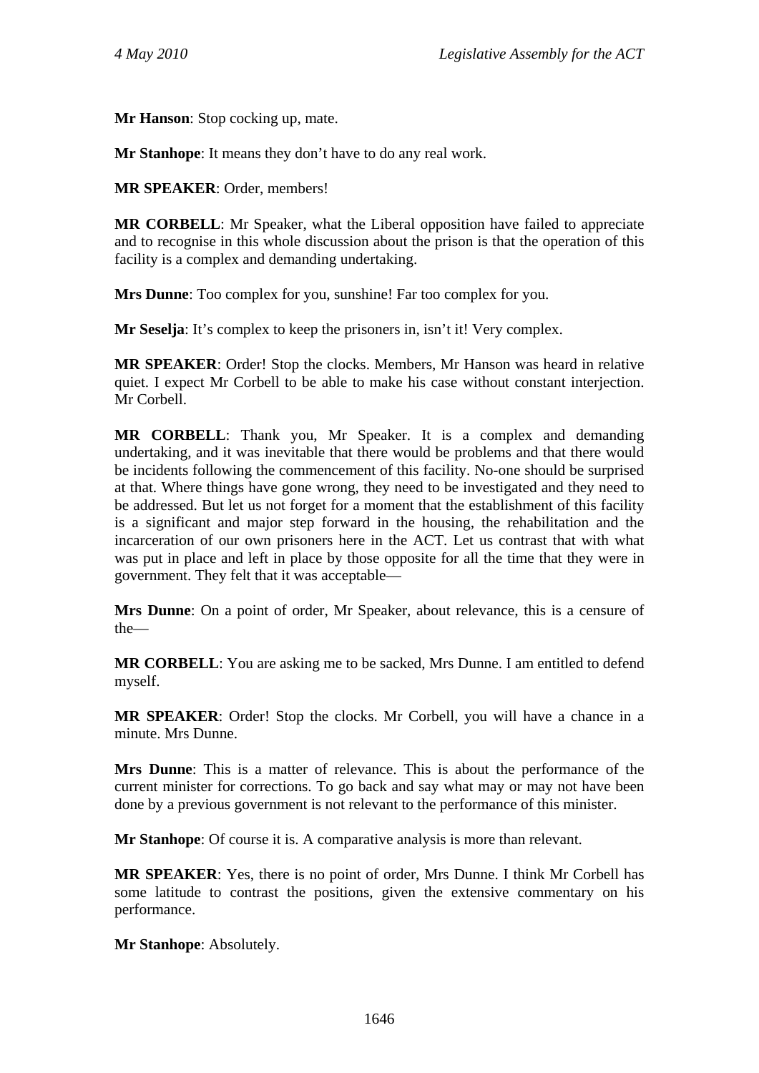**Mr Hanson**: Stop cocking up, mate.

**Mr Stanhope**: It means they don't have to do any real work.

**MR SPEAKER**: Order, members!

**MR CORBELL**: Mr Speaker, what the Liberal opposition have failed to appreciate and to recognise in this whole discussion about the prison is that the operation of this facility is a complex and demanding undertaking.

**Mrs Dunne**: Too complex for you, sunshine! Far too complex for you.

**Mr Seselja:** It's complex to keep the prisoners in, isn't it! Very complex.

**MR SPEAKER**: Order! Stop the clocks. Members, Mr Hanson was heard in relative quiet. I expect Mr Corbell to be able to make his case without constant interjection. Mr Corbell.

**MR CORBELL**: Thank you, Mr Speaker. It is a complex and demanding undertaking, and it was inevitable that there would be problems and that there would be incidents following the commencement of this facility. No-one should be surprised at that. Where things have gone wrong, they need to be investigated and they need to be addressed. But let us not forget for a moment that the establishment of this facility is a significant and major step forward in the housing, the rehabilitation and the incarceration of our own prisoners here in the ACT. Let us contrast that with what was put in place and left in place by those opposite for all the time that they were in government. They felt that it was acceptable—

**Mrs Dunne**: On a point of order, Mr Speaker, about relevance, this is a censure of the—

**MR CORBELL**: You are asking me to be sacked, Mrs Dunne. I am entitled to defend myself.

**MR SPEAKER**: Order! Stop the clocks. Mr Corbell, you will have a chance in a minute. Mrs Dunne.

**Mrs Dunne**: This is a matter of relevance. This is about the performance of the current minister for corrections. To go back and say what may or may not have been done by a previous government is not relevant to the performance of this minister.

**Mr Stanhope**: Of course it is. A comparative analysis is more than relevant.

**MR SPEAKER**: Yes, there is no point of order, Mrs Dunne. I think Mr Corbell has some latitude to contrast the positions, given the extensive commentary on his performance.

**Mr Stanhope**: Absolutely.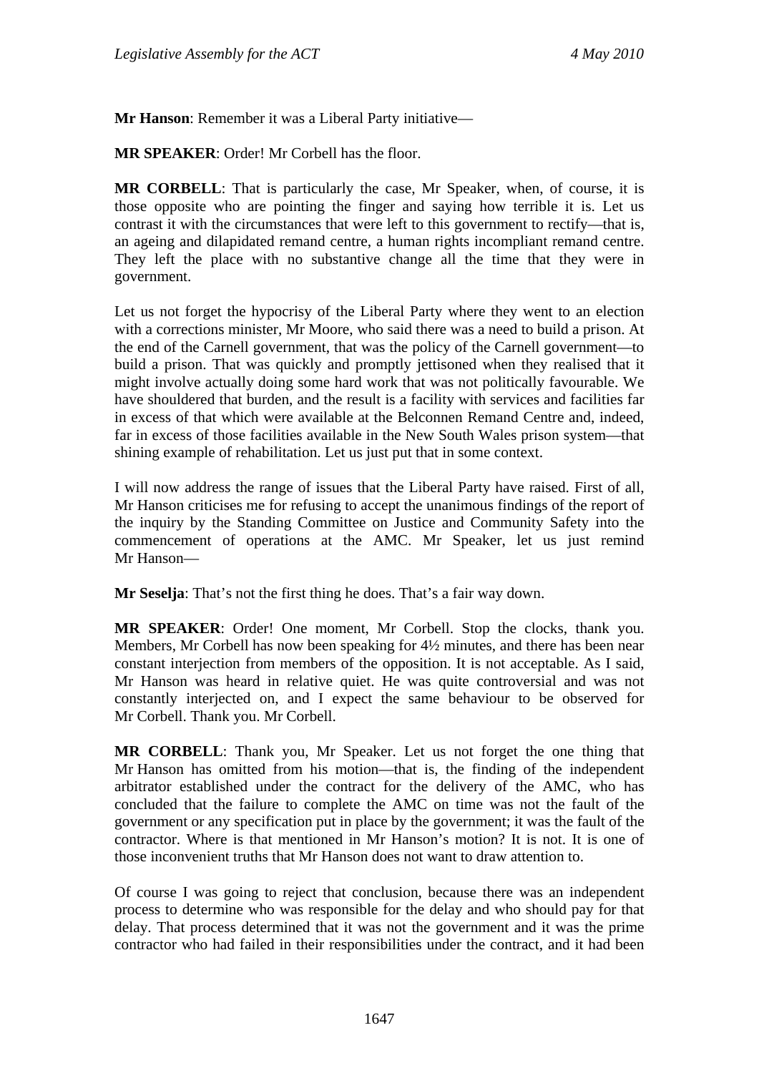**Mr Hanson**: Remember it was a Liberal Party initiative—

**MR SPEAKER**: Order! Mr Corbell has the floor.

**MR CORBELL**: That is particularly the case, Mr Speaker, when, of course, it is those opposite who are pointing the finger and saying how terrible it is. Let us contrast it with the circumstances that were left to this government to rectify—that is, an ageing and dilapidated remand centre, a human rights incompliant remand centre. They left the place with no substantive change all the time that they were in government.

Let us not forget the hypocrisy of the Liberal Party where they went to an election with a corrections minister, Mr Moore, who said there was a need to build a prison. At the end of the Carnell government, that was the policy of the Carnell government—to build a prison. That was quickly and promptly jettisoned when they realised that it might involve actually doing some hard work that was not politically favourable. We have shouldered that burden, and the result is a facility with services and facilities far in excess of that which were available at the Belconnen Remand Centre and, indeed, far in excess of those facilities available in the New South Wales prison system—that shining example of rehabilitation. Let us just put that in some context.

I will now address the range of issues that the Liberal Party have raised. First of all, Mr Hanson criticises me for refusing to accept the unanimous findings of the report of the inquiry by the Standing Committee on Justice and Community Safety into the commencement of operations at the AMC. Mr Speaker, let us just remind Mr Hanson—

**Mr Seselja**: That's not the first thing he does. That's a fair way down.

**MR SPEAKER**: Order! One moment, Mr Corbell. Stop the clocks, thank you. Members, Mr Corbell has now been speaking for 4½ minutes, and there has been near constant interjection from members of the opposition. It is not acceptable. As I said, Mr Hanson was heard in relative quiet. He was quite controversial and was not constantly interjected on, and I expect the same behaviour to be observed for Mr Corbell. Thank you. Mr Corbell.

**MR CORBELL**: Thank you, Mr Speaker. Let us not forget the one thing that Mr Hanson has omitted from his motion—that is, the finding of the independent arbitrator established under the contract for the delivery of the AMC, who has concluded that the failure to complete the AMC on time was not the fault of the government or any specification put in place by the government; it was the fault of the contractor. Where is that mentioned in Mr Hanson's motion? It is not. It is one of those inconvenient truths that Mr Hanson does not want to draw attention to.

Of course I was going to reject that conclusion, because there was an independent process to determine who was responsible for the delay and who should pay for that delay. That process determined that it was not the government and it was the prime contractor who had failed in their responsibilities under the contract, and it had been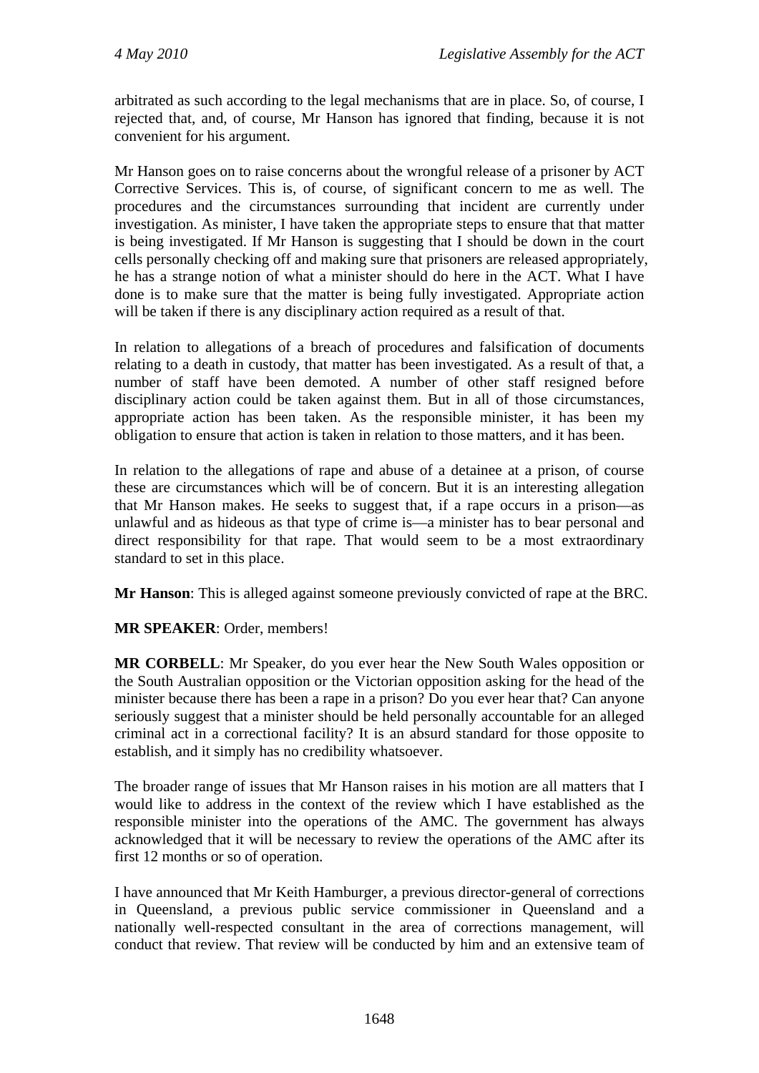arbitrated as such according to the legal mechanisms that are in place. So, of course, I rejected that, and, of course, Mr Hanson has ignored that finding, because it is not convenient for his argument.

Mr Hanson goes on to raise concerns about the wrongful release of a prisoner by ACT Corrective Services. This is, of course, of significant concern to me as well. The procedures and the circumstances surrounding that incident are currently under investigation. As minister, I have taken the appropriate steps to ensure that that matter is being investigated. If Mr Hanson is suggesting that I should be down in the court cells personally checking off and making sure that prisoners are released appropriately, he has a strange notion of what a minister should do here in the ACT. What I have done is to make sure that the matter is being fully investigated. Appropriate action will be taken if there is any disciplinary action required as a result of that.

In relation to allegations of a breach of procedures and falsification of documents relating to a death in custody, that matter has been investigated. As a result of that, a number of staff have been demoted. A number of other staff resigned before disciplinary action could be taken against them. But in all of those circumstances, appropriate action has been taken. As the responsible minister, it has been my obligation to ensure that action is taken in relation to those matters, and it has been.

In relation to the allegations of rape and abuse of a detainee at a prison, of course these are circumstances which will be of concern. But it is an interesting allegation that Mr Hanson makes. He seeks to suggest that, if a rape occurs in a prison—as unlawful and as hideous as that type of crime is—a minister has to bear personal and direct responsibility for that rape. That would seem to be a most extraordinary standard to set in this place.

**Mr Hanson**: This is alleged against someone previously convicted of rape at the BRC.

**MR SPEAKER**: Order, members!

**MR CORBELL**: Mr Speaker, do you ever hear the New South Wales opposition or the South Australian opposition or the Victorian opposition asking for the head of the minister because there has been a rape in a prison? Do you ever hear that? Can anyone seriously suggest that a minister should be held personally accountable for an alleged criminal act in a correctional facility? It is an absurd standard for those opposite to establish, and it simply has no credibility whatsoever.

The broader range of issues that Mr Hanson raises in his motion are all matters that I would like to address in the context of the review which I have established as the responsible minister into the operations of the AMC. The government has always acknowledged that it will be necessary to review the operations of the AMC after its first 12 months or so of operation.

I have announced that Mr Keith Hamburger, a previous director-general of corrections in Queensland, a previous public service commissioner in Queensland and a nationally well-respected consultant in the area of corrections management, will conduct that review. That review will be conducted by him and an extensive team of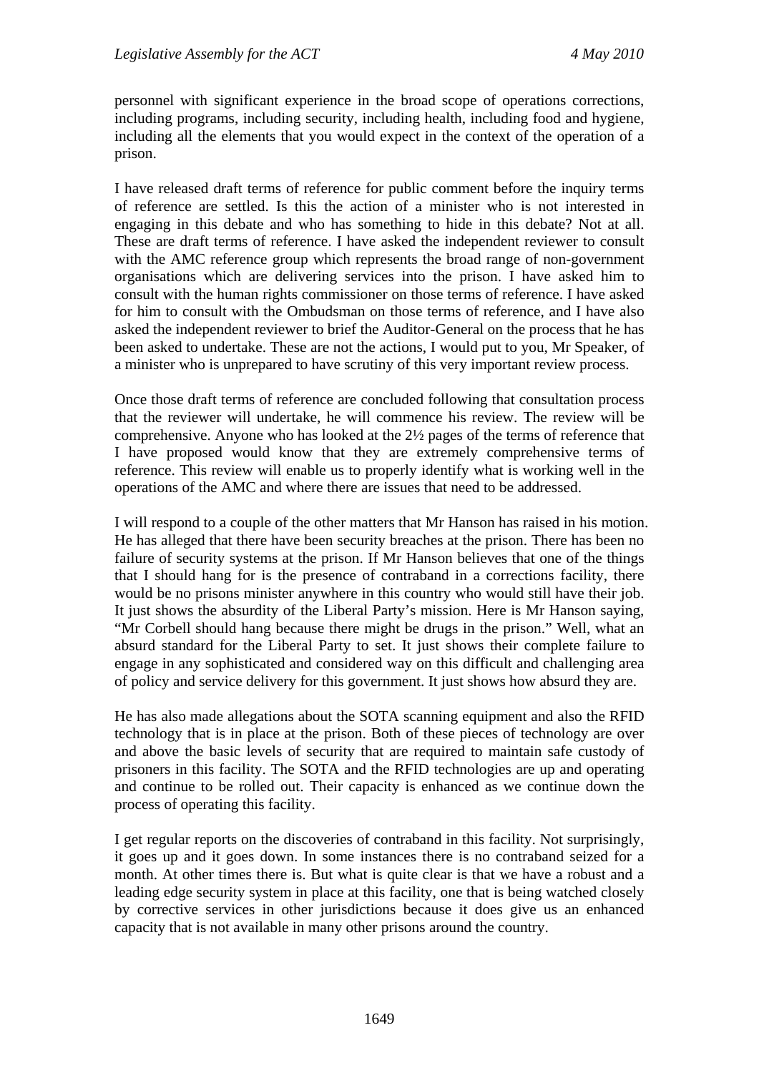personnel with significant experience in the broad scope of operations corrections, including programs, including security, including health, including food and hygiene, including all the elements that you would expect in the context of the operation of a prison.

I have released draft terms of reference for public comment before the inquiry terms of reference are settled. Is this the action of a minister who is not interested in engaging in this debate and who has something to hide in this debate? Not at all. These are draft terms of reference. I have asked the independent reviewer to consult with the AMC reference group which represents the broad range of non-government organisations which are delivering services into the prison. I have asked him to consult with the human rights commissioner on those terms of reference. I have asked for him to consult with the Ombudsman on those terms of reference, and I have also asked the independent reviewer to brief the Auditor-General on the process that he has been asked to undertake. These are not the actions, I would put to you, Mr Speaker, of a minister who is unprepared to have scrutiny of this very important review process.

Once those draft terms of reference are concluded following that consultation process that the reviewer will undertake, he will commence his review. The review will be comprehensive. Anyone who has looked at the 2½ pages of the terms of reference that I have proposed would know that they are extremely comprehensive terms of reference. This review will enable us to properly identify what is working well in the operations of the AMC and where there are issues that need to be addressed.

I will respond to a couple of the other matters that Mr Hanson has raised in his motion. He has alleged that there have been security breaches at the prison. There has been no failure of security systems at the prison. If Mr Hanson believes that one of the things that I should hang for is the presence of contraband in a corrections facility, there would be no prisons minister anywhere in this country who would still have their job. It just shows the absurdity of the Liberal Party's mission. Here is Mr Hanson saying, "Mr Corbell should hang because there might be drugs in the prison." Well, what an absurd standard for the Liberal Party to set. It just shows their complete failure to engage in any sophisticated and considered way on this difficult and challenging area of policy and service delivery for this government. It just shows how absurd they are.

He has also made allegations about the SOTA scanning equipment and also the RFID technology that is in place at the prison. Both of these pieces of technology are over and above the basic levels of security that are required to maintain safe custody of prisoners in this facility. The SOTA and the RFID technologies are up and operating and continue to be rolled out. Their capacity is enhanced as we continue down the process of operating this facility.

I get regular reports on the discoveries of contraband in this facility. Not surprisingly, it goes up and it goes down. In some instances there is no contraband seized for a month. At other times there is. But what is quite clear is that we have a robust and a leading edge security system in place at this facility, one that is being watched closely by corrective services in other jurisdictions because it does give us an enhanced capacity that is not available in many other prisons around the country.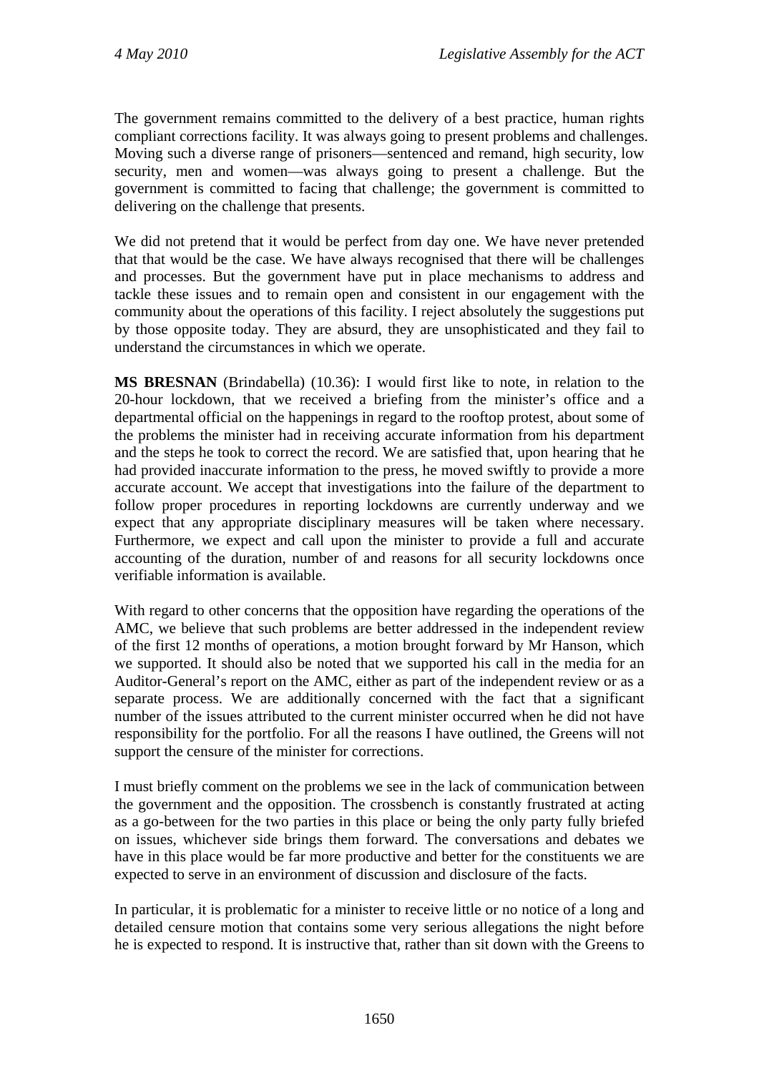The government remains committed to the delivery of a best practice, human rights compliant corrections facility. It was always going to present problems and challenges. Moving such a diverse range of prisoners—sentenced and remand, high security, low security, men and women—was always going to present a challenge. But the government is committed to facing that challenge; the government is committed to delivering on the challenge that presents.

We did not pretend that it would be perfect from day one. We have never pretended that that would be the case. We have always recognised that there will be challenges and processes. But the government have put in place mechanisms to address and tackle these issues and to remain open and consistent in our engagement with the community about the operations of this facility. I reject absolutely the suggestions put by those opposite today. They are absurd, they are unsophisticated and they fail to understand the circumstances in which we operate.

**MS BRESNAN** (Brindabella) (10.36): I would first like to note, in relation to the 20-hour lockdown, that we received a briefing from the minister's office and a departmental official on the happenings in regard to the rooftop protest, about some of the problems the minister had in receiving accurate information from his department and the steps he took to correct the record. We are satisfied that, upon hearing that he had provided inaccurate information to the press, he moved swiftly to provide a more accurate account. We accept that investigations into the failure of the department to follow proper procedures in reporting lockdowns are currently underway and we expect that any appropriate disciplinary measures will be taken where necessary. Furthermore, we expect and call upon the minister to provide a full and accurate accounting of the duration, number of and reasons for all security lockdowns once verifiable information is available.

With regard to other concerns that the opposition have regarding the operations of the AMC, we believe that such problems are better addressed in the independent review of the first 12 months of operations, a motion brought forward by Mr Hanson, which we supported. It should also be noted that we supported his call in the media for an Auditor-General's report on the AMC, either as part of the independent review or as a separate process. We are additionally concerned with the fact that a significant number of the issues attributed to the current minister occurred when he did not have responsibility for the portfolio. For all the reasons I have outlined, the Greens will not support the censure of the minister for corrections.

I must briefly comment on the problems we see in the lack of communication between the government and the opposition. The crossbench is constantly frustrated at acting as a go-between for the two parties in this place or being the only party fully briefed on issues, whichever side brings them forward. The conversations and debates we have in this place would be far more productive and better for the constituents we are expected to serve in an environment of discussion and disclosure of the facts.

In particular, it is problematic for a minister to receive little or no notice of a long and detailed censure motion that contains some very serious allegations the night before he is expected to respond. It is instructive that, rather than sit down with the Greens to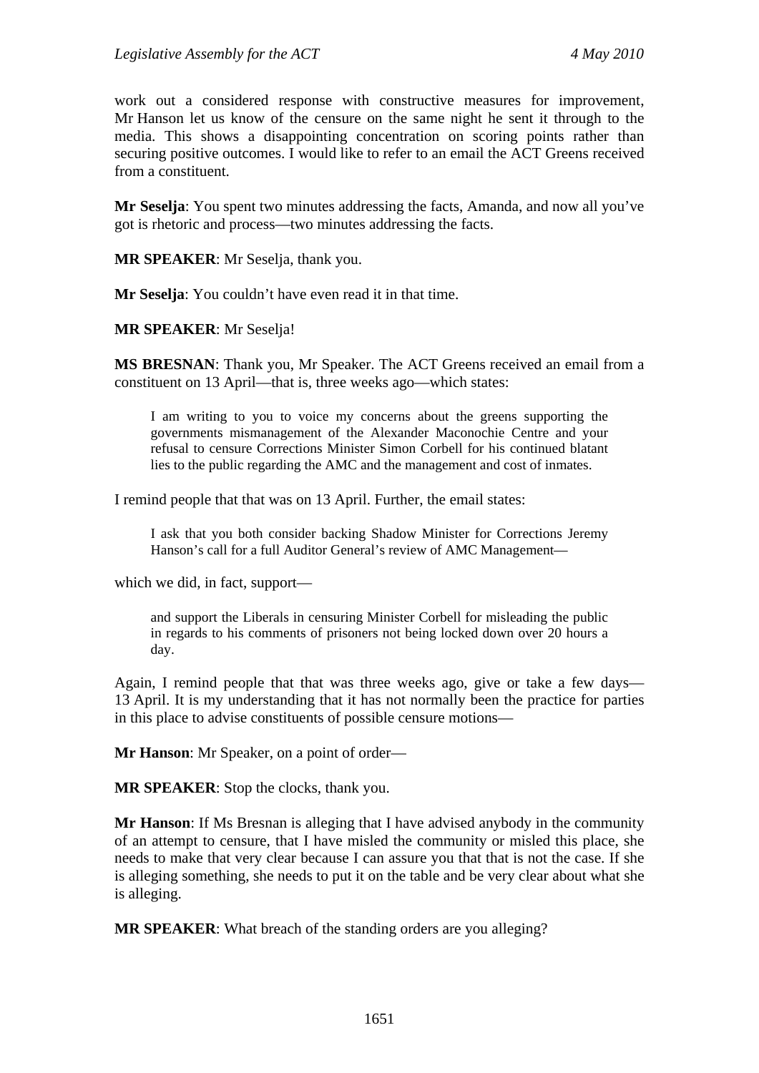work out a considered response with constructive measures for improvement, Mr Hanson let us know of the censure on the same night he sent it through to the media. This shows a disappointing concentration on scoring points rather than securing positive outcomes. I would like to refer to an email the ACT Greens received from a constituent.

**Mr Seselja**: You spent two minutes addressing the facts, Amanda, and now all you've got is rhetoric and process—two minutes addressing the facts.

**MR SPEAKER:** Mr Seselia, thank you.

**Mr Seselja**: You couldn't have even read it in that time.

**MR SPEAKER**: Mr Seselja!

**MS BRESNAN**: Thank you, Mr Speaker. The ACT Greens received an email from a constituent on 13 April—that is, three weeks ago—which states:

I am writing to you to voice my concerns about the greens supporting the governments mismanagement of the Alexander Maconochie Centre and your refusal to censure Corrections Minister Simon Corbell for his continued blatant lies to the public regarding the AMC and the management and cost of inmates.

I remind people that that was on 13 April. Further, the email states:

I ask that you both consider backing Shadow Minister for Corrections Jeremy Hanson's call for a full Auditor General's review of AMC Management—

which we did, in fact, support—

and support the Liberals in censuring Minister Corbell for misleading the public in regards to his comments of prisoners not being locked down over 20 hours a day.

Again, I remind people that that was three weeks ago, give or take a few days— 13 April. It is my understanding that it has not normally been the practice for parties in this place to advise constituents of possible censure motions—

**Mr Hanson**: Mr Speaker, on a point of order—

**MR SPEAKER**: Stop the clocks, thank you.

**Mr Hanson**: If Ms Bresnan is alleging that I have advised anybody in the community of an attempt to censure, that I have misled the community or misled this place, she needs to make that very clear because I can assure you that that is not the case. If she is alleging something, she needs to put it on the table and be very clear about what she is alleging.

**MR SPEAKER**: What breach of the standing orders are you alleging?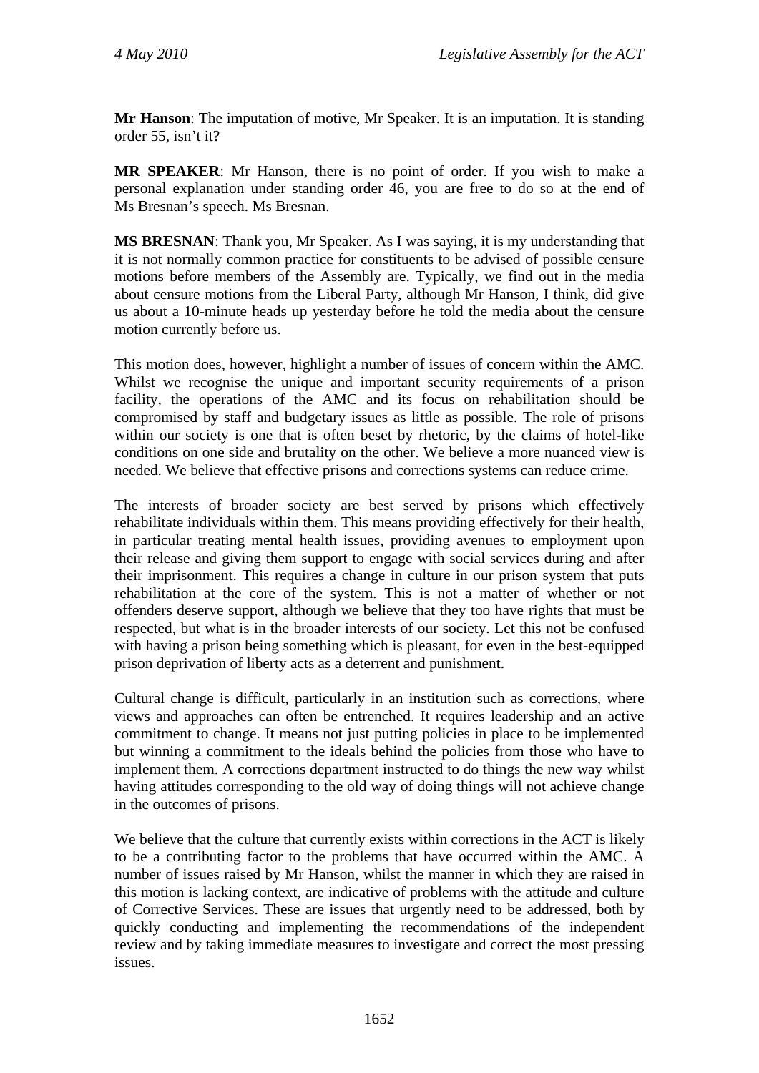**Mr Hanson**: The imputation of motive, Mr Speaker. It is an imputation. It is standing order 55, isn't it?

**MR SPEAKER**: Mr Hanson, there is no point of order. If you wish to make a personal explanation under standing order 46, you are free to do so at the end of Ms Bresnan's speech. Ms Bresnan.

**MS BRESNAN**: Thank you, Mr Speaker. As I was saying, it is my understanding that it is not normally common practice for constituents to be advised of possible censure motions before members of the Assembly are. Typically, we find out in the media about censure motions from the Liberal Party, although Mr Hanson, I think, did give us about a 10-minute heads up yesterday before he told the media about the censure motion currently before us.

This motion does, however, highlight a number of issues of concern within the AMC. Whilst we recognise the unique and important security requirements of a prison facility, the operations of the AMC and its focus on rehabilitation should be compromised by staff and budgetary issues as little as possible. The role of prisons within our society is one that is often beset by rhetoric, by the claims of hotel-like conditions on one side and brutality on the other. We believe a more nuanced view is needed. We believe that effective prisons and corrections systems can reduce crime.

The interests of broader society are best served by prisons which effectively rehabilitate individuals within them. This means providing effectively for their health, in particular treating mental health issues, providing avenues to employment upon their release and giving them support to engage with social services during and after their imprisonment. This requires a change in culture in our prison system that puts rehabilitation at the core of the system. This is not a matter of whether or not offenders deserve support, although we believe that they too have rights that must be respected, but what is in the broader interests of our society. Let this not be confused with having a prison being something which is pleasant, for even in the best-equipped prison deprivation of liberty acts as a deterrent and punishment.

Cultural change is difficult, particularly in an institution such as corrections, where views and approaches can often be entrenched. It requires leadership and an active commitment to change. It means not just putting policies in place to be implemented but winning a commitment to the ideals behind the policies from those who have to implement them. A corrections department instructed to do things the new way whilst having attitudes corresponding to the old way of doing things will not achieve change in the outcomes of prisons.

We believe that the culture that currently exists within corrections in the ACT is likely to be a contributing factor to the problems that have occurred within the AMC. A number of issues raised by Mr Hanson, whilst the manner in which they are raised in this motion is lacking context, are indicative of problems with the attitude and culture of Corrective Services. These are issues that urgently need to be addressed, both by quickly conducting and implementing the recommendations of the independent review and by taking immediate measures to investigate and correct the most pressing issues.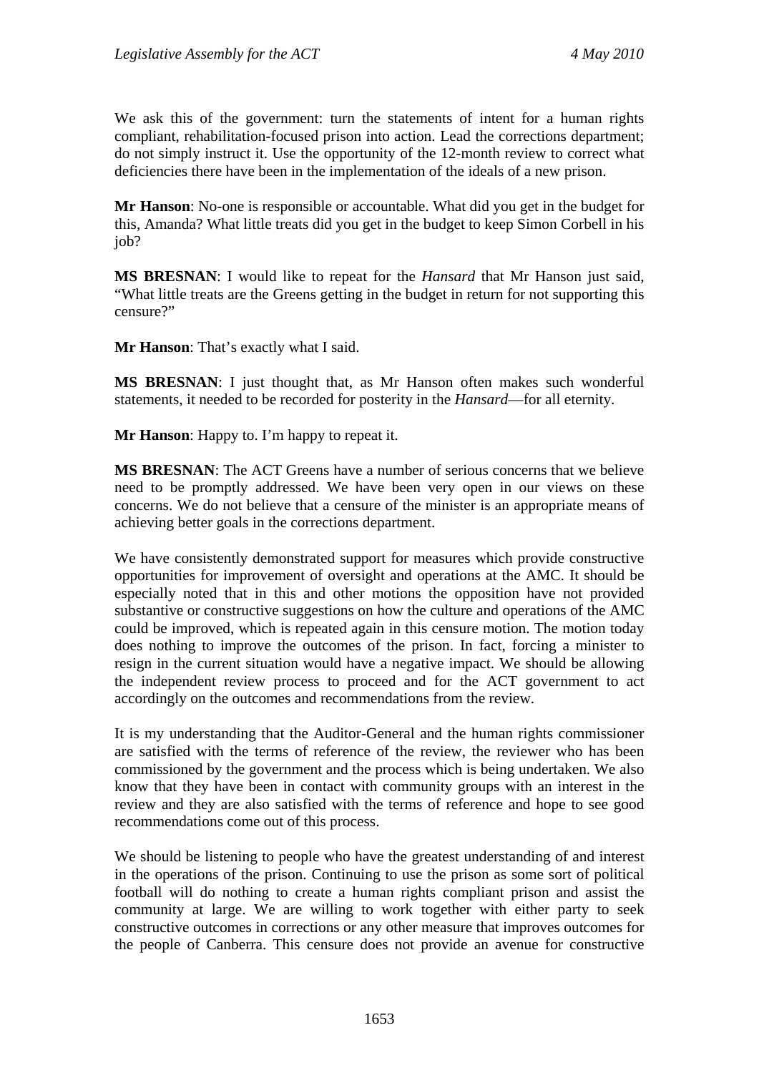We ask this of the government: turn the statements of intent for a human rights compliant, rehabilitation-focused prison into action. Lead the corrections department; do not simply instruct it. Use the opportunity of the 12-month review to correct what deficiencies there have been in the implementation of the ideals of a new prison.

**Mr Hanson**: No-one is responsible or accountable. What did you get in the budget for this, Amanda? What little treats did you get in the budget to keep Simon Corbell in his job?

**MS BRESNAN**: I would like to repeat for the *Hansard* that Mr Hanson just said, "What little treats are the Greens getting in the budget in return for not supporting this censure?"

**Mr Hanson**: That's exactly what I said.

**MS BRESNAN**: I just thought that, as Mr Hanson often makes such wonderful statements, it needed to be recorded for posterity in the *Hansard*—for all eternity.

**Mr Hanson**: Happy to. I'm happy to repeat it.

**MS BRESNAN**: The ACT Greens have a number of serious concerns that we believe need to be promptly addressed. We have been very open in our views on these concerns. We do not believe that a censure of the minister is an appropriate means of achieving better goals in the corrections department.

We have consistently demonstrated support for measures which provide constructive opportunities for improvement of oversight and operations at the AMC. It should be especially noted that in this and other motions the opposition have not provided substantive or constructive suggestions on how the culture and operations of the AMC could be improved, which is repeated again in this censure motion. The motion today does nothing to improve the outcomes of the prison. In fact, forcing a minister to resign in the current situation would have a negative impact. We should be allowing the independent review process to proceed and for the ACT government to act accordingly on the outcomes and recommendations from the review.

It is my understanding that the Auditor-General and the human rights commissioner are satisfied with the terms of reference of the review, the reviewer who has been commissioned by the government and the process which is being undertaken. We also know that they have been in contact with community groups with an interest in the review and they are also satisfied with the terms of reference and hope to see good recommendations come out of this process.

We should be listening to people who have the greatest understanding of and interest in the operations of the prison. Continuing to use the prison as some sort of political football will do nothing to create a human rights compliant prison and assist the community at large. We are willing to work together with either party to seek constructive outcomes in corrections or any other measure that improves outcomes for the people of Canberra. This censure does not provide an avenue for constructive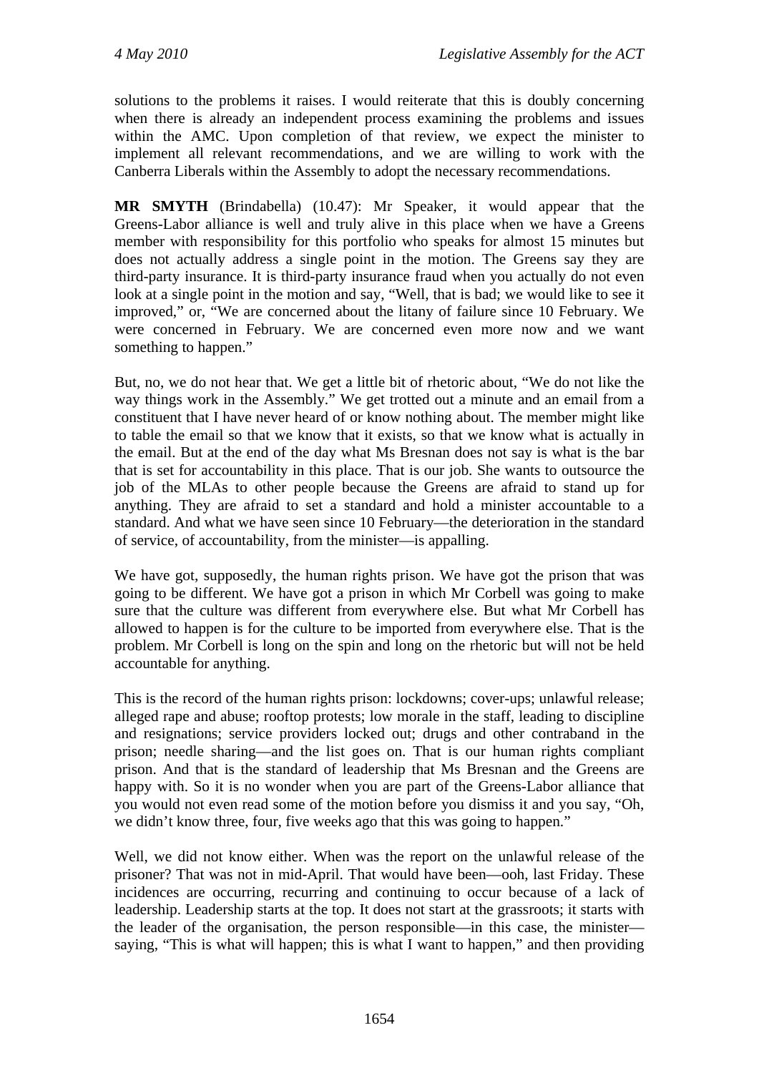solutions to the problems it raises. I would reiterate that this is doubly concerning when there is already an independent process examining the problems and issues within the AMC. Upon completion of that review, we expect the minister to implement all relevant recommendations, and we are willing to work with the Canberra Liberals within the Assembly to adopt the necessary recommendations.

**MR SMYTH** (Brindabella) (10.47): Mr Speaker, it would appear that the Greens-Labor alliance is well and truly alive in this place when we have a Greens member with responsibility for this portfolio who speaks for almost 15 minutes but does not actually address a single point in the motion. The Greens say they are third-party insurance. It is third-party insurance fraud when you actually do not even look at a single point in the motion and say, "Well, that is bad; we would like to see it improved," or, "We are concerned about the litany of failure since 10 February. We were concerned in February. We are concerned even more now and we want something to happen."

But, no, we do not hear that. We get a little bit of rhetoric about, "We do not like the way things work in the Assembly." We get trotted out a minute and an email from a constituent that I have never heard of or know nothing about. The member might like to table the email so that we know that it exists, so that we know what is actually in the email. But at the end of the day what Ms Bresnan does not say is what is the bar that is set for accountability in this place. That is our job. She wants to outsource the job of the MLAs to other people because the Greens are afraid to stand up for anything. They are afraid to set a standard and hold a minister accountable to a standard. And what we have seen since 10 February—the deterioration in the standard of service, of accountability, from the minister—is appalling.

We have got, supposedly, the human rights prison. We have got the prison that was going to be different. We have got a prison in which Mr Corbell was going to make sure that the culture was different from everywhere else. But what Mr Corbell has allowed to happen is for the culture to be imported from everywhere else. That is the problem. Mr Corbell is long on the spin and long on the rhetoric but will not be held accountable for anything.

This is the record of the human rights prison: lockdowns; cover-ups; unlawful release; alleged rape and abuse; rooftop protests; low morale in the staff, leading to discipline and resignations; service providers locked out; drugs and other contraband in the prison; needle sharing—and the list goes on. That is our human rights compliant prison. And that is the standard of leadership that Ms Bresnan and the Greens are happy with. So it is no wonder when you are part of the Greens-Labor alliance that you would not even read some of the motion before you dismiss it and you say, "Oh, we didn't know three, four, five weeks ago that this was going to happen."

Well, we did not know either. When was the report on the unlawful release of the prisoner? That was not in mid-April. That would have been—ooh, last Friday. These incidences are occurring, recurring and continuing to occur because of a lack of leadership. Leadership starts at the top. It does not start at the grassroots; it starts with the leader of the organisation, the person responsible—in this case, the minister saying, "This is what will happen; this is what I want to happen," and then providing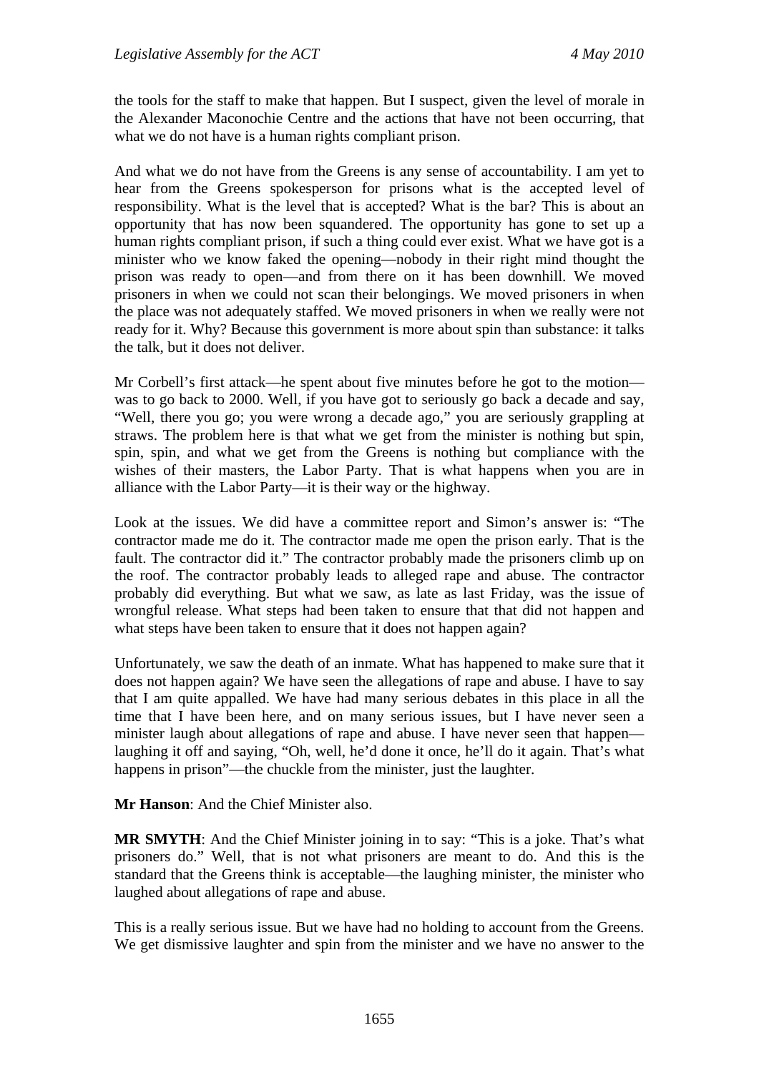the tools for the staff to make that happen. But I suspect, given the level of morale in the Alexander Maconochie Centre and the actions that have not been occurring, that what we do not have is a human rights compliant prison.

And what we do not have from the Greens is any sense of accountability. I am yet to hear from the Greens spokesperson for prisons what is the accepted level of responsibility. What is the level that is accepted? What is the bar? This is about an opportunity that has now been squandered. The opportunity has gone to set up a human rights compliant prison, if such a thing could ever exist. What we have got is a minister who we know faked the opening—nobody in their right mind thought the prison was ready to open—and from there on it has been downhill. We moved prisoners in when we could not scan their belongings. We moved prisoners in when the place was not adequately staffed. We moved prisoners in when we really were not ready for it. Why? Because this government is more about spin than substance: it talks the talk, but it does not deliver.

Mr Corbell's first attack—he spent about five minutes before he got to the motion was to go back to 2000. Well, if you have got to seriously go back a decade and say, "Well, there you go; you were wrong a decade ago," you are seriously grappling at straws. The problem here is that what we get from the minister is nothing but spin, spin, spin, and what we get from the Greens is nothing but compliance with the wishes of their masters, the Labor Party. That is what happens when you are in alliance with the Labor Party—it is their way or the highway.

Look at the issues. We did have a committee report and Simon's answer is: "The contractor made me do it. The contractor made me open the prison early. That is the fault. The contractor did it." The contractor probably made the prisoners climb up on the roof. The contractor probably leads to alleged rape and abuse. The contractor probably did everything. But what we saw, as late as last Friday, was the issue of wrongful release. What steps had been taken to ensure that that did not happen and what steps have been taken to ensure that it does not happen again?

Unfortunately, we saw the death of an inmate. What has happened to make sure that it does not happen again? We have seen the allegations of rape and abuse. I have to say that I am quite appalled. We have had many serious debates in this place in all the time that I have been here, and on many serious issues, but I have never seen a minister laugh about allegations of rape and abuse. I have never seen that happen laughing it off and saying, "Oh, well, he'd done it once, he'll do it again. That's what happens in prison"—the chuckle from the minister, just the laughter.

**Mr Hanson**: And the Chief Minister also.

**MR SMYTH**: And the Chief Minister joining in to say: "This is a joke. That's what prisoners do." Well, that is not what prisoners are meant to do. And this is the standard that the Greens think is acceptable—the laughing minister, the minister who laughed about allegations of rape and abuse.

This is a really serious issue. But we have had no holding to account from the Greens. We get dismissive laughter and spin from the minister and we have no answer to the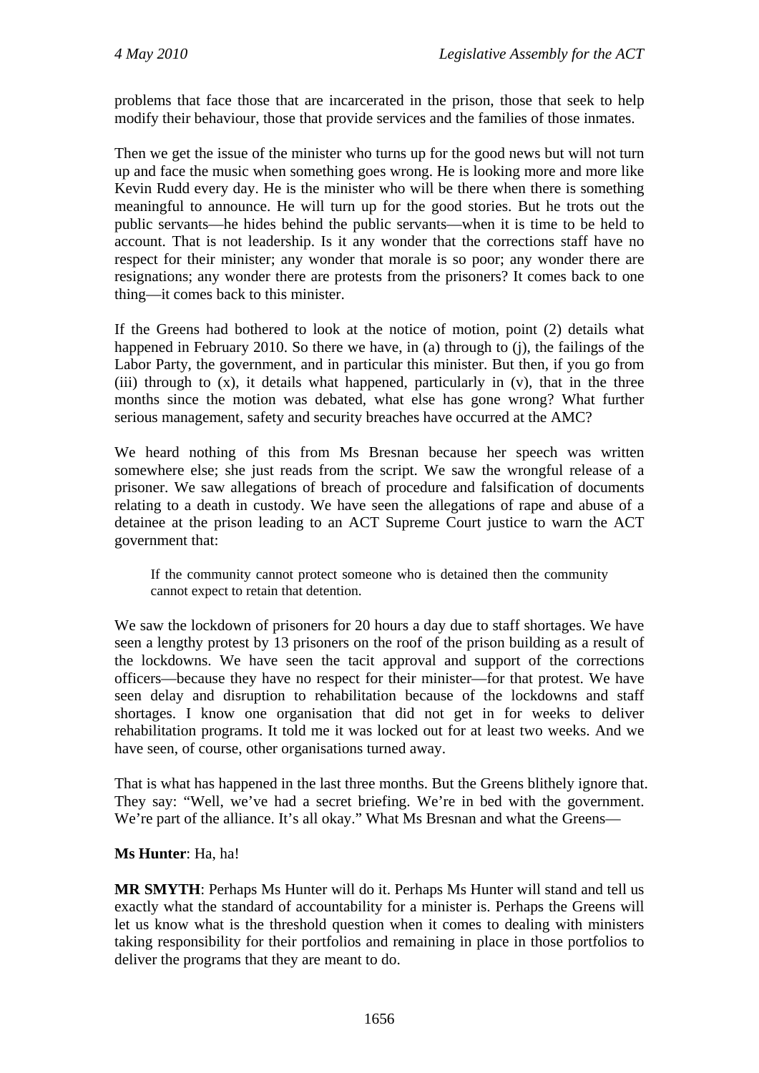problems that face those that are incarcerated in the prison, those that seek to help modify their behaviour, those that provide services and the families of those inmates.

Then we get the issue of the minister who turns up for the good news but will not turn up and face the music when something goes wrong. He is looking more and more like Kevin Rudd every day. He is the minister who will be there when there is something meaningful to announce. He will turn up for the good stories. But he trots out the public servants—he hides behind the public servants—when it is time to be held to account. That is not leadership. Is it any wonder that the corrections staff have no respect for their minister; any wonder that morale is so poor; any wonder there are resignations; any wonder there are protests from the prisoners? It comes back to one thing—it comes back to this minister.

If the Greens had bothered to look at the notice of motion, point (2) details what happened in February 2010. So there we have, in (a) through to (j), the failings of the Labor Party, the government, and in particular this minister. But then, if you go from (iii) through to  $(x)$ , it details what happened, particularly in  $(v)$ , that in the three months since the motion was debated, what else has gone wrong? What further serious management, safety and security breaches have occurred at the AMC?

We heard nothing of this from Ms Bresnan because her speech was written somewhere else; she just reads from the script. We saw the wrongful release of a prisoner. We saw allegations of breach of procedure and falsification of documents relating to a death in custody. We have seen the allegations of rape and abuse of a detainee at the prison leading to an ACT Supreme Court justice to warn the ACT government that:

If the community cannot protect someone who is detained then the community cannot expect to retain that detention.

We saw the lockdown of prisoners for 20 hours a day due to staff shortages. We have seen a lengthy protest by 13 prisoners on the roof of the prison building as a result of the lockdowns. We have seen the tacit approval and support of the corrections officers—because they have no respect for their minister—for that protest. We have seen delay and disruption to rehabilitation because of the lockdowns and staff shortages. I know one organisation that did not get in for weeks to deliver rehabilitation programs. It told me it was locked out for at least two weeks. And we have seen, of course, other organisations turned away.

That is what has happened in the last three months. But the Greens blithely ignore that. They say: "Well, we've had a secret briefing. We're in bed with the government. We're part of the alliance. It's all okay." What Ms Bresnan and what the Greens—

#### **Ms Hunter**: Ha, ha!

**MR SMYTH**: Perhaps Ms Hunter will do it. Perhaps Ms Hunter will stand and tell us exactly what the standard of accountability for a minister is. Perhaps the Greens will let us know what is the threshold question when it comes to dealing with ministers taking responsibility for their portfolios and remaining in place in those portfolios to deliver the programs that they are meant to do.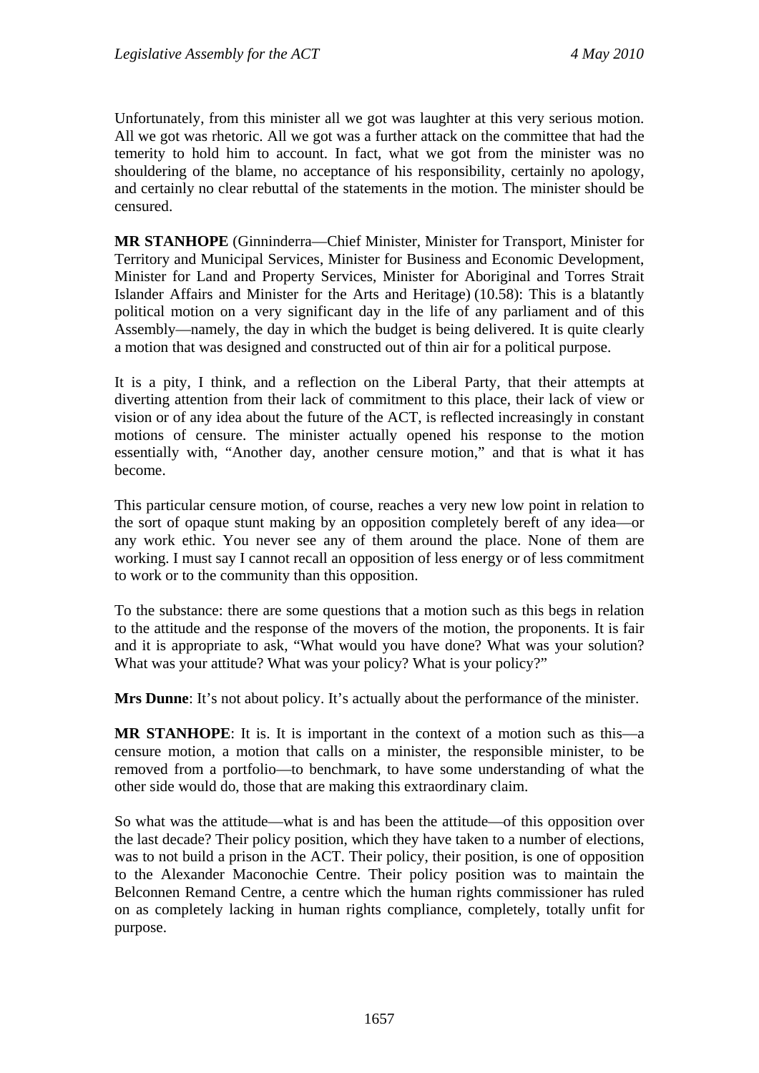Unfortunately, from this minister all we got was laughter at this very serious motion. All we got was rhetoric. All we got was a further attack on the committee that had the temerity to hold him to account. In fact, what we got from the minister was no shouldering of the blame, no acceptance of his responsibility, certainly no apology, and certainly no clear rebuttal of the statements in the motion. The minister should be censured.

**MR STANHOPE** (Ginninderra—Chief Minister, Minister for Transport, Minister for Territory and Municipal Services, Minister for Business and Economic Development, Minister for Land and Property Services, Minister for Aboriginal and Torres Strait Islander Affairs and Minister for the Arts and Heritage) (10.58): This is a blatantly political motion on a very significant day in the life of any parliament and of this Assembly—namely, the day in which the budget is being delivered. It is quite clearly a motion that was designed and constructed out of thin air for a political purpose.

It is a pity, I think, and a reflection on the Liberal Party, that their attempts at diverting attention from their lack of commitment to this place, their lack of view or vision or of any idea about the future of the ACT, is reflected increasingly in constant motions of censure. The minister actually opened his response to the motion essentially with, "Another day, another censure motion," and that is what it has become.

This particular censure motion, of course, reaches a very new low point in relation to the sort of opaque stunt making by an opposition completely bereft of any idea—or any work ethic. You never see any of them around the place. None of them are working. I must say I cannot recall an opposition of less energy or of less commitment to work or to the community than this opposition.

To the substance: there are some questions that a motion such as this begs in relation to the attitude and the response of the movers of the motion, the proponents. It is fair and it is appropriate to ask, "What would you have done? What was your solution? What was your attitude? What was your policy? What is your policy?"

**Mrs Dunne**: It's not about policy. It's actually about the performance of the minister.

**MR STANHOPE**: It is. It is important in the context of a motion such as this—a censure motion, a motion that calls on a minister, the responsible minister, to be removed from a portfolio—to benchmark, to have some understanding of what the other side would do, those that are making this extraordinary claim.

So what was the attitude—what is and has been the attitude—of this opposition over the last decade? Their policy position, which they have taken to a number of elections, was to not build a prison in the ACT. Their policy, their position, is one of opposition to the Alexander Maconochie Centre. Their policy position was to maintain the Belconnen Remand Centre, a centre which the human rights commissioner has ruled on as completely lacking in human rights compliance, completely, totally unfit for purpose.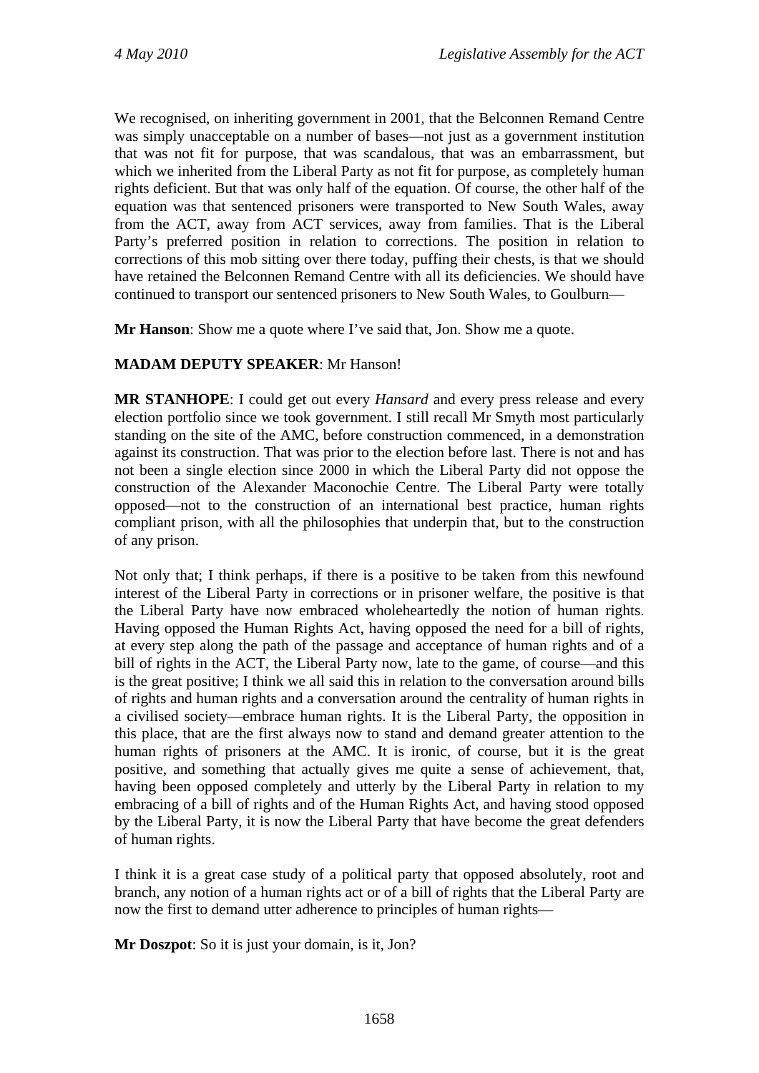We recognised, on inheriting government in 2001, that the Belconnen Remand Centre was simply unacceptable on a number of bases—not just as a government institution that was not fit for purpose, that was scandalous, that was an embarrassment, but which we inherited from the Liberal Party as not fit for purpose, as completely human rights deficient. But that was only half of the equation. Of course, the other half of the equation was that sentenced prisoners were transported to New South Wales, away from the ACT, away from ACT services, away from families. That is the Liberal Party's preferred position in relation to corrections. The position in relation to corrections of this mob sitting over there today, puffing their chests, is that we should have retained the Belconnen Remand Centre with all its deficiencies. We should have continued to transport our sentenced prisoners to New South Wales, to Goulburn—

**Mr Hanson**: Show me a quote where I've said that, Jon. Show me a quote.

### **MADAM DEPUTY SPEAKER**: Mr Hanson!

**MR STANHOPE**: I could get out every *Hansard* and every press release and every election portfolio since we took government. I still recall Mr Smyth most particularly standing on the site of the AMC, before construction commenced, in a demonstration against its construction. That was prior to the election before last. There is not and has not been a single election since 2000 in which the Liberal Party did not oppose the construction of the Alexander Maconochie Centre. The Liberal Party were totally opposed—not to the construction of an international best practice, human rights compliant prison, with all the philosophies that underpin that, but to the construction of any prison.

Not only that; I think perhaps, if there is a positive to be taken from this newfound interest of the Liberal Party in corrections or in prisoner welfare, the positive is that the Liberal Party have now embraced wholeheartedly the notion of human rights. Having opposed the Human Rights Act, having opposed the need for a bill of rights, at every step along the path of the passage and acceptance of human rights and of a bill of rights in the ACT, the Liberal Party now, late to the game, of course—and this is the great positive; I think we all said this in relation to the conversation around bills of rights and human rights and a conversation around the centrality of human rights in a civilised society—embrace human rights. It is the Liberal Party, the opposition in this place, that are the first always now to stand and demand greater attention to the human rights of prisoners at the AMC. It is ironic, of course, but it is the great positive, and something that actually gives me quite a sense of achievement, that, having been opposed completely and utterly by the Liberal Party in relation to my embracing of a bill of rights and of the Human Rights Act, and having stood opposed by the Liberal Party, it is now the Liberal Party that have become the great defenders of human rights.

I think it is a great case study of a political party that opposed absolutely, root and branch, any notion of a human rights act or of a bill of rights that the Liberal Party are now the first to demand utter adherence to principles of human rights—

**Mr Doszpot**: So it is just your domain, is it, Jon?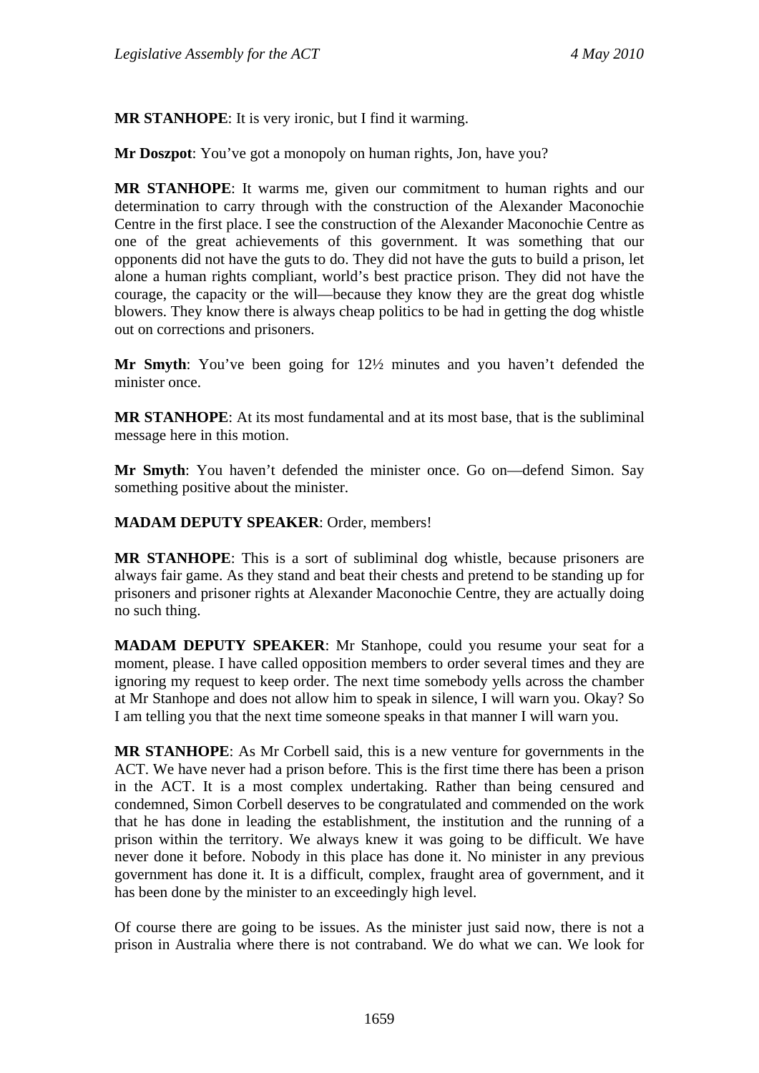**MR STANHOPE**: It is very ironic, but I find it warming.

**Mr Doszpot**: You've got a monopoly on human rights, Jon, have you?

**MR STANHOPE**: It warms me, given our commitment to human rights and our determination to carry through with the construction of the Alexander Maconochie Centre in the first place. I see the construction of the Alexander Maconochie Centre as one of the great achievements of this government. It was something that our opponents did not have the guts to do. They did not have the guts to build a prison, let alone a human rights compliant, world's best practice prison. They did not have the courage, the capacity or the will—because they know they are the great dog whistle blowers. They know there is always cheap politics to be had in getting the dog whistle out on corrections and prisoners.

**Mr Smyth**: You've been going for 12½ minutes and you haven't defended the minister once.

**MR STANHOPE**: At its most fundamental and at its most base, that is the subliminal message here in this motion.

**Mr Smyth**: You haven't defended the minister once. Go on—defend Simon. Say something positive about the minister.

**MADAM DEPUTY SPEAKER**: Order, members!

**MR STANHOPE**: This is a sort of subliminal dog whistle, because prisoners are always fair game. As they stand and beat their chests and pretend to be standing up for prisoners and prisoner rights at Alexander Maconochie Centre, they are actually doing no such thing.

**MADAM DEPUTY SPEAKER**: Mr Stanhope, could you resume your seat for a moment, please. I have called opposition members to order several times and they are ignoring my request to keep order. The next time somebody yells across the chamber at Mr Stanhope and does not allow him to speak in silence, I will warn you. Okay? So I am telling you that the next time someone speaks in that manner I will warn you.

**MR STANHOPE**: As Mr Corbell said, this is a new venture for governments in the ACT. We have never had a prison before. This is the first time there has been a prison in the ACT. It is a most complex undertaking. Rather than being censured and condemned, Simon Corbell deserves to be congratulated and commended on the work that he has done in leading the establishment, the institution and the running of a prison within the territory. We always knew it was going to be difficult. We have never done it before. Nobody in this place has done it. No minister in any previous government has done it. It is a difficult, complex, fraught area of government, and it has been done by the minister to an exceedingly high level.

Of course there are going to be issues. As the minister just said now, there is not a prison in Australia where there is not contraband. We do what we can. We look for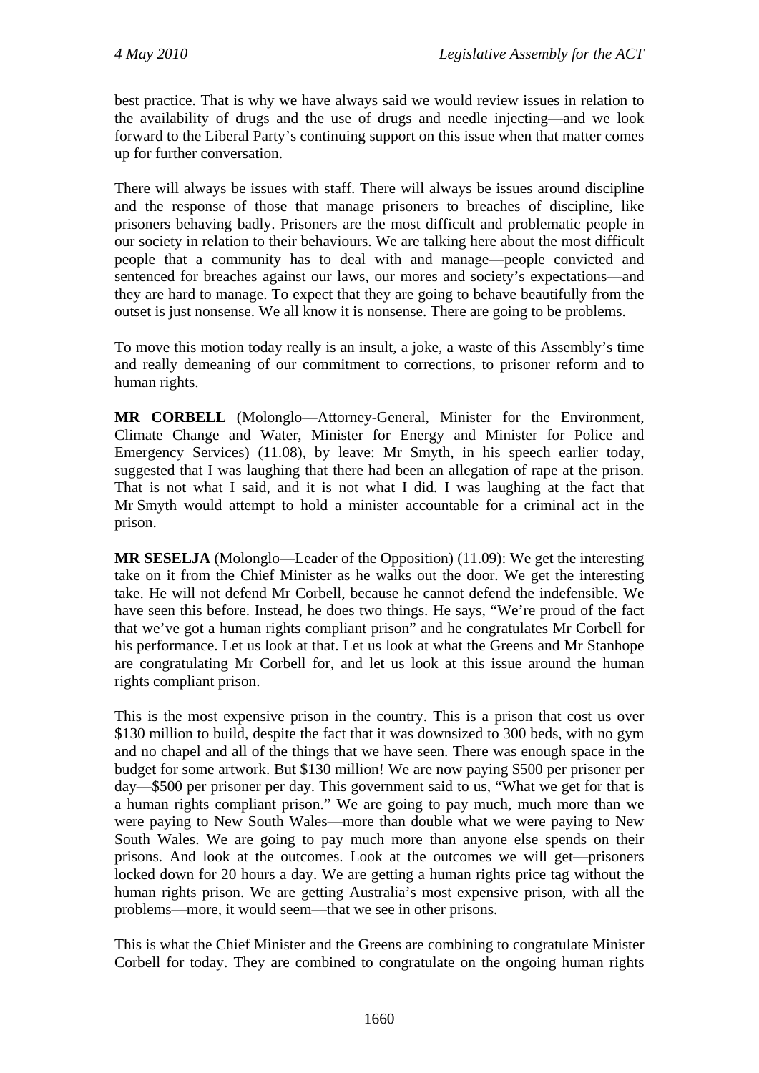best practice. That is why we have always said we would review issues in relation to the availability of drugs and the use of drugs and needle injecting—and we look forward to the Liberal Party's continuing support on this issue when that matter comes up for further conversation.

There will always be issues with staff. There will always be issues around discipline and the response of those that manage prisoners to breaches of discipline, like prisoners behaving badly. Prisoners are the most difficult and problematic people in our society in relation to their behaviours. We are talking here about the most difficult people that a community has to deal with and manage—people convicted and sentenced for breaches against our laws, our mores and society's expectations—and they are hard to manage. To expect that they are going to behave beautifully from the outset is just nonsense. We all know it is nonsense. There are going to be problems.

To move this motion today really is an insult, a joke, a waste of this Assembly's time and really demeaning of our commitment to corrections, to prisoner reform and to human rights.

**MR CORBELL** (Molonglo—Attorney-General, Minister for the Environment, Climate Change and Water, Minister for Energy and Minister for Police and Emergency Services) (11.08), by leave: Mr Smyth, in his speech earlier today, suggested that I was laughing that there had been an allegation of rape at the prison. That is not what I said, and it is not what I did. I was laughing at the fact that Mr Smyth would attempt to hold a minister accountable for a criminal act in the prison.

**MR SESELJA** (Molonglo—Leader of the Opposition) (11.09): We get the interesting take on it from the Chief Minister as he walks out the door. We get the interesting take. He will not defend Mr Corbell, because he cannot defend the indefensible. We have seen this before. Instead, he does two things. He says, "We're proud of the fact that we've got a human rights compliant prison" and he congratulates Mr Corbell for his performance. Let us look at that. Let us look at what the Greens and Mr Stanhope are congratulating Mr Corbell for, and let us look at this issue around the human rights compliant prison.

This is the most expensive prison in the country. This is a prison that cost us over \$130 million to build, despite the fact that it was downsized to 300 beds, with no gym and no chapel and all of the things that we have seen. There was enough space in the budget for some artwork. But \$130 million! We are now paying \$500 per prisoner per day—\$500 per prisoner per day. This government said to us, "What we get for that is a human rights compliant prison." We are going to pay much, much more than we were paying to New South Wales—more than double what we were paying to New South Wales. We are going to pay much more than anyone else spends on their prisons. And look at the outcomes. Look at the outcomes we will get—prisoners locked down for 20 hours a day. We are getting a human rights price tag without the human rights prison. We are getting Australia's most expensive prison, with all the problems—more, it would seem—that we see in other prisons.

This is what the Chief Minister and the Greens are combining to congratulate Minister Corbell for today. They are combined to congratulate on the ongoing human rights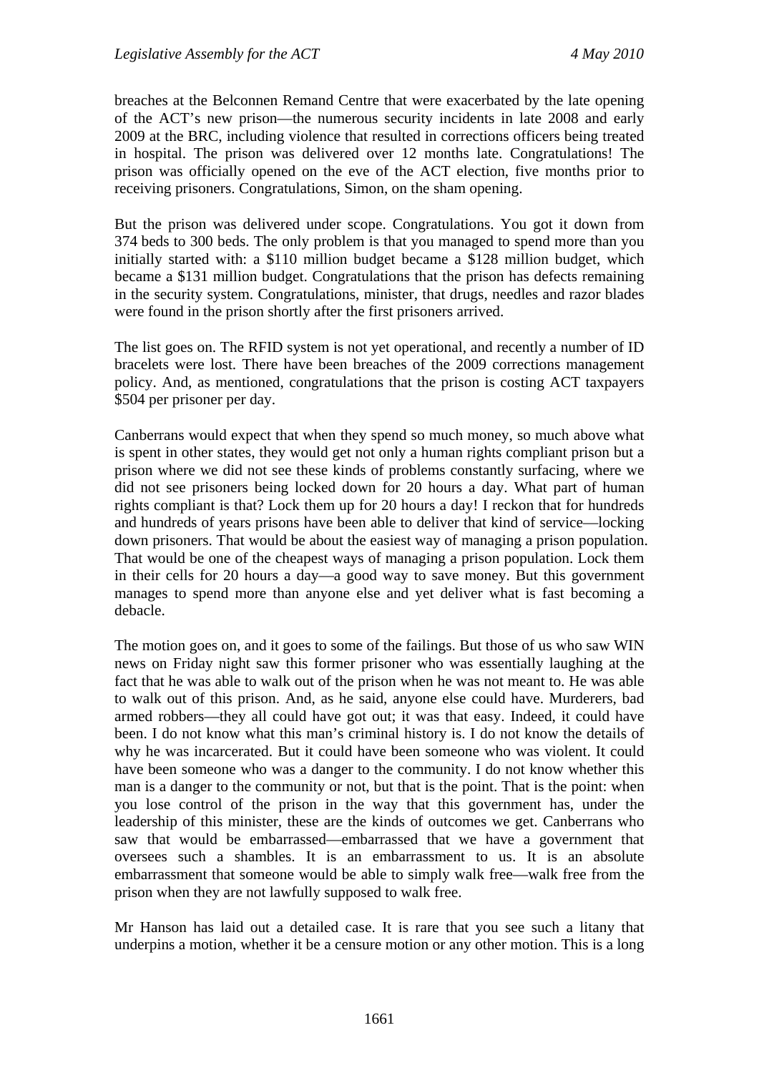breaches at the Belconnen Remand Centre that were exacerbated by the late opening of the ACT's new prison—the numerous security incidents in late 2008 and early 2009 at the BRC, including violence that resulted in corrections officers being treated in hospital. The prison was delivered over 12 months late. Congratulations! The prison was officially opened on the eve of the ACT election, five months prior to receiving prisoners. Congratulations, Simon, on the sham opening.

But the prison was delivered under scope. Congratulations. You got it down from 374 beds to 300 beds. The only problem is that you managed to spend more than you initially started with: a \$110 million budget became a \$128 million budget, which became a \$131 million budget. Congratulations that the prison has defects remaining in the security system. Congratulations, minister, that drugs, needles and razor blades were found in the prison shortly after the first prisoners arrived.

The list goes on. The RFID system is not yet operational, and recently a number of ID bracelets were lost. There have been breaches of the 2009 corrections management policy. And, as mentioned, congratulations that the prison is costing ACT taxpayers \$504 per prisoner per day.

Canberrans would expect that when they spend so much money, so much above what is spent in other states, they would get not only a human rights compliant prison but a prison where we did not see these kinds of problems constantly surfacing, where we did not see prisoners being locked down for 20 hours a day. What part of human rights compliant is that? Lock them up for 20 hours a day! I reckon that for hundreds and hundreds of years prisons have been able to deliver that kind of service—locking down prisoners. That would be about the easiest way of managing a prison population. That would be one of the cheapest ways of managing a prison population. Lock them in their cells for 20 hours a day—a good way to save money. But this government manages to spend more than anyone else and yet deliver what is fast becoming a debacle.

The motion goes on, and it goes to some of the failings. But those of us who saw WIN news on Friday night saw this former prisoner who was essentially laughing at the fact that he was able to walk out of the prison when he was not meant to. He was able to walk out of this prison. And, as he said, anyone else could have. Murderers, bad armed robbers—they all could have got out; it was that easy. Indeed, it could have been. I do not know what this man's criminal history is. I do not know the details of why he was incarcerated. But it could have been someone who was violent. It could have been someone who was a danger to the community. I do not know whether this man is a danger to the community or not, but that is the point. That is the point: when you lose control of the prison in the way that this government has, under the leadership of this minister, these are the kinds of outcomes we get. Canberrans who saw that would be embarrassed—embarrassed that we have a government that oversees such a shambles. It is an embarrassment to us. It is an absolute embarrassment that someone would be able to simply walk free—walk free from the prison when they are not lawfully supposed to walk free.

Mr Hanson has laid out a detailed case. It is rare that you see such a litany that underpins a motion, whether it be a censure motion or any other motion. This is a long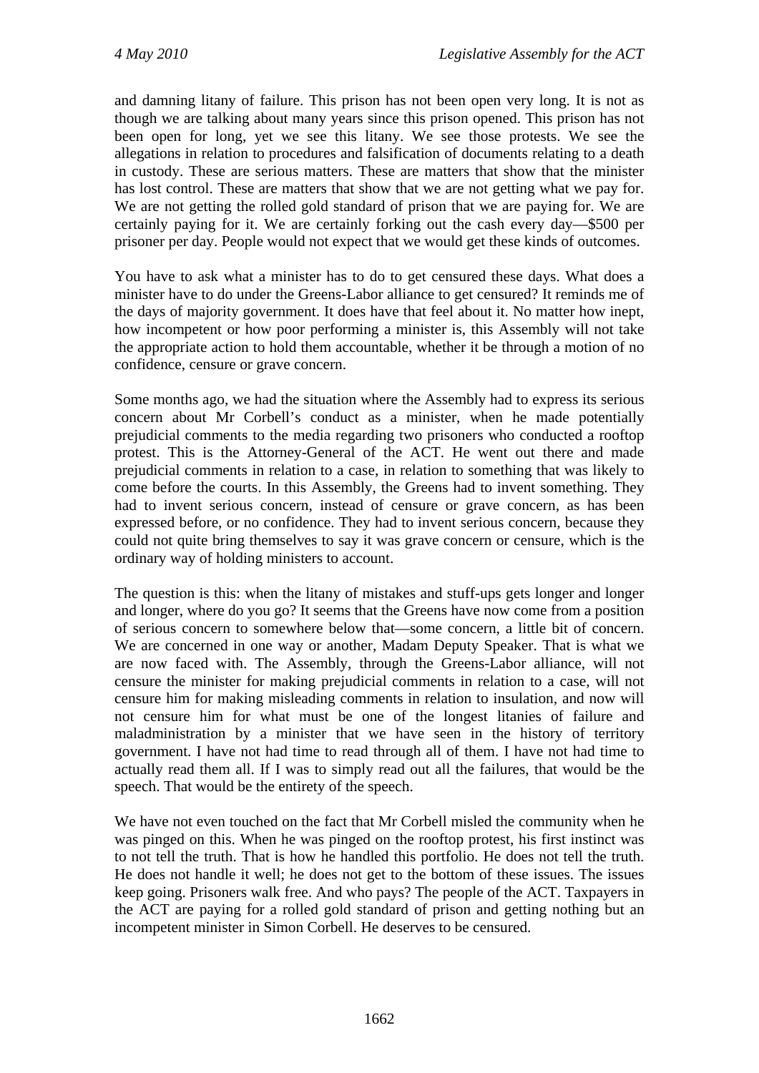and damning litany of failure. This prison has not been open very long. It is not as though we are talking about many years since this prison opened. This prison has not been open for long, yet we see this litany. We see those protests. We see the allegations in relation to procedures and falsification of documents relating to a death in custody. These are serious matters. These are matters that show that the minister has lost control. These are matters that show that we are not getting what we pay for. We are not getting the rolled gold standard of prison that we are paying for. We are certainly paying for it. We are certainly forking out the cash every day—\$500 per prisoner per day. People would not expect that we would get these kinds of outcomes.

You have to ask what a minister has to do to get censured these days. What does a minister have to do under the Greens-Labor alliance to get censured? It reminds me of the days of majority government. It does have that feel about it. No matter how inept, how incompetent or how poor performing a minister is, this Assembly will not take the appropriate action to hold them accountable, whether it be through a motion of no confidence, censure or grave concern.

Some months ago, we had the situation where the Assembly had to express its serious concern about Mr Corbell's conduct as a minister, when he made potentially prejudicial comments to the media regarding two prisoners who conducted a rooftop protest. This is the Attorney-General of the ACT. He went out there and made prejudicial comments in relation to a case, in relation to something that was likely to come before the courts. In this Assembly, the Greens had to invent something. They had to invent serious concern, instead of censure or grave concern, as has been expressed before, or no confidence. They had to invent serious concern, because they could not quite bring themselves to say it was grave concern or censure, which is the ordinary way of holding ministers to account.

The question is this: when the litany of mistakes and stuff-ups gets longer and longer and longer, where do you go? It seems that the Greens have now come from a position of serious concern to somewhere below that—some concern, a little bit of concern. We are concerned in one way or another, Madam Deputy Speaker. That is what we are now faced with. The Assembly, through the Greens-Labor alliance, will not censure the minister for making prejudicial comments in relation to a case, will not censure him for making misleading comments in relation to insulation, and now will not censure him for what must be one of the longest litanies of failure and maladministration by a minister that we have seen in the history of territory government. I have not had time to read through all of them. I have not had time to actually read them all. If I was to simply read out all the failures, that would be the speech. That would be the entirety of the speech.

We have not even touched on the fact that Mr Corbell misled the community when he was pinged on this. When he was pinged on the rooftop protest, his first instinct was to not tell the truth. That is how he handled this portfolio. He does not tell the truth. He does not handle it well; he does not get to the bottom of these issues. The issues keep going. Prisoners walk free. And who pays? The people of the ACT. Taxpayers in the ACT are paying for a rolled gold standard of prison and getting nothing but an incompetent minister in Simon Corbell. He deserves to be censured.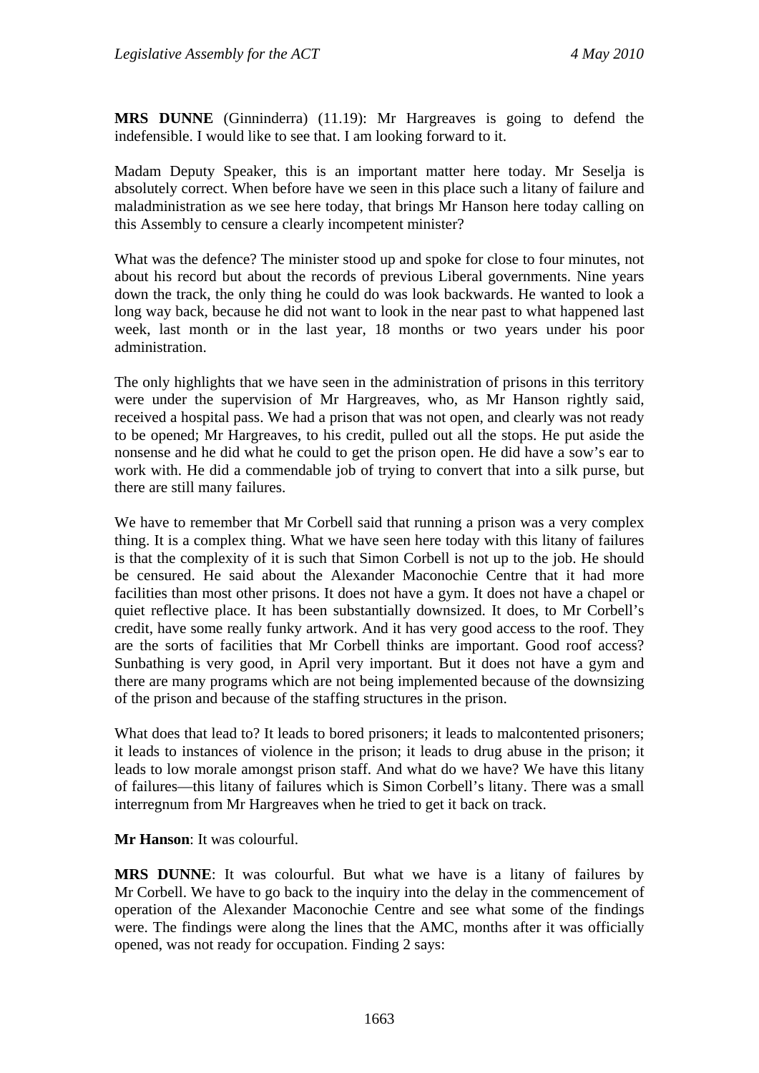**MRS DUNNE** (Ginninderra) (11.19): Mr Hargreaves is going to defend the indefensible. I would like to see that. I am looking forward to it.

Madam Deputy Speaker, this is an important matter here today. Mr Seselja is absolutely correct. When before have we seen in this place such a litany of failure and maladministration as we see here today, that brings Mr Hanson here today calling on this Assembly to censure a clearly incompetent minister?

What was the defence? The minister stood up and spoke for close to four minutes, not about his record but about the records of previous Liberal governments. Nine years down the track, the only thing he could do was look backwards. He wanted to look a long way back, because he did not want to look in the near past to what happened last week, last month or in the last year, 18 months or two years under his poor administration.

The only highlights that we have seen in the administration of prisons in this territory were under the supervision of Mr Hargreaves, who, as Mr Hanson rightly said, received a hospital pass. We had a prison that was not open, and clearly was not ready to be opened; Mr Hargreaves, to his credit, pulled out all the stops. He put aside the nonsense and he did what he could to get the prison open. He did have a sow's ear to work with. He did a commendable job of trying to convert that into a silk purse, but there are still many failures.

We have to remember that Mr Corbell said that running a prison was a very complex thing. It is a complex thing. What we have seen here today with this litany of failures is that the complexity of it is such that Simon Corbell is not up to the job. He should be censured. He said about the Alexander Maconochie Centre that it had more facilities than most other prisons. It does not have a gym. It does not have a chapel or quiet reflective place. It has been substantially downsized. It does, to Mr Corbell's credit, have some really funky artwork. And it has very good access to the roof. They are the sorts of facilities that Mr Corbell thinks are important. Good roof access? Sunbathing is very good, in April very important. But it does not have a gym and there are many programs which are not being implemented because of the downsizing of the prison and because of the staffing structures in the prison.

What does that lead to? It leads to bored prisoners; it leads to malcontented prisoners; it leads to instances of violence in the prison; it leads to drug abuse in the prison; it leads to low morale amongst prison staff. And what do we have? We have this litany of failures—this litany of failures which is Simon Corbell's litany. There was a small interregnum from Mr Hargreaves when he tried to get it back on track.

#### **Mr Hanson**: It was colourful.

**MRS DUNNE**: It was colourful. But what we have is a litany of failures by Mr Corbell. We have to go back to the inquiry into the delay in the commencement of operation of the Alexander Maconochie Centre and see what some of the findings were. The findings were along the lines that the AMC, months after it was officially opened, was not ready for occupation. Finding 2 says: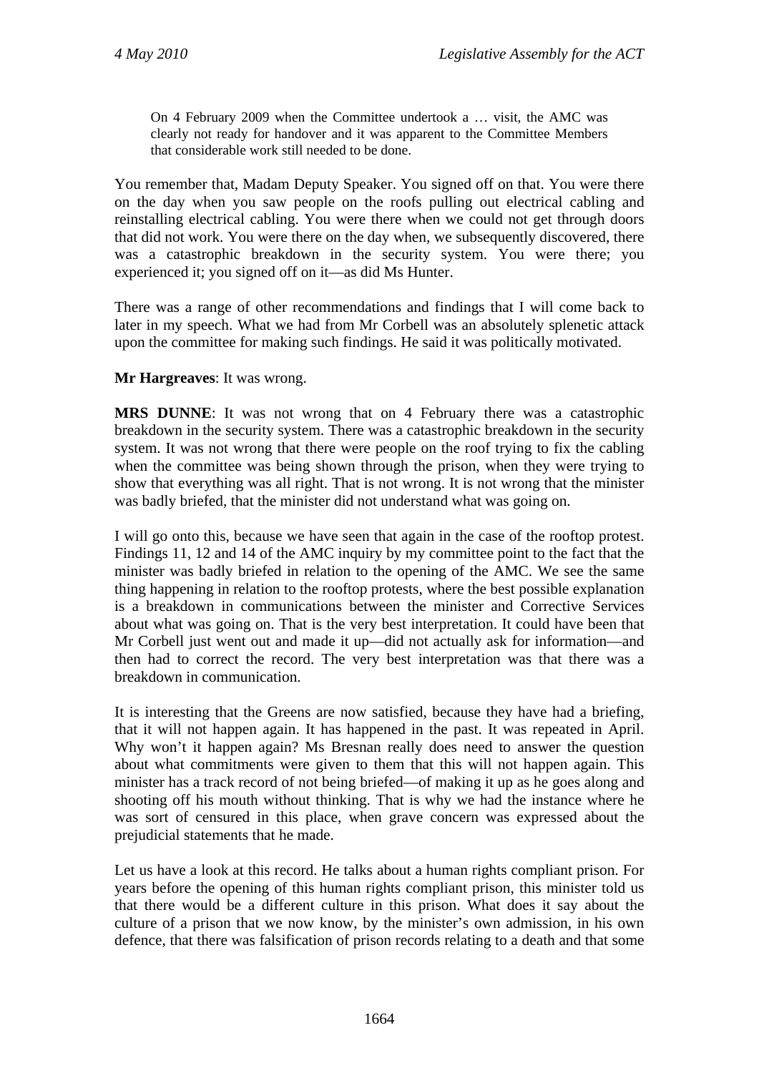On 4 February 2009 when the Committee undertook a … visit, the AMC was clearly not ready for handover and it was apparent to the Committee Members that considerable work still needed to be done.

You remember that, Madam Deputy Speaker. You signed off on that. You were there on the day when you saw people on the roofs pulling out electrical cabling and reinstalling electrical cabling. You were there when we could not get through doors that did not work. You were there on the day when, we subsequently discovered, there was a catastrophic breakdown in the security system. You were there; you experienced it; you signed off on it—as did Ms Hunter.

There was a range of other recommendations and findings that I will come back to later in my speech. What we had from Mr Corbell was an absolutely splenetic attack upon the committee for making such findings. He said it was politically motivated.

**Mr Hargreaves**: It was wrong.

**MRS DUNNE**: It was not wrong that on 4 February there was a catastrophic breakdown in the security system. There was a catastrophic breakdown in the security system. It was not wrong that there were people on the roof trying to fix the cabling when the committee was being shown through the prison, when they were trying to show that everything was all right. That is not wrong. It is not wrong that the minister was badly briefed, that the minister did not understand what was going on.

I will go onto this, because we have seen that again in the case of the rooftop protest. Findings 11, 12 and 14 of the AMC inquiry by my committee point to the fact that the minister was badly briefed in relation to the opening of the AMC. We see the same thing happening in relation to the rooftop protests, where the best possible explanation is a breakdown in communications between the minister and Corrective Services about what was going on. That is the very best interpretation. It could have been that Mr Corbell just went out and made it up—did not actually ask for information—and then had to correct the record. The very best interpretation was that there was a breakdown in communication.

It is interesting that the Greens are now satisfied, because they have had a briefing, that it will not happen again. It has happened in the past. It was repeated in April. Why won't it happen again? Ms Bresnan really does need to answer the question about what commitments were given to them that this will not happen again. This minister has a track record of not being briefed—of making it up as he goes along and shooting off his mouth without thinking. That is why we had the instance where he was sort of censured in this place, when grave concern was expressed about the prejudicial statements that he made.

Let us have a look at this record. He talks about a human rights compliant prison. For years before the opening of this human rights compliant prison, this minister told us that there would be a different culture in this prison. What does it say about the culture of a prison that we now know, by the minister's own admission, in his own defence, that there was falsification of prison records relating to a death and that some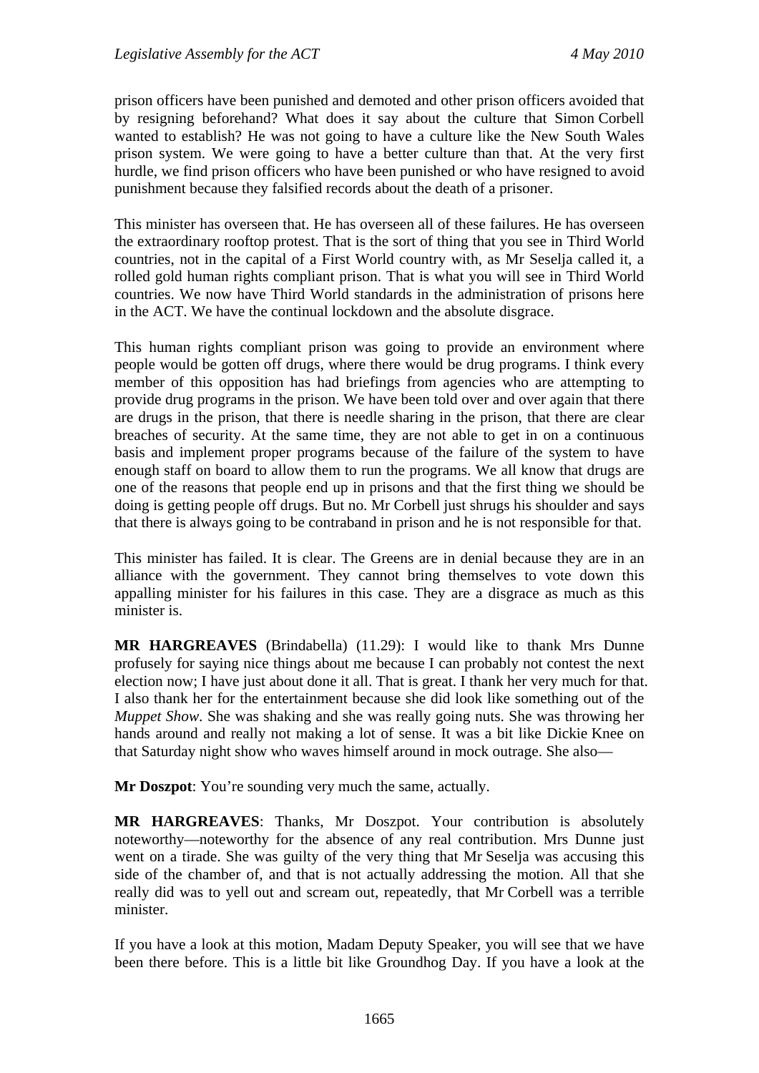prison officers have been punished and demoted and other prison officers avoided that by resigning beforehand? What does it say about the culture that Simon Corbell wanted to establish? He was not going to have a culture like the New South Wales prison system. We were going to have a better culture than that. At the very first hurdle, we find prison officers who have been punished or who have resigned to avoid punishment because they falsified records about the death of a prisoner.

This minister has overseen that. He has overseen all of these failures. He has overseen the extraordinary rooftop protest. That is the sort of thing that you see in Third World countries, not in the capital of a First World country with, as Mr Seselja called it, a rolled gold human rights compliant prison. That is what you will see in Third World countries. We now have Third World standards in the administration of prisons here in the ACT. We have the continual lockdown and the absolute disgrace.

This human rights compliant prison was going to provide an environment where people would be gotten off drugs, where there would be drug programs. I think every member of this opposition has had briefings from agencies who are attempting to provide drug programs in the prison. We have been told over and over again that there are drugs in the prison, that there is needle sharing in the prison, that there are clear breaches of security. At the same time, they are not able to get in on a continuous basis and implement proper programs because of the failure of the system to have enough staff on board to allow them to run the programs. We all know that drugs are one of the reasons that people end up in prisons and that the first thing we should be doing is getting people off drugs. But no. Mr Corbell just shrugs his shoulder and says that there is always going to be contraband in prison and he is not responsible for that.

This minister has failed. It is clear. The Greens are in denial because they are in an alliance with the government. They cannot bring themselves to vote down this appalling minister for his failures in this case. They are a disgrace as much as this minister is.

**MR HARGREAVES** (Brindabella) (11.29): I would like to thank Mrs Dunne profusely for saying nice things about me because I can probably not contest the next election now; I have just about done it all. That is great. I thank her very much for that. I also thank her for the entertainment because she did look like something out of the *Muppet Show*. She was shaking and she was really going nuts. She was throwing her hands around and really not making a lot of sense. It was a bit like Dickie Knee on that Saturday night show who waves himself around in mock outrage. She also—

**Mr Doszpot:** You're sounding very much the same, actually.

**MR HARGREAVES**: Thanks, Mr Doszpot. Your contribution is absolutely noteworthy—noteworthy for the absence of any real contribution. Mrs Dunne just went on a tirade. She was guilty of the very thing that Mr Seselja was accusing this side of the chamber of, and that is not actually addressing the motion. All that she really did was to yell out and scream out, repeatedly, that Mr Corbell was a terrible minister.

If you have a look at this motion, Madam Deputy Speaker, you will see that we have been there before. This is a little bit like Groundhog Day. If you have a look at the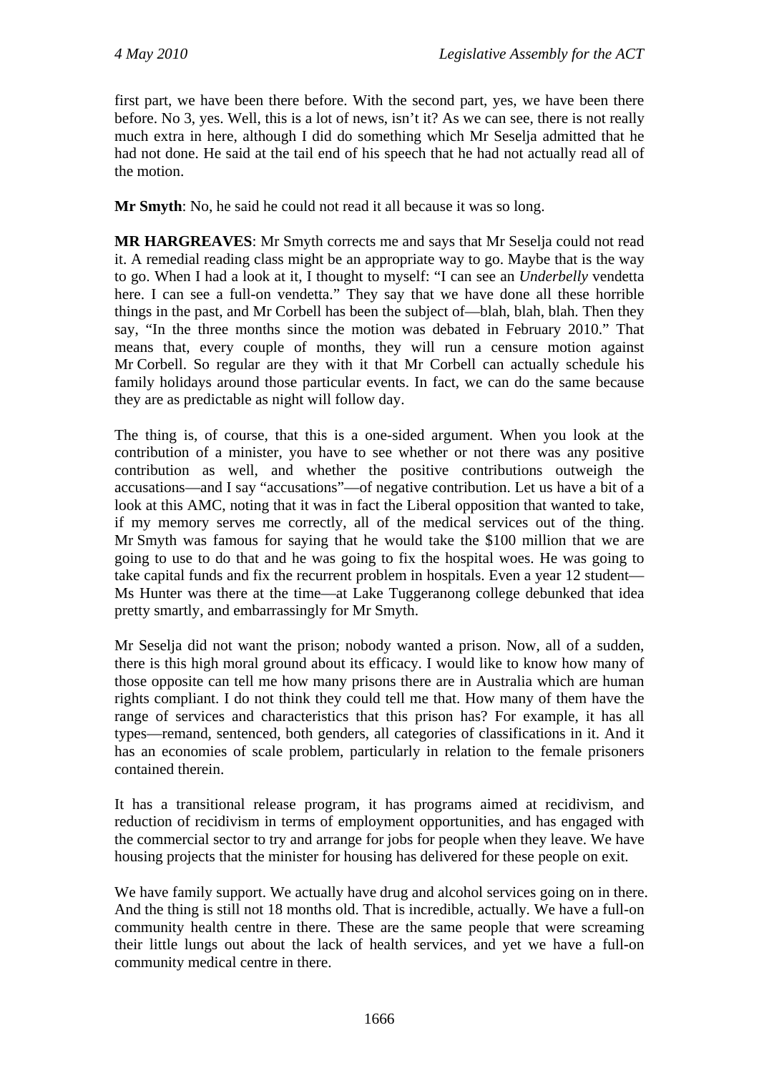first part, we have been there before. With the second part, yes, we have been there before. No 3, yes. Well, this is a lot of news, isn't it? As we can see, there is not really much extra in here, although I did do something which Mr Seselja admitted that he had not done. He said at the tail end of his speech that he had not actually read all of the motion.

**Mr Smyth**: No, he said he could not read it all because it was so long.

**MR HARGREAVES**: Mr Smyth corrects me and says that Mr Seselja could not read it. A remedial reading class might be an appropriate way to go. Maybe that is the way to go. When I had a look at it, I thought to myself: "I can see an *Underbelly* vendetta here. I can see a full-on vendetta." They say that we have done all these horrible things in the past, and Mr Corbell has been the subject of—blah, blah, blah. Then they say, "In the three months since the motion was debated in February 2010." That means that, every couple of months, they will run a censure motion against Mr Corbell. So regular are they with it that Mr Corbell can actually schedule his family holidays around those particular events. In fact, we can do the same because they are as predictable as night will follow day.

The thing is, of course, that this is a one-sided argument. When you look at the contribution of a minister, you have to see whether or not there was any positive contribution as well, and whether the positive contributions outweigh the accusations—and I say "accusations"—of negative contribution. Let us have a bit of a look at this AMC, noting that it was in fact the Liberal opposition that wanted to take, if my memory serves me correctly, all of the medical services out of the thing. Mr Smyth was famous for saying that he would take the \$100 million that we are going to use to do that and he was going to fix the hospital woes. He was going to take capital funds and fix the recurrent problem in hospitals. Even a year 12 student— Ms Hunter was there at the time—at Lake Tuggeranong college debunked that idea pretty smartly, and embarrassingly for Mr Smyth.

Mr Seselja did not want the prison; nobody wanted a prison. Now, all of a sudden, there is this high moral ground about its efficacy. I would like to know how many of those opposite can tell me how many prisons there are in Australia which are human rights compliant. I do not think they could tell me that. How many of them have the range of services and characteristics that this prison has? For example, it has all types—remand, sentenced, both genders, all categories of classifications in it. And it has an economies of scale problem, particularly in relation to the female prisoners contained therein.

It has a transitional release program, it has programs aimed at recidivism, and reduction of recidivism in terms of employment opportunities, and has engaged with the commercial sector to try and arrange for jobs for people when they leave. We have housing projects that the minister for housing has delivered for these people on exit.

We have family support. We actually have drug and alcohol services going on in there. And the thing is still not 18 months old. That is incredible, actually. We have a full-on community health centre in there. These are the same people that were screaming their little lungs out about the lack of health services, and yet we have a full-on community medical centre in there.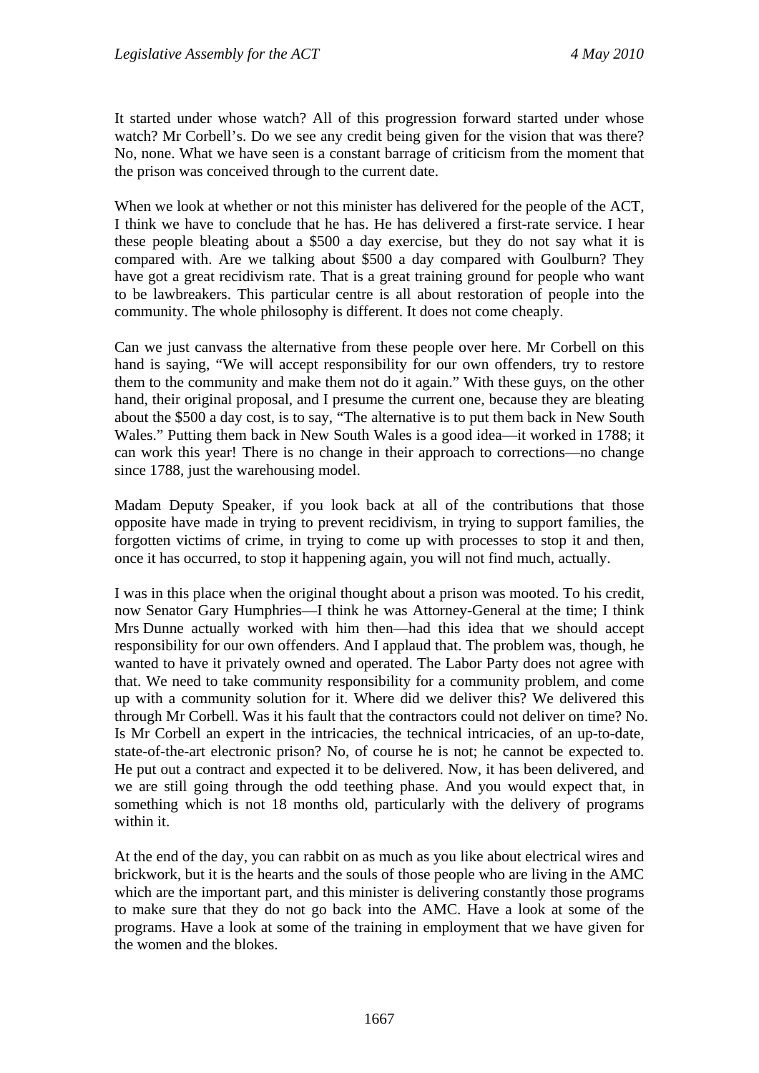It started under whose watch? All of this progression forward started under whose watch? Mr Corbell's. Do we see any credit being given for the vision that was there? No, none. What we have seen is a constant barrage of criticism from the moment that the prison was conceived through to the current date.

When we look at whether or not this minister has delivered for the people of the ACT, I think we have to conclude that he has. He has delivered a first-rate service. I hear these people bleating about a \$500 a day exercise, but they do not say what it is compared with. Are we talking about \$500 a day compared with Goulburn? They have got a great recidivism rate. That is a great training ground for people who want to be lawbreakers. This particular centre is all about restoration of people into the community. The whole philosophy is different. It does not come cheaply.

Can we just canvass the alternative from these people over here. Mr Corbell on this hand is saying, "We will accept responsibility for our own offenders, try to restore them to the community and make them not do it again." With these guys, on the other hand, their original proposal, and I presume the current one, because they are bleating about the \$500 a day cost, is to say, "The alternative is to put them back in New South Wales." Putting them back in New South Wales is a good idea—it worked in 1788; it can work this year! There is no change in their approach to corrections—no change since 1788, just the warehousing model.

Madam Deputy Speaker, if you look back at all of the contributions that those opposite have made in trying to prevent recidivism, in trying to support families, the forgotten victims of crime, in trying to come up with processes to stop it and then, once it has occurred, to stop it happening again, you will not find much, actually.

I was in this place when the original thought about a prison was mooted. To his credit, now Senator Gary Humphries—I think he was Attorney-General at the time; I think Mrs Dunne actually worked with him then—had this idea that we should accept responsibility for our own offenders. And I applaud that. The problem was, though, he wanted to have it privately owned and operated. The Labor Party does not agree with that. We need to take community responsibility for a community problem, and come up with a community solution for it. Where did we deliver this? We delivered this through Mr Corbell. Was it his fault that the contractors could not deliver on time? No. Is Mr Corbell an expert in the intricacies, the technical intricacies, of an up-to-date, state-of-the-art electronic prison? No, of course he is not; he cannot be expected to. He put out a contract and expected it to be delivered. Now, it has been delivered, and we are still going through the odd teething phase. And you would expect that, in something which is not 18 months old, particularly with the delivery of programs within it.

At the end of the day, you can rabbit on as much as you like about electrical wires and brickwork, but it is the hearts and the souls of those people who are living in the AMC which are the important part, and this minister is delivering constantly those programs to make sure that they do not go back into the AMC. Have a look at some of the programs. Have a look at some of the training in employment that we have given for the women and the blokes.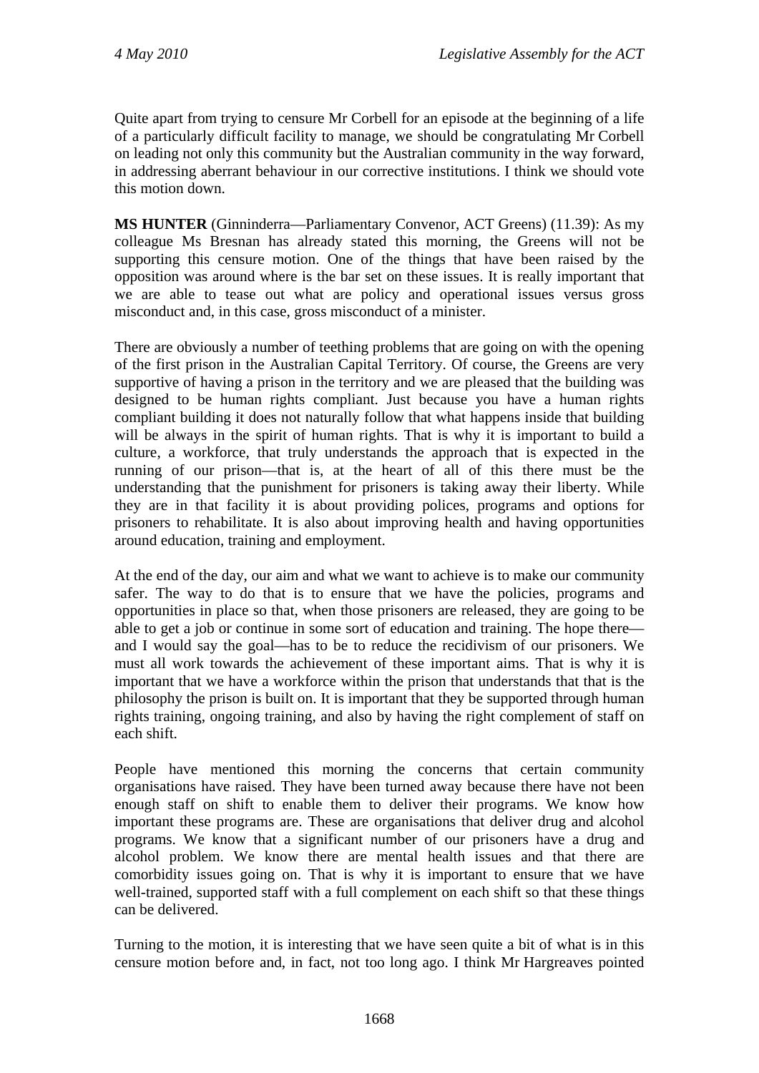Quite apart from trying to censure Mr Corbell for an episode at the beginning of a life of a particularly difficult facility to manage, we should be congratulating Mr Corbell on leading not only this community but the Australian community in the way forward, in addressing aberrant behaviour in our corrective institutions. I think we should vote this motion down.

**MS HUNTER** (Ginninderra—Parliamentary Convenor, ACT Greens) (11.39): As my colleague Ms Bresnan has already stated this morning, the Greens will not be supporting this censure motion. One of the things that have been raised by the opposition was around where is the bar set on these issues. It is really important that we are able to tease out what are policy and operational issues versus gross misconduct and, in this case, gross misconduct of a minister.

There are obviously a number of teething problems that are going on with the opening of the first prison in the Australian Capital Territory. Of course, the Greens are very supportive of having a prison in the territory and we are pleased that the building was designed to be human rights compliant. Just because you have a human rights compliant building it does not naturally follow that what happens inside that building will be always in the spirit of human rights. That is why it is important to build a culture, a workforce, that truly understands the approach that is expected in the running of our prison—that is, at the heart of all of this there must be the understanding that the punishment for prisoners is taking away their liberty. While they are in that facility it is about providing polices, programs and options for prisoners to rehabilitate. It is also about improving health and having opportunities around education, training and employment.

At the end of the day, our aim and what we want to achieve is to make our community safer. The way to do that is to ensure that we have the policies, programs and opportunities in place so that, when those prisoners are released, they are going to be able to get a job or continue in some sort of education and training. The hope there and I would say the goal—has to be to reduce the recidivism of our prisoners. We must all work towards the achievement of these important aims. That is why it is important that we have a workforce within the prison that understands that that is the philosophy the prison is built on. It is important that they be supported through human rights training, ongoing training, and also by having the right complement of staff on each shift.

People have mentioned this morning the concerns that certain community organisations have raised. They have been turned away because there have not been enough staff on shift to enable them to deliver their programs. We know how important these programs are. These are organisations that deliver drug and alcohol programs. We know that a significant number of our prisoners have a drug and alcohol problem. We know there are mental health issues and that there are comorbidity issues going on. That is why it is important to ensure that we have well-trained, supported staff with a full complement on each shift so that these things can be delivered.

Turning to the motion, it is interesting that we have seen quite a bit of what is in this censure motion before and, in fact, not too long ago. I think Mr Hargreaves pointed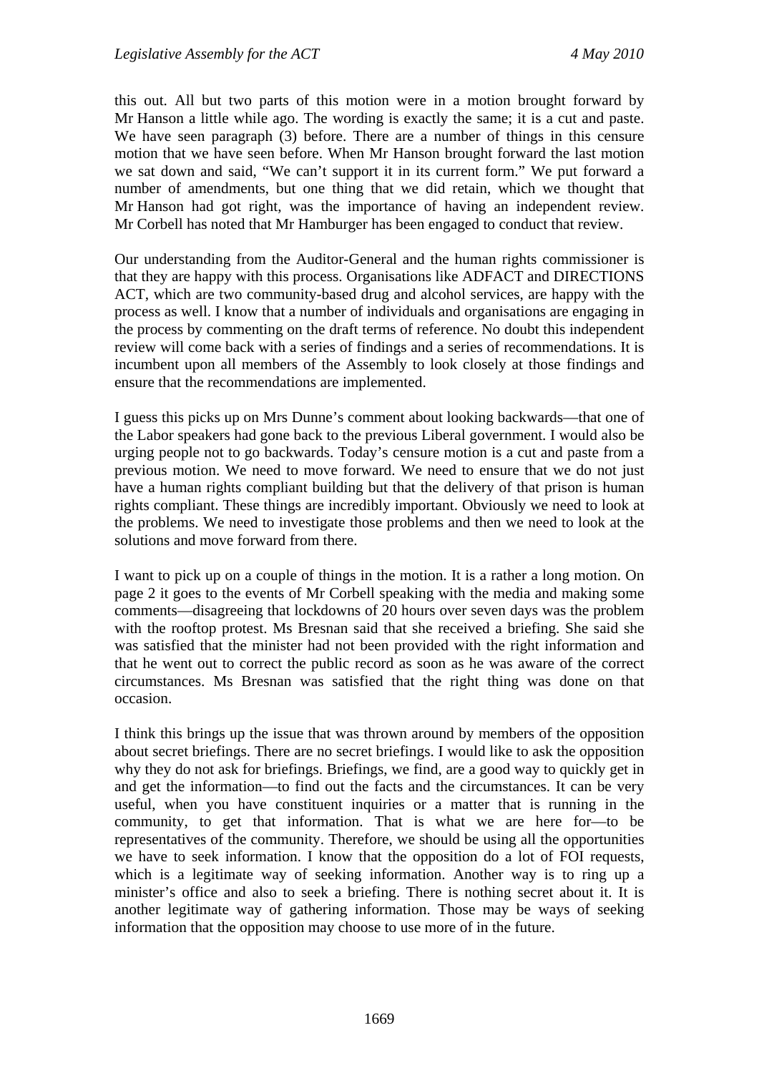this out. All but two parts of this motion were in a motion brought forward by Mr Hanson a little while ago. The wording is exactly the same; it is a cut and paste. We have seen paragraph (3) before. There are a number of things in this censure motion that we have seen before. When Mr Hanson brought forward the last motion we sat down and said, "We can't support it in its current form." We put forward a number of amendments, but one thing that we did retain, which we thought that Mr Hanson had got right, was the importance of having an independent review. Mr Corbell has noted that Mr Hamburger has been engaged to conduct that review.

Our understanding from the Auditor-General and the human rights commissioner is that they are happy with this process. Organisations like ADFACT and DIRECTIONS ACT, which are two community-based drug and alcohol services, are happy with the process as well. I know that a number of individuals and organisations are engaging in the process by commenting on the draft terms of reference. No doubt this independent review will come back with a series of findings and a series of recommendations. It is incumbent upon all members of the Assembly to look closely at those findings and ensure that the recommendations are implemented.

I guess this picks up on Mrs Dunne's comment about looking backwards—that one of the Labor speakers had gone back to the previous Liberal government. I would also be urging people not to go backwards. Today's censure motion is a cut and paste from a previous motion. We need to move forward. We need to ensure that we do not just have a human rights compliant building but that the delivery of that prison is human rights compliant. These things are incredibly important. Obviously we need to look at the problems. We need to investigate those problems and then we need to look at the solutions and move forward from there.

I want to pick up on a couple of things in the motion. It is a rather a long motion. On page 2 it goes to the events of Mr Corbell speaking with the media and making some comments—disagreeing that lockdowns of 20 hours over seven days was the problem with the rooftop protest. Ms Bresnan said that she received a briefing. She said she was satisfied that the minister had not been provided with the right information and that he went out to correct the public record as soon as he was aware of the correct circumstances. Ms Bresnan was satisfied that the right thing was done on that occasion.

I think this brings up the issue that was thrown around by members of the opposition about secret briefings. There are no secret briefings. I would like to ask the opposition why they do not ask for briefings. Briefings, we find, are a good way to quickly get in and get the information—to find out the facts and the circumstances. It can be very useful, when you have constituent inquiries or a matter that is running in the community, to get that information. That is what we are here for—to be representatives of the community. Therefore, we should be using all the opportunities we have to seek information. I know that the opposition do a lot of FOI requests, which is a legitimate way of seeking information. Another way is to ring up a minister's office and also to seek a briefing. There is nothing secret about it. It is another legitimate way of gathering information. Those may be ways of seeking information that the opposition may choose to use more of in the future.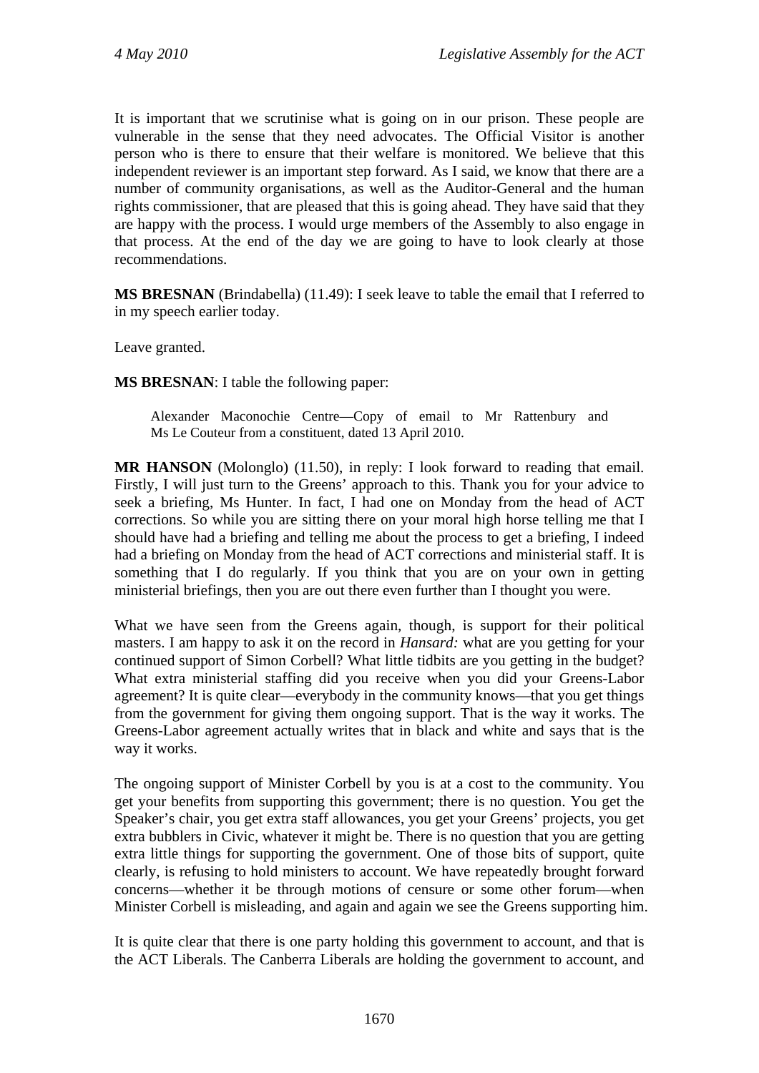It is important that we scrutinise what is going on in our prison. These people are vulnerable in the sense that they need advocates. The Official Visitor is another person who is there to ensure that their welfare is monitored. We believe that this independent reviewer is an important step forward. As I said, we know that there are a number of community organisations, as well as the Auditor-General and the human rights commissioner, that are pleased that this is going ahead. They have said that they are happy with the process. I would urge members of the Assembly to also engage in that process. At the end of the day we are going to have to look clearly at those recommendations.

**MS BRESNAN** (Brindabella) (11.49): I seek leave to table the email that I referred to in my speech earlier today.

Leave granted.

**MS BRESNAN**: I table the following paper:

Alexander Maconochie Centre—Copy of email to Mr Rattenbury and Ms Le Couteur from a constituent, dated 13 April 2010.

**MR HANSON** (Molonglo) (11.50), in reply: I look forward to reading that email. Firstly, I will just turn to the Greens' approach to this. Thank you for your advice to seek a briefing, Ms Hunter. In fact, I had one on Monday from the head of ACT corrections. So while you are sitting there on your moral high horse telling me that I should have had a briefing and telling me about the process to get a briefing, I indeed had a briefing on Monday from the head of ACT corrections and ministerial staff. It is something that I do regularly. If you think that you are on your own in getting ministerial briefings, then you are out there even further than I thought you were.

What we have seen from the Greens again, though, is support for their political masters. I am happy to ask it on the record in *Hansard:* what are you getting for your continued support of Simon Corbell? What little tidbits are you getting in the budget? What extra ministerial staffing did you receive when you did your Greens-Labor agreement? It is quite clear—everybody in the community knows—that you get things from the government for giving them ongoing support. That is the way it works. The Greens-Labor agreement actually writes that in black and white and says that is the way it works.

The ongoing support of Minister Corbell by you is at a cost to the community. You get your benefits from supporting this government; there is no question. You get the Speaker's chair, you get extra staff allowances, you get your Greens' projects, you get extra bubblers in Civic, whatever it might be. There is no question that you are getting extra little things for supporting the government. One of those bits of support, quite clearly, is refusing to hold ministers to account. We have repeatedly brought forward concerns—whether it be through motions of censure or some other forum—when Minister Corbell is misleading, and again and again we see the Greens supporting him.

It is quite clear that there is one party holding this government to account, and that is the ACT Liberals. The Canberra Liberals are holding the government to account, and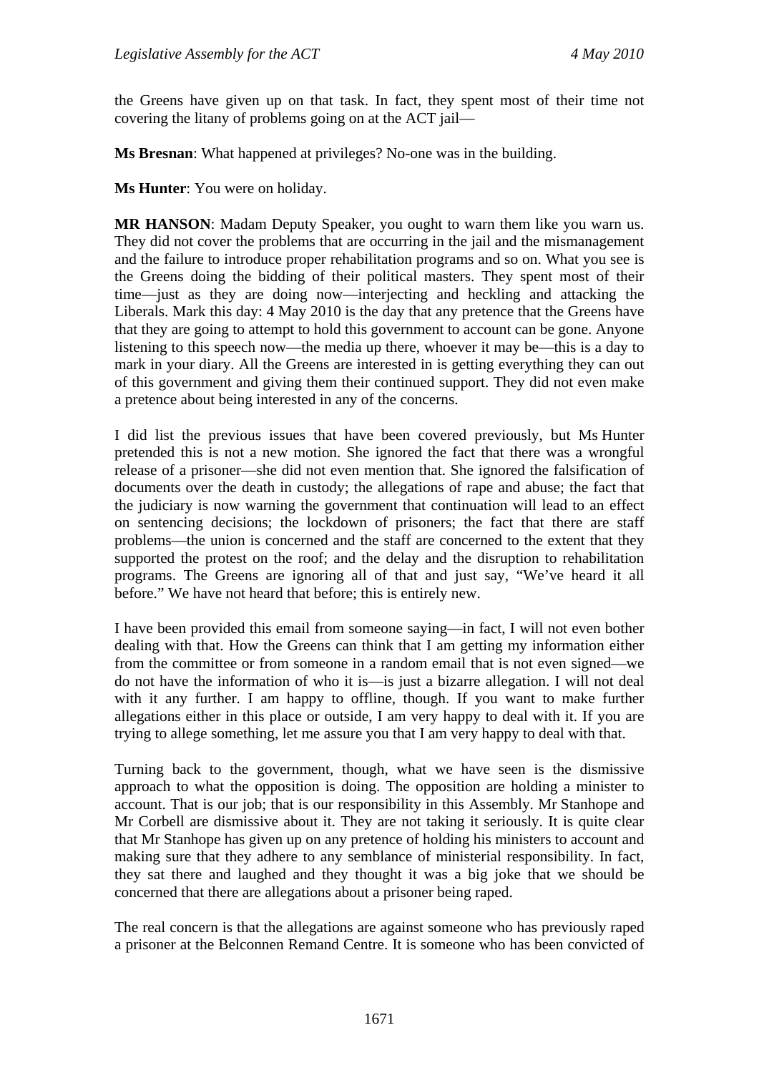the Greens have given up on that task. In fact, they spent most of their time not covering the litany of problems going on at the ACT jail—

**Ms Bresnan**: What happened at privileges? No-one was in the building.

**Ms Hunter**: You were on holiday.

**MR HANSON**: Madam Deputy Speaker, you ought to warn them like you warn us. They did not cover the problems that are occurring in the jail and the mismanagement and the failure to introduce proper rehabilitation programs and so on. What you see is the Greens doing the bidding of their political masters. They spent most of their time—just as they are doing now—interjecting and heckling and attacking the Liberals. Mark this day: 4 May 2010 is the day that any pretence that the Greens have that they are going to attempt to hold this government to account can be gone. Anyone listening to this speech now—the media up there, whoever it may be—this is a day to mark in your diary. All the Greens are interested in is getting everything they can out of this government and giving them their continued support. They did not even make a pretence about being interested in any of the concerns.

I did list the previous issues that have been covered previously, but Ms Hunter pretended this is not a new motion. She ignored the fact that there was a wrongful release of a prisoner—she did not even mention that. She ignored the falsification of documents over the death in custody; the allegations of rape and abuse; the fact that the judiciary is now warning the government that continuation will lead to an effect on sentencing decisions; the lockdown of prisoners; the fact that there are staff problems—the union is concerned and the staff are concerned to the extent that they supported the protest on the roof; and the delay and the disruption to rehabilitation programs. The Greens are ignoring all of that and just say, "We've heard it all before." We have not heard that before; this is entirely new.

I have been provided this email from someone saying—in fact, I will not even bother dealing with that. How the Greens can think that I am getting my information either from the committee or from someone in a random email that is not even signed—we do not have the information of who it is—is just a bizarre allegation. I will not deal with it any further. I am happy to offline, though. If you want to make further allegations either in this place or outside, I am very happy to deal with it. If you are trying to allege something, let me assure you that I am very happy to deal with that.

Turning back to the government, though, what we have seen is the dismissive approach to what the opposition is doing. The opposition are holding a minister to account. That is our job; that is our responsibility in this Assembly. Mr Stanhope and Mr Corbell are dismissive about it. They are not taking it seriously. It is quite clear that Mr Stanhope has given up on any pretence of holding his ministers to account and making sure that they adhere to any semblance of ministerial responsibility. In fact, they sat there and laughed and they thought it was a big joke that we should be concerned that there are allegations about a prisoner being raped.

The real concern is that the allegations are against someone who has previously raped a prisoner at the Belconnen Remand Centre. It is someone who has been convicted of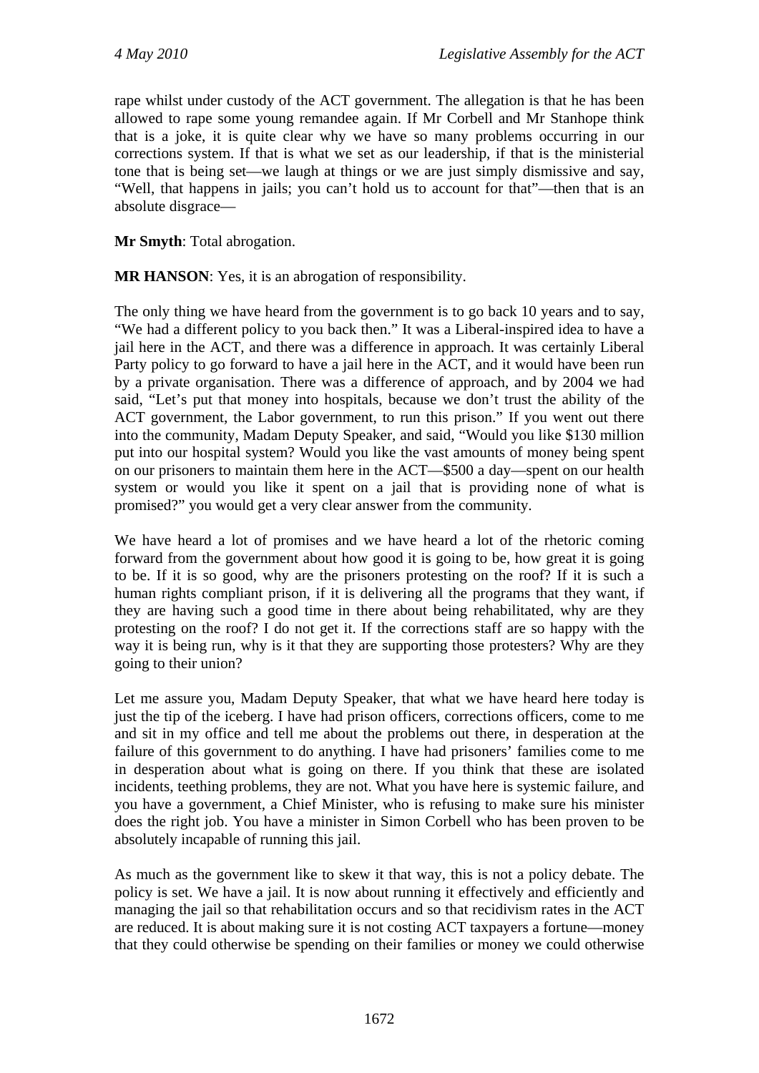rape whilst under custody of the ACT government. The allegation is that he has been allowed to rape some young remandee again. If Mr Corbell and Mr Stanhope think that is a joke, it is quite clear why we have so many problems occurring in our corrections system. If that is what we set as our leadership, if that is the ministerial tone that is being set—we laugh at things or we are just simply dismissive and say, "Well, that happens in jails; you can't hold us to account for that"—then that is an absolute disgrace—

**Mr Smyth**: Total abrogation.

**MR HANSON**: Yes, it is an abrogation of responsibility.

The only thing we have heard from the government is to go back 10 years and to say, "We had a different policy to you back then." It was a Liberal-inspired idea to have a jail here in the ACT, and there was a difference in approach. It was certainly Liberal Party policy to go forward to have a jail here in the ACT, and it would have been run by a private organisation. There was a difference of approach, and by 2004 we had said, "Let's put that money into hospitals, because we don't trust the ability of the ACT government, the Labor government, to run this prison." If you went out there into the community, Madam Deputy Speaker, and said, "Would you like \$130 million put into our hospital system? Would you like the vast amounts of money being spent on our prisoners to maintain them here in the ACT—\$500 a day—spent on our health system or would you like it spent on a jail that is providing none of what is promised?" you would get a very clear answer from the community.

We have heard a lot of promises and we have heard a lot of the rhetoric coming forward from the government about how good it is going to be, how great it is going to be. If it is so good, why are the prisoners protesting on the roof? If it is such a human rights compliant prison, if it is delivering all the programs that they want, if they are having such a good time in there about being rehabilitated, why are they protesting on the roof? I do not get it. If the corrections staff are so happy with the way it is being run, why is it that they are supporting those protesters? Why are they going to their union?

Let me assure you, Madam Deputy Speaker, that what we have heard here today is just the tip of the iceberg. I have had prison officers, corrections officers, come to me and sit in my office and tell me about the problems out there, in desperation at the failure of this government to do anything. I have had prisoners' families come to me in desperation about what is going on there. If you think that these are isolated incidents, teething problems, they are not. What you have here is systemic failure, and you have a government, a Chief Minister, who is refusing to make sure his minister does the right job. You have a minister in Simon Corbell who has been proven to be absolutely incapable of running this jail.

As much as the government like to skew it that way, this is not a policy debate. The policy is set. We have a jail. It is now about running it effectively and efficiently and managing the jail so that rehabilitation occurs and so that recidivism rates in the ACT are reduced. It is about making sure it is not costing ACT taxpayers a fortune—money that they could otherwise be spending on their families or money we could otherwise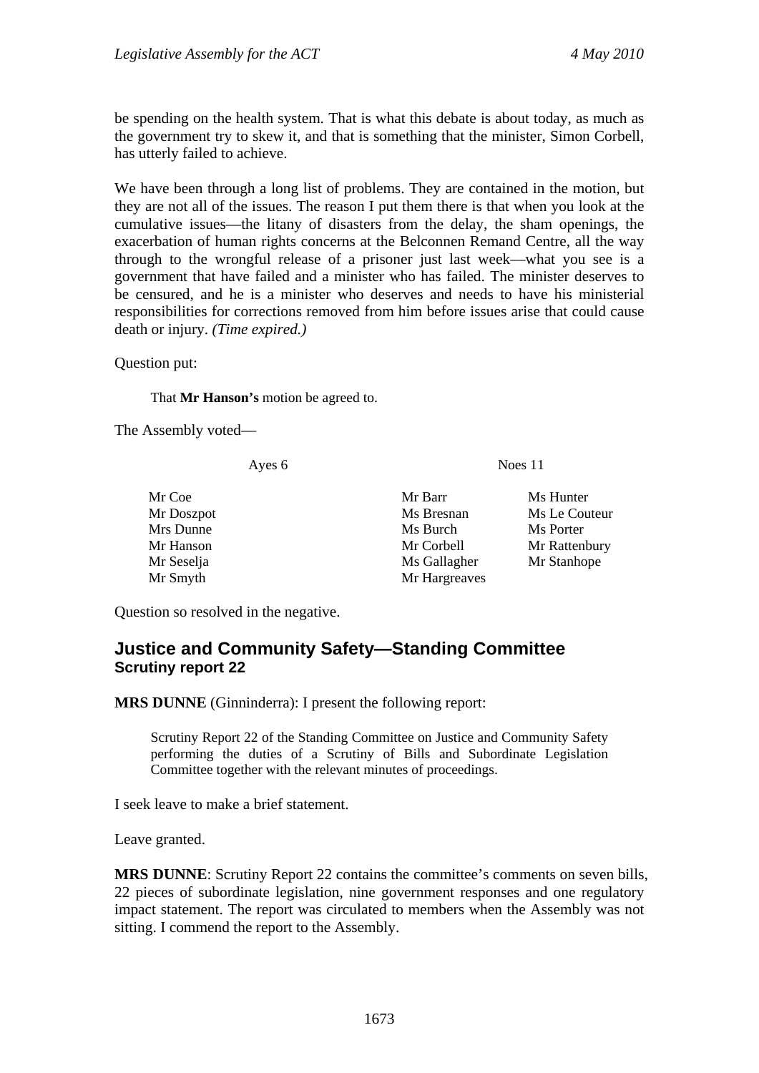be spending on the health system. That is what this debate is about today, as much as the government try to skew it, and that is something that the minister, Simon Corbell, has utterly failed to achieve.

We have been through a long list of problems. They are contained in the motion, but they are not all of the issues. The reason I put them there is that when you look at the cumulative issues—the litany of disasters from the delay, the sham openings, the exacerbation of human rights concerns at the Belconnen Remand Centre, all the way through to the wrongful release of a prisoner just last week—what you see is a government that have failed and a minister who has failed. The minister deserves to be censured, and he is a minister who deserves and needs to have his ministerial responsibilities for corrections removed from him before issues arise that could cause death or injury. *(Time expired.)*

Question put:

That **Mr Hanson's** motion be agreed to.

The Assembly voted—

Ayes 6 Noes 11

Mr Coe Mr Barr Ms Hunter Mr Doszpot Ms Bresnan Ms Le Couteur Mrs Dunne Ms Burch Ms Burch Ms Porter Mr Hanson Mr Corbell Mr Rattenbury Mr Seselja Ms Gallagher Mr Stanhope Mr Smyth Mr Hargreaves

Question so resolved in the negative.

## **Justice and Community Safety—Standing Committee Scrutiny report 22**

**MRS DUNNE** (Ginninderra): I present the following report:

Scrutiny Report 22 of the Standing Committee on Justice and Community Safety performing the duties of a Scrutiny of Bills and Subordinate Legislation Committee together with the relevant minutes of proceedings.

I seek leave to make a brief statement.

Leave granted.

**MRS DUNNE**: Scrutiny Report 22 contains the committee's comments on seven bills, 22 pieces of subordinate legislation, nine government responses and one regulatory impact statement. The report was circulated to members when the Assembly was not sitting. I commend the report to the Assembly.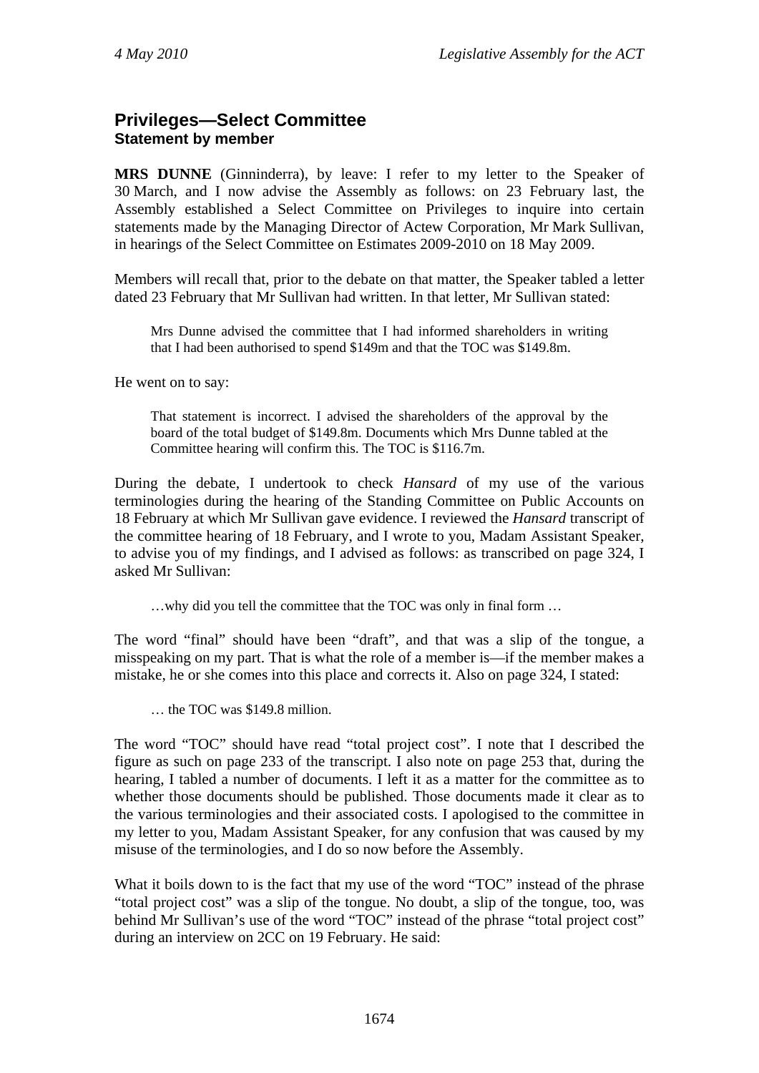## **Privileges—Select Committee Statement by member**

**MRS DUNNE** (Ginninderra), by leave: I refer to my letter to the Speaker of 30 March, and I now advise the Assembly as follows: on 23 February last, the Assembly established a Select Committee on Privileges to inquire into certain statements made by the Managing Director of Actew Corporation, Mr Mark Sullivan, in hearings of the Select Committee on Estimates 2009-2010 on 18 May 2009.

Members will recall that, prior to the debate on that matter, the Speaker tabled a letter dated 23 February that Mr Sullivan had written. In that letter, Mr Sullivan stated:

Mrs Dunne advised the committee that I had informed shareholders in writing that I had been authorised to spend \$149m and that the TOC was \$149.8m.

He went on to say:

That statement is incorrect. I advised the shareholders of the approval by the board of the total budget of \$149.8m. Documents which Mrs Dunne tabled at the Committee hearing will confirm this. The TOC is \$116.7m.

During the debate, I undertook to check *Hansard* of my use of the various terminologies during the hearing of the Standing Committee on Public Accounts on 18 February at which Mr Sullivan gave evidence. I reviewed the *Hansard* transcript of the committee hearing of 18 February, and I wrote to you, Madam Assistant Speaker, to advise you of my findings, and I advised as follows: as transcribed on page 324, I asked Mr Sullivan:

…why did you tell the committee that the TOC was only in final form …

The word "final" should have been "draft", and that was a slip of the tongue, a misspeaking on my part. That is what the role of a member is—if the member makes a mistake, he or she comes into this place and corrects it. Also on page 324, I stated:

… the TOC was \$149.8 million.

The word "TOC" should have read "total project cost". I note that I described the figure as such on page 233 of the transcript. I also note on page 253 that, during the hearing, I tabled a number of documents. I left it as a matter for the committee as to whether those documents should be published. Those documents made it clear as to the various terminologies and their associated costs. I apologised to the committee in my letter to you, Madam Assistant Speaker, for any confusion that was caused by my misuse of the terminologies, and I do so now before the Assembly.

What it boils down to is the fact that my use of the word "TOC" instead of the phrase "total project cost" was a slip of the tongue. No doubt, a slip of the tongue, too, was behind Mr Sullivan's use of the word "TOC" instead of the phrase "total project cost" during an interview on 2CC on 19 February. He said: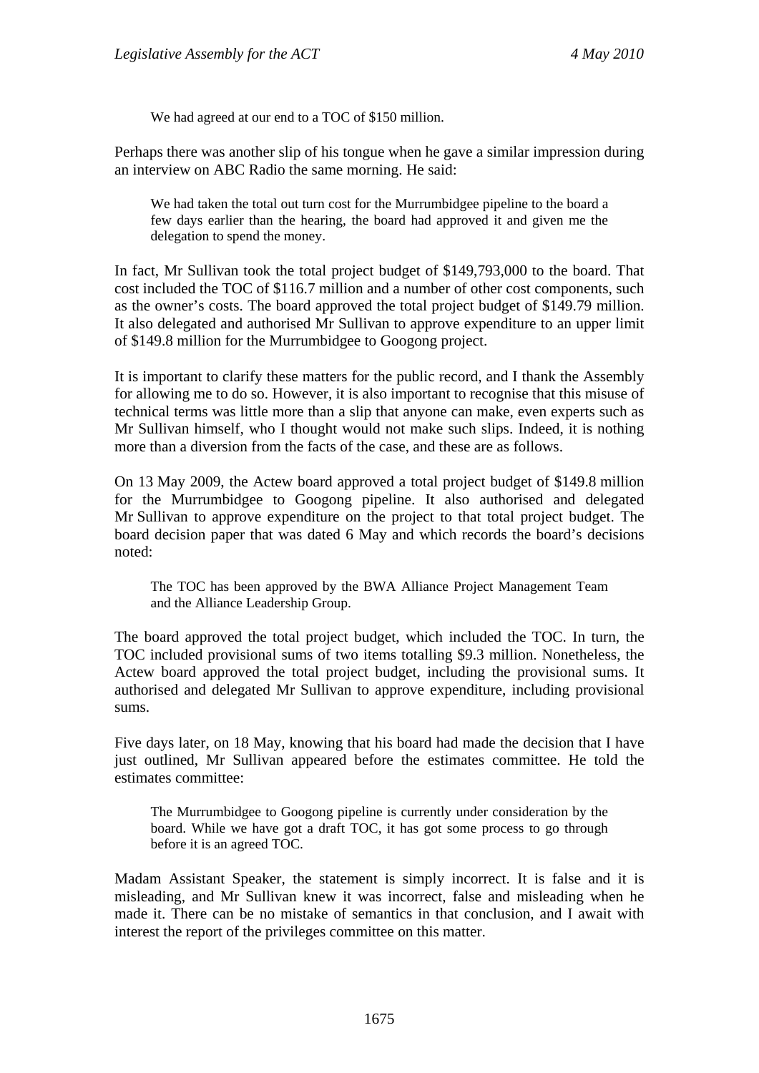We had agreed at our end to a TOC of \$150 million.

Perhaps there was another slip of his tongue when he gave a similar impression during an interview on ABC Radio the same morning. He said:

We had taken the total out turn cost for the Murrumbidgee pipeline to the board a few days earlier than the hearing, the board had approved it and given me the delegation to spend the money.

In fact, Mr Sullivan took the total project budget of \$149,793,000 to the board. That cost included the TOC of \$116.7 million and a number of other cost components, such as the owner's costs. The board approved the total project budget of \$149.79 million. It also delegated and authorised Mr Sullivan to approve expenditure to an upper limit of \$149.8 million for the Murrumbidgee to Googong project.

It is important to clarify these matters for the public record, and I thank the Assembly for allowing me to do so. However, it is also important to recognise that this misuse of technical terms was little more than a slip that anyone can make, even experts such as Mr Sullivan himself, who I thought would not make such slips. Indeed, it is nothing more than a diversion from the facts of the case, and these are as follows.

On 13 May 2009, the Actew board approved a total project budget of \$149.8 million for the Murrumbidgee to Googong pipeline. It also authorised and delegated Mr Sullivan to approve expenditure on the project to that total project budget. The board decision paper that was dated 6 May and which records the board's decisions noted:

The TOC has been approved by the BWA Alliance Project Management Team and the Alliance Leadership Group.

The board approved the total project budget, which included the TOC. In turn, the TOC included provisional sums of two items totalling \$9.3 million. Nonetheless, the Actew board approved the total project budget, including the provisional sums. It authorised and delegated Mr Sullivan to approve expenditure, including provisional sums.

Five days later, on 18 May, knowing that his board had made the decision that I have just outlined, Mr Sullivan appeared before the estimates committee. He told the estimates committee:

The Murrumbidgee to Googong pipeline is currently under consideration by the board. While we have got a draft TOC, it has got some process to go through before it is an agreed TOC.

Madam Assistant Speaker, the statement is simply incorrect. It is false and it is misleading, and Mr Sullivan knew it was incorrect, false and misleading when he made it. There can be no mistake of semantics in that conclusion, and I await with interest the report of the privileges committee on this matter.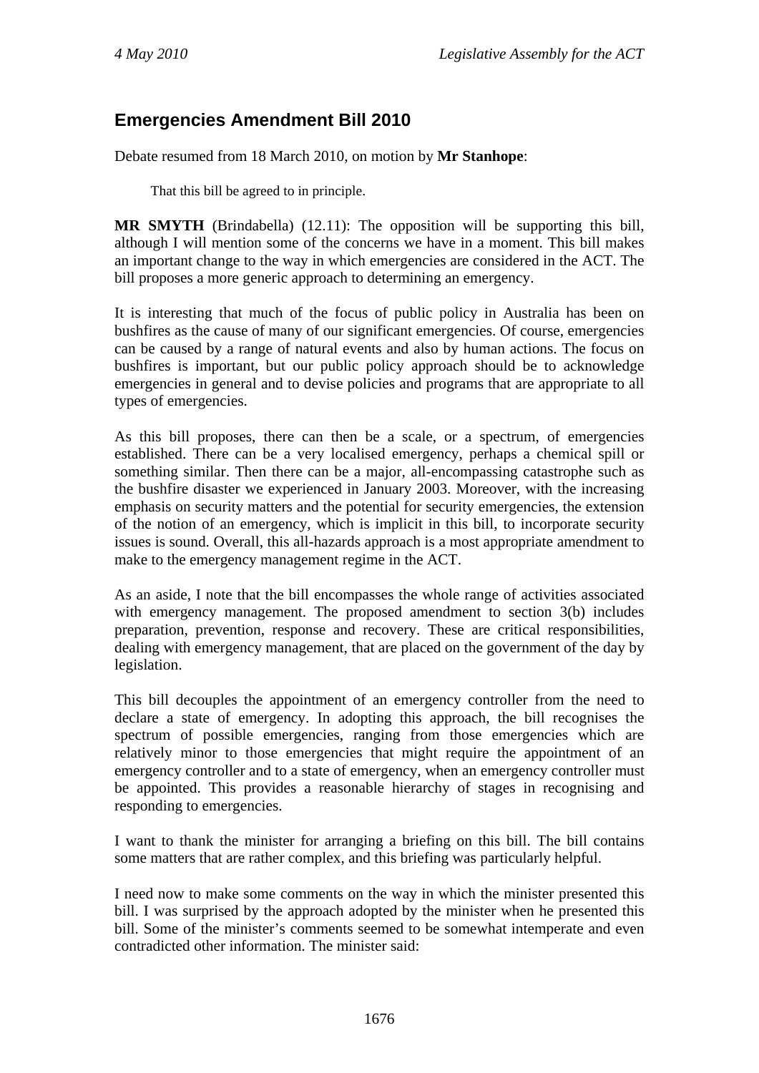# **Emergencies Amendment Bill 2010**

Debate resumed from 18 March 2010, on motion by **Mr Stanhope**:

That this bill be agreed to in principle.

**MR SMYTH** (Brindabella) (12.11): The opposition will be supporting this bill, although I will mention some of the concerns we have in a moment. This bill makes an important change to the way in which emergencies are considered in the ACT. The bill proposes a more generic approach to determining an emergency.

It is interesting that much of the focus of public policy in Australia has been on bushfires as the cause of many of our significant emergencies. Of course, emergencies can be caused by a range of natural events and also by human actions. The focus on bushfires is important, but our public policy approach should be to acknowledge emergencies in general and to devise policies and programs that are appropriate to all types of emergencies.

As this bill proposes, there can then be a scale, or a spectrum, of emergencies established. There can be a very localised emergency, perhaps a chemical spill or something similar. Then there can be a major, all-encompassing catastrophe such as the bushfire disaster we experienced in January 2003. Moreover, with the increasing emphasis on security matters and the potential for security emergencies, the extension of the notion of an emergency, which is implicit in this bill, to incorporate security issues is sound. Overall, this all-hazards approach is a most appropriate amendment to make to the emergency management regime in the ACT.

As an aside, I note that the bill encompasses the whole range of activities associated with emergency management. The proposed amendment to section 3(b) includes preparation, prevention, response and recovery. These are critical responsibilities, dealing with emergency management, that are placed on the government of the day by legislation.

This bill decouples the appointment of an emergency controller from the need to declare a state of emergency. In adopting this approach, the bill recognises the spectrum of possible emergencies, ranging from those emergencies which are relatively minor to those emergencies that might require the appointment of an emergency controller and to a state of emergency, when an emergency controller must be appointed. This provides a reasonable hierarchy of stages in recognising and responding to emergencies.

I want to thank the minister for arranging a briefing on this bill. The bill contains some matters that are rather complex, and this briefing was particularly helpful.

I need now to make some comments on the way in which the minister presented this bill. I was surprised by the approach adopted by the minister when he presented this bill. Some of the minister's comments seemed to be somewhat intemperate and even contradicted other information. The minister said: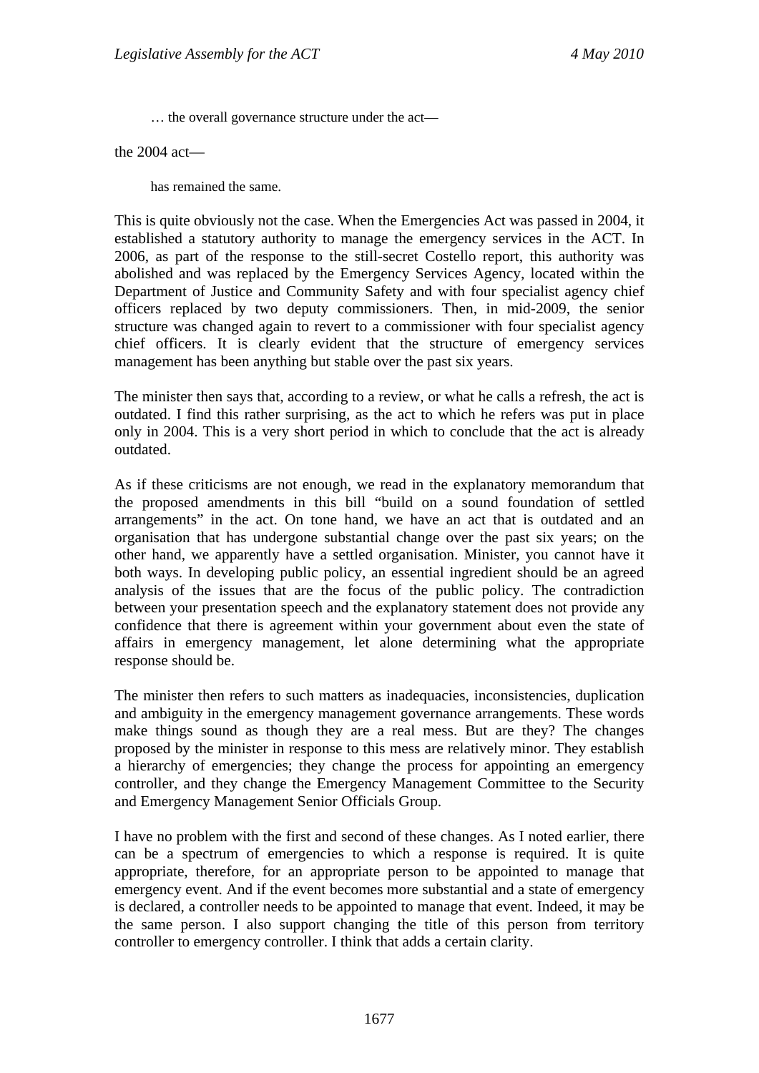… the overall governance structure under the act—

the 2004 act—

has remained the same.

This is quite obviously not the case. When the Emergencies Act was passed in 2004, it established a statutory authority to manage the emergency services in the ACT. In 2006, as part of the response to the still-secret Costello report, this authority was abolished and was replaced by the Emergency Services Agency, located within the Department of Justice and Community Safety and with four specialist agency chief officers replaced by two deputy commissioners. Then, in mid-2009, the senior structure was changed again to revert to a commissioner with four specialist agency chief officers. It is clearly evident that the structure of emergency services management has been anything but stable over the past six years.

The minister then says that, according to a review, or what he calls a refresh, the act is outdated. I find this rather surprising, as the act to which he refers was put in place only in 2004. This is a very short period in which to conclude that the act is already outdated.

As if these criticisms are not enough, we read in the explanatory memorandum that the proposed amendments in this bill "build on a sound foundation of settled arrangements" in the act. On tone hand, we have an act that is outdated and an organisation that has undergone substantial change over the past six years; on the other hand, we apparently have a settled organisation. Minister, you cannot have it both ways. In developing public policy, an essential ingredient should be an agreed analysis of the issues that are the focus of the public policy. The contradiction between your presentation speech and the explanatory statement does not provide any confidence that there is agreement within your government about even the state of affairs in emergency management, let alone determining what the appropriate response should be.

The minister then refers to such matters as inadequacies, inconsistencies, duplication and ambiguity in the emergency management governance arrangements. These words make things sound as though they are a real mess. But are they? The changes proposed by the minister in response to this mess are relatively minor. They establish a hierarchy of emergencies; they change the process for appointing an emergency controller, and they change the Emergency Management Committee to the Security and Emergency Management Senior Officials Group.

I have no problem with the first and second of these changes. As I noted earlier, there can be a spectrum of emergencies to which a response is required. It is quite appropriate, therefore, for an appropriate person to be appointed to manage that emergency event. And if the event becomes more substantial and a state of emergency is declared, a controller needs to be appointed to manage that event. Indeed, it may be the same person. I also support changing the title of this person from territory controller to emergency controller. I think that adds a certain clarity.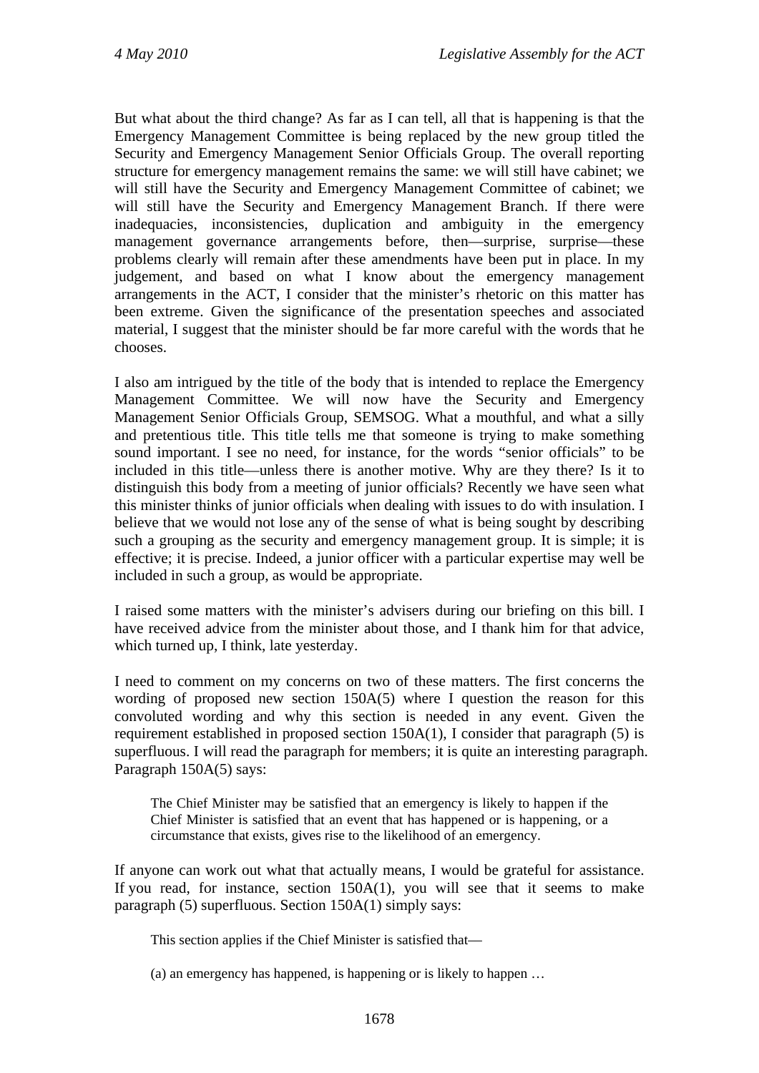But what about the third change? As far as I can tell, all that is happening is that the Emergency Management Committee is being replaced by the new group titled the Security and Emergency Management Senior Officials Group. The overall reporting structure for emergency management remains the same: we will still have cabinet; we will still have the Security and Emergency Management Committee of cabinet; we will still have the Security and Emergency Management Branch. If there were inadequacies, inconsistencies, duplication and ambiguity in the emergency management governance arrangements before, then—surprise, surprise—these problems clearly will remain after these amendments have been put in place. In my judgement, and based on what I know about the emergency management arrangements in the ACT, I consider that the minister's rhetoric on this matter has been extreme. Given the significance of the presentation speeches and associated material, I suggest that the minister should be far more careful with the words that he chooses.

I also am intrigued by the title of the body that is intended to replace the Emergency Management Committee. We will now have the Security and Emergency Management Senior Officials Group, SEMSOG. What a mouthful, and what a silly and pretentious title. This title tells me that someone is trying to make something sound important. I see no need, for instance, for the words "senior officials" to be included in this title—unless there is another motive. Why are they there? Is it to distinguish this body from a meeting of junior officials? Recently we have seen what this minister thinks of junior officials when dealing with issues to do with insulation. I believe that we would not lose any of the sense of what is being sought by describing such a grouping as the security and emergency management group. It is simple; it is effective; it is precise. Indeed, a junior officer with a particular expertise may well be included in such a group, as would be appropriate.

I raised some matters with the minister's advisers during our briefing on this bill. I have received advice from the minister about those, and I thank him for that advice, which turned up, I think, late yesterday.

I need to comment on my concerns on two of these matters. The first concerns the wording of proposed new section 150A(5) where I question the reason for this convoluted wording and why this section is needed in any event. Given the requirement established in proposed section 150A(1), I consider that paragraph (5) is superfluous. I will read the paragraph for members; it is quite an interesting paragraph. Paragraph 150A(5) says:

The Chief Minister may be satisfied that an emergency is likely to happen if the Chief Minister is satisfied that an event that has happened or is happening, or a circumstance that exists, gives rise to the likelihood of an emergency.

If anyone can work out what that actually means, I would be grateful for assistance. If you read, for instance, section 150A(1), you will see that it seems to make paragraph (5) superfluous. Section 150A(1) simply says:

This section applies if the Chief Minister is satisfied that—

(a) an emergency has happened, is happening or is likely to happen …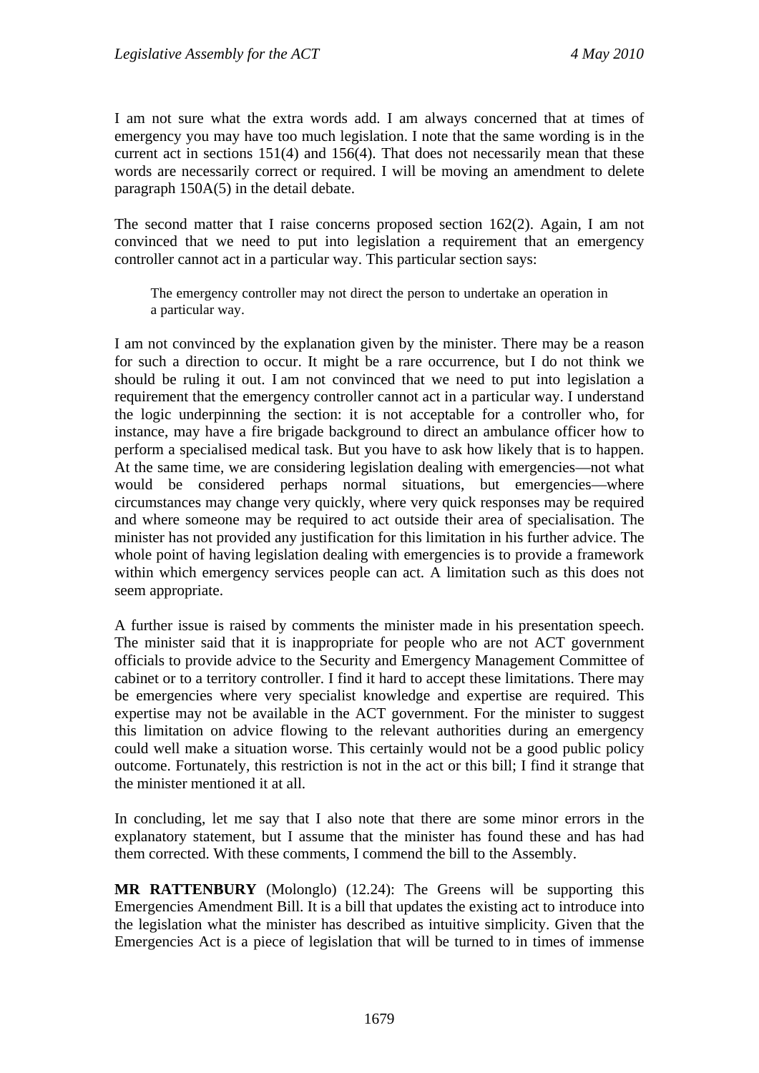I am not sure what the extra words add. I am always concerned that at times of emergency you may have too much legislation. I note that the same wording is in the current act in sections 151(4) and 156(4). That does not necessarily mean that these words are necessarily correct or required. I will be moving an amendment to delete paragraph 150A(5) in the detail debate.

The second matter that I raise concerns proposed section 162(2). Again, I am not convinced that we need to put into legislation a requirement that an emergency controller cannot act in a particular way. This particular section says:

The emergency controller may not direct the person to undertake an operation in a particular way.

I am not convinced by the explanation given by the minister. There may be a reason for such a direction to occur. It might be a rare occurrence, but I do not think we should be ruling it out. I am not convinced that we need to put into legislation a requirement that the emergency controller cannot act in a particular way. I understand the logic underpinning the section: it is not acceptable for a controller who, for instance, may have a fire brigade background to direct an ambulance officer how to perform a specialised medical task. But you have to ask how likely that is to happen. At the same time, we are considering legislation dealing with emergencies—not what would be considered perhaps normal situations, but emergencies—where circumstances may change very quickly, where very quick responses may be required and where someone may be required to act outside their area of specialisation. The minister has not provided any justification for this limitation in his further advice. The whole point of having legislation dealing with emergencies is to provide a framework within which emergency services people can act. A limitation such as this does not seem appropriate.

A further issue is raised by comments the minister made in his presentation speech. The minister said that it is inappropriate for people who are not ACT government officials to provide advice to the Security and Emergency Management Committee of cabinet or to a territory controller. I find it hard to accept these limitations. There may be emergencies where very specialist knowledge and expertise are required. This expertise may not be available in the ACT government. For the minister to suggest this limitation on advice flowing to the relevant authorities during an emergency could well make a situation worse. This certainly would not be a good public policy outcome. Fortunately, this restriction is not in the act or this bill; I find it strange that the minister mentioned it at all.

In concluding, let me say that I also note that there are some minor errors in the explanatory statement, but I assume that the minister has found these and has had them corrected. With these comments, I commend the bill to the Assembly.

**MR RATTENBURY** (Molonglo) (12.24): The Greens will be supporting this Emergencies Amendment Bill. It is a bill that updates the existing act to introduce into the legislation what the minister has described as intuitive simplicity. Given that the Emergencies Act is a piece of legislation that will be turned to in times of immense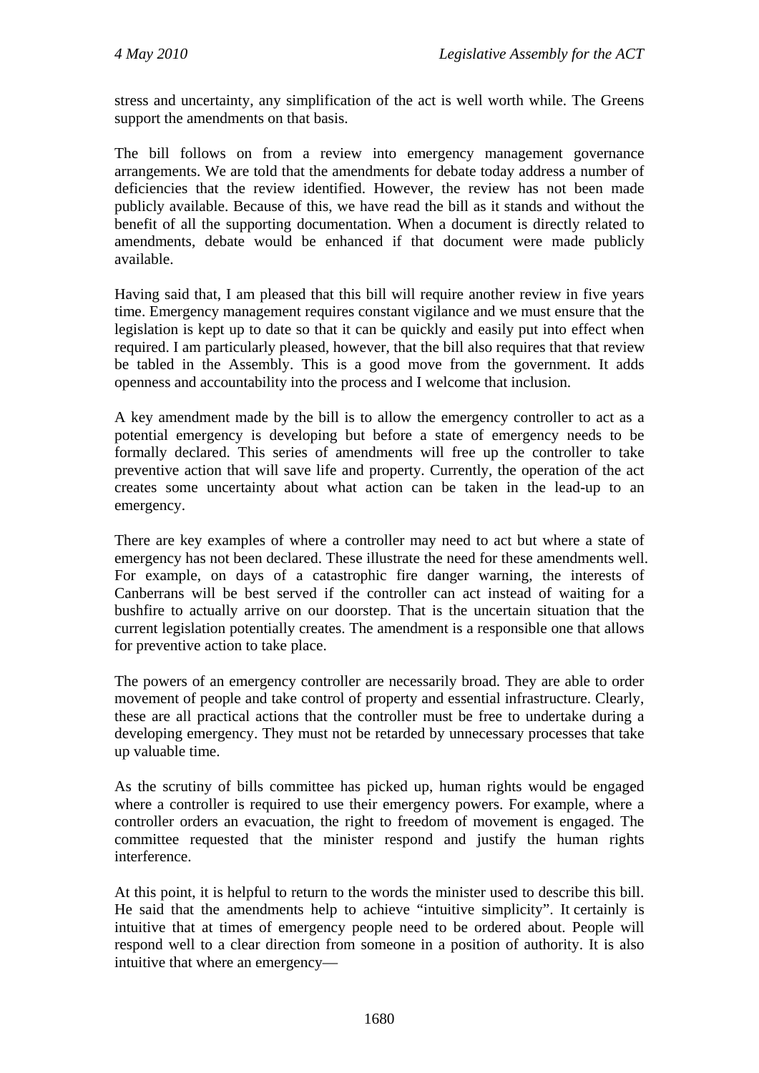stress and uncertainty, any simplification of the act is well worth while. The Greens support the amendments on that basis.

The bill follows on from a review into emergency management governance arrangements. We are told that the amendments for debate today address a number of deficiencies that the review identified. However, the review has not been made publicly available. Because of this, we have read the bill as it stands and without the benefit of all the supporting documentation. When a document is directly related to amendments, debate would be enhanced if that document were made publicly available.

Having said that, I am pleased that this bill will require another review in five years time. Emergency management requires constant vigilance and we must ensure that the legislation is kept up to date so that it can be quickly and easily put into effect when required. I am particularly pleased, however, that the bill also requires that that review be tabled in the Assembly. This is a good move from the government. It adds openness and accountability into the process and I welcome that inclusion.

A key amendment made by the bill is to allow the emergency controller to act as a potential emergency is developing but before a state of emergency needs to be formally declared. This series of amendments will free up the controller to take preventive action that will save life and property. Currently, the operation of the act creates some uncertainty about what action can be taken in the lead-up to an emergency.

There are key examples of where a controller may need to act but where a state of emergency has not been declared. These illustrate the need for these amendments well. For example, on days of a catastrophic fire danger warning, the interests of Canberrans will be best served if the controller can act instead of waiting for a bushfire to actually arrive on our doorstep. That is the uncertain situation that the current legislation potentially creates. The amendment is a responsible one that allows for preventive action to take place.

The powers of an emergency controller are necessarily broad. They are able to order movement of people and take control of property and essential infrastructure. Clearly, these are all practical actions that the controller must be free to undertake during a developing emergency. They must not be retarded by unnecessary processes that take up valuable time.

As the scrutiny of bills committee has picked up, human rights would be engaged where a controller is required to use their emergency powers. For example, where a controller orders an evacuation, the right to freedom of movement is engaged. The committee requested that the minister respond and justify the human rights interference.

At this point, it is helpful to return to the words the minister used to describe this bill. He said that the amendments help to achieve "intuitive simplicity". It certainly is intuitive that at times of emergency people need to be ordered about. People will respond well to a clear direction from someone in a position of authority. It is also intuitive that where an emergency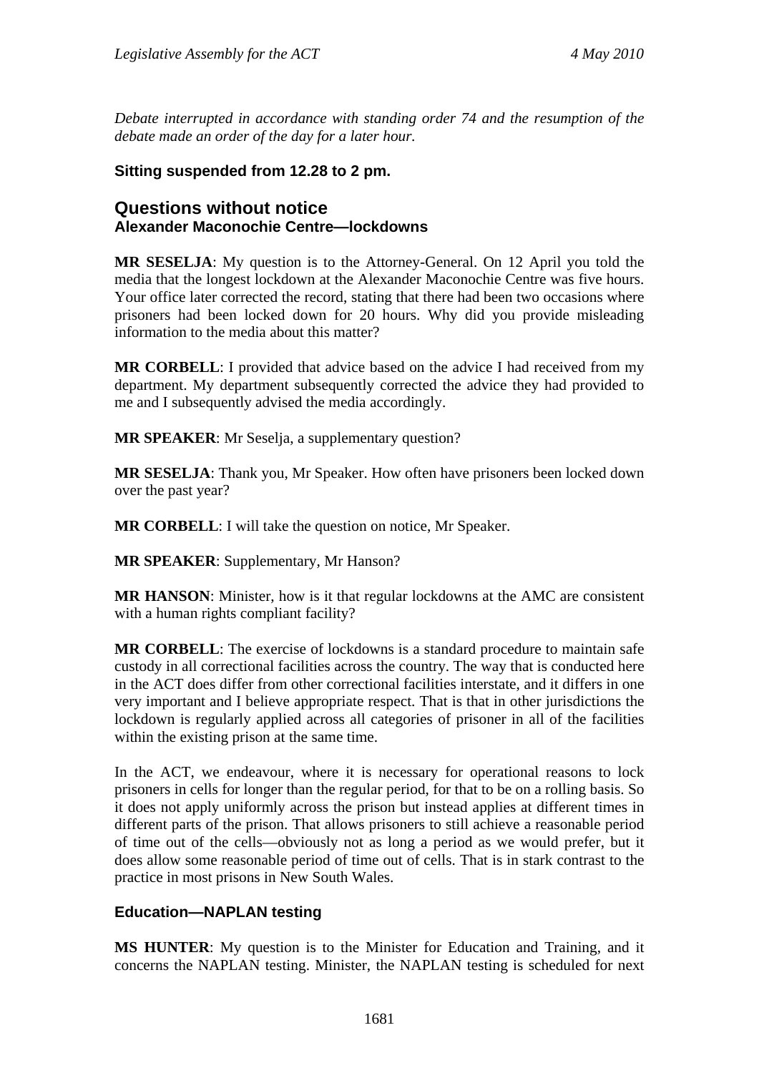*Debate interrupted in accordance with standing order 74 and the resumption of the debate made an order of the day for a later hour.* 

## **Sitting suspended from 12.28 to 2 pm.**

## **Questions without notice Alexander Maconochie Centre—lockdowns**

**MR SESELJA**: My question is to the Attorney-General. On 12 April you told the media that the longest lockdown at the Alexander Maconochie Centre was five hours. Your office later corrected the record, stating that there had been two occasions where prisoners had been locked down for 20 hours. Why did you provide misleading information to the media about this matter?

**MR CORBELL**: I provided that advice based on the advice I had received from my department. My department subsequently corrected the advice they had provided to me and I subsequently advised the media accordingly.

**MR SPEAKER**: Mr Seselja, a supplementary question?

**MR SESELJA**: Thank you, Mr Speaker. How often have prisoners been locked down over the past year?

**MR CORBELL**: I will take the question on notice, Mr Speaker.

**MR SPEAKER**: Supplementary, Mr Hanson?

**MR HANSON**: Minister, how is it that regular lockdowns at the AMC are consistent with a human rights compliant facility?

**MR CORBELL**: The exercise of lockdowns is a standard procedure to maintain safe custody in all correctional facilities across the country. The way that is conducted here in the ACT does differ from other correctional facilities interstate, and it differs in one very important and I believe appropriate respect. That is that in other jurisdictions the lockdown is regularly applied across all categories of prisoner in all of the facilities within the existing prison at the same time.

In the ACT, we endeavour, where it is necessary for operational reasons to lock prisoners in cells for longer than the regular period, for that to be on a rolling basis. So it does not apply uniformly across the prison but instead applies at different times in different parts of the prison. That allows prisoners to still achieve a reasonable period of time out of the cells—obviously not as long a period as we would prefer, but it does allow some reasonable period of time out of cells. That is in stark contrast to the practice in most prisons in New South Wales.

## **Education—NAPLAN testing**

**MS HUNTER**: My question is to the Minister for Education and Training, and it concerns the NAPLAN testing. Minister, the NAPLAN testing is scheduled for next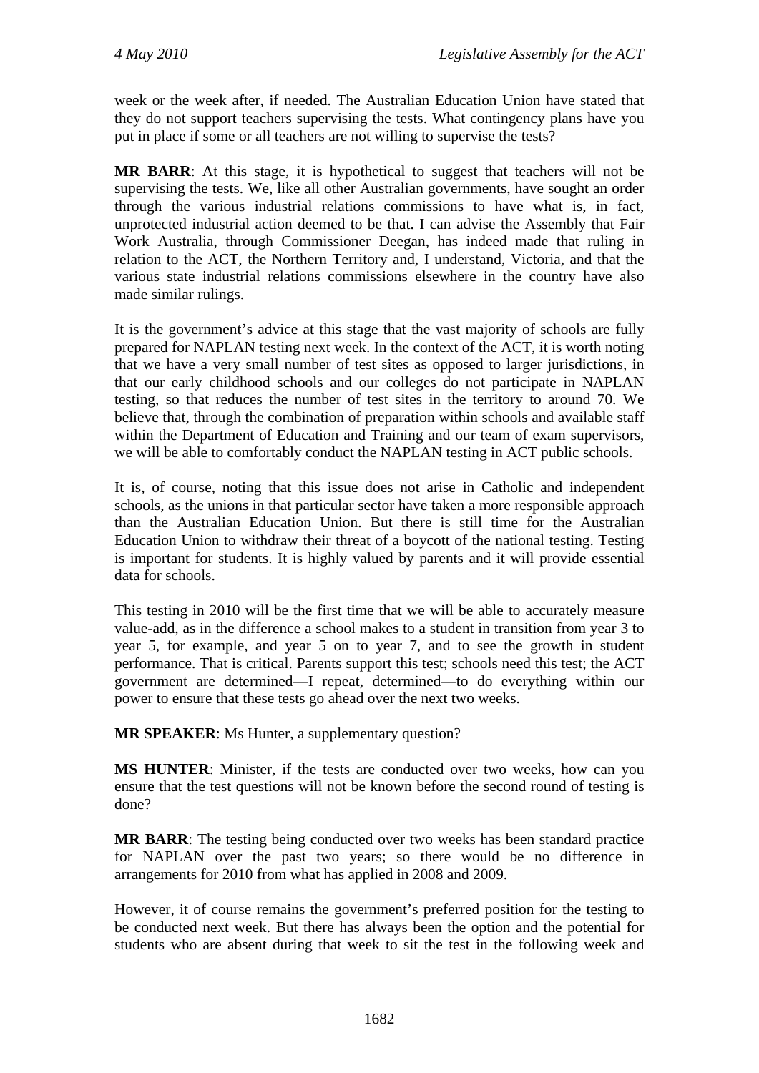week or the week after, if needed. The Australian Education Union have stated that they do not support teachers supervising the tests. What contingency plans have you put in place if some or all teachers are not willing to supervise the tests?

**MR BARR**: At this stage, it is hypothetical to suggest that teachers will not be supervising the tests. We, like all other Australian governments, have sought an order through the various industrial relations commissions to have what is, in fact, unprotected industrial action deemed to be that. I can advise the Assembly that Fair Work Australia, through Commissioner Deegan, has indeed made that ruling in relation to the ACT, the Northern Territory and, I understand, Victoria, and that the various state industrial relations commissions elsewhere in the country have also made similar rulings.

It is the government's advice at this stage that the vast majority of schools are fully prepared for NAPLAN testing next week. In the context of the ACT, it is worth noting that we have a very small number of test sites as opposed to larger jurisdictions, in that our early childhood schools and our colleges do not participate in NAPLAN testing, so that reduces the number of test sites in the territory to around 70. We believe that, through the combination of preparation within schools and available staff within the Department of Education and Training and our team of exam supervisors, we will be able to comfortably conduct the NAPLAN testing in ACT public schools.

It is, of course, noting that this issue does not arise in Catholic and independent schools, as the unions in that particular sector have taken a more responsible approach than the Australian Education Union. But there is still time for the Australian Education Union to withdraw their threat of a boycott of the national testing. Testing is important for students. It is highly valued by parents and it will provide essential data for schools.

This testing in 2010 will be the first time that we will be able to accurately measure value-add, as in the difference a school makes to a student in transition from year 3 to year 5, for example, and year 5 on to year 7, and to see the growth in student performance. That is critical. Parents support this test; schools need this test; the ACT government are determined—I repeat, determined—to do everything within our power to ensure that these tests go ahead over the next two weeks.

**MR SPEAKER**: Ms Hunter, a supplementary question?

**MS HUNTER**: Minister, if the tests are conducted over two weeks, how can you ensure that the test questions will not be known before the second round of testing is done?

**MR BARR**: The testing being conducted over two weeks has been standard practice for NAPLAN over the past two years; so there would be no difference in arrangements for 2010 from what has applied in 2008 and 2009.

However, it of course remains the government's preferred position for the testing to be conducted next week. But there has always been the option and the potential for students who are absent during that week to sit the test in the following week and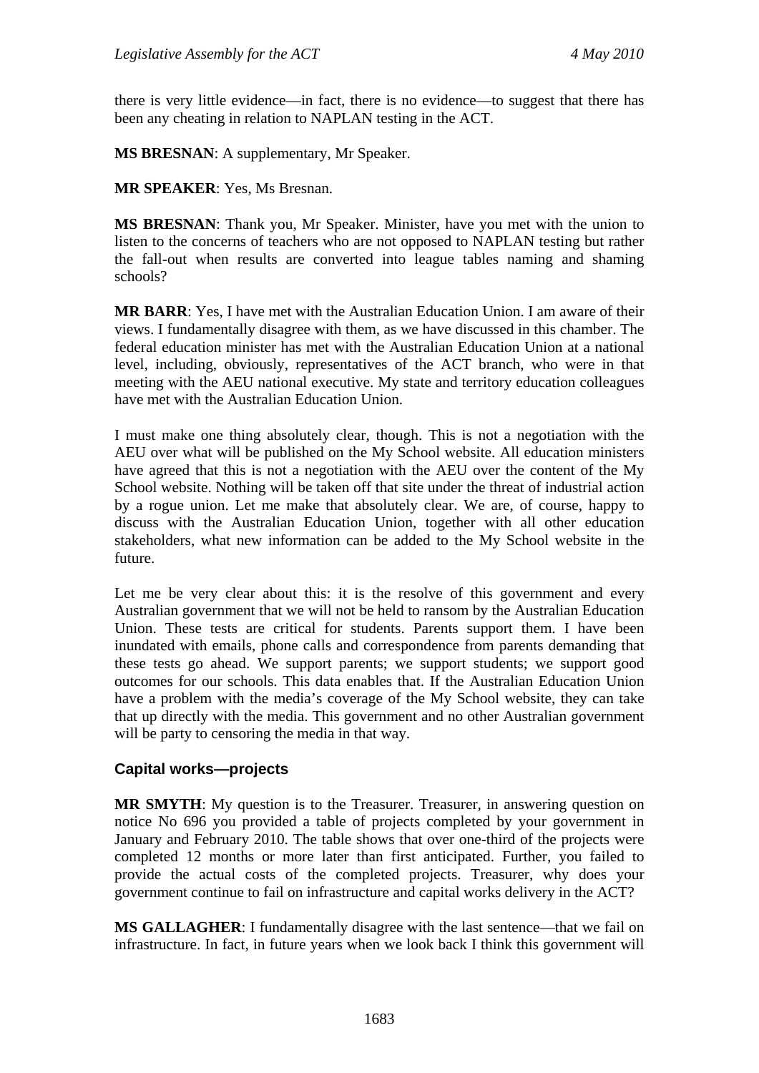there is very little evidence—in fact, there is no evidence—to suggest that there has been any cheating in relation to NAPLAN testing in the ACT.

**MS BRESNAN**: A supplementary, Mr Speaker.

**MR SPEAKER**: Yes, Ms Bresnan.

**MS BRESNAN**: Thank you, Mr Speaker. Minister, have you met with the union to listen to the concerns of teachers who are not opposed to NAPLAN testing but rather the fall-out when results are converted into league tables naming and shaming schools?

**MR BARR**: Yes, I have met with the Australian Education Union. I am aware of their views. I fundamentally disagree with them, as we have discussed in this chamber. The federal education minister has met with the Australian Education Union at a national level, including, obviously, representatives of the ACT branch, who were in that meeting with the AEU national executive. My state and territory education colleagues have met with the Australian Education Union.

I must make one thing absolutely clear, though. This is not a negotiation with the AEU over what will be published on the My School website. All education ministers have agreed that this is not a negotiation with the AEU over the content of the My School website. Nothing will be taken off that site under the threat of industrial action by a rogue union. Let me make that absolutely clear. We are, of course, happy to discuss with the Australian Education Union, together with all other education stakeholders, what new information can be added to the My School website in the future.

Let me be very clear about this: it is the resolve of this government and every Australian government that we will not be held to ransom by the Australian Education Union. These tests are critical for students. Parents support them. I have been inundated with emails, phone calls and correspondence from parents demanding that these tests go ahead. We support parents; we support students; we support good outcomes for our schools. This data enables that. If the Australian Education Union have a problem with the media's coverage of the My School website, they can take that up directly with the media. This government and no other Australian government will be party to censoring the media in that way.

## **Capital works—projects**

**MR SMYTH**: My question is to the Treasurer. Treasurer, in answering question on notice No 696 you provided a table of projects completed by your government in January and February 2010. The table shows that over one-third of the projects were completed 12 months or more later than first anticipated. Further, you failed to provide the actual costs of the completed projects. Treasurer, why does your government continue to fail on infrastructure and capital works delivery in the ACT?

**MS GALLAGHER**: I fundamentally disagree with the last sentence—that we fail on infrastructure. In fact, in future years when we look back I think this government will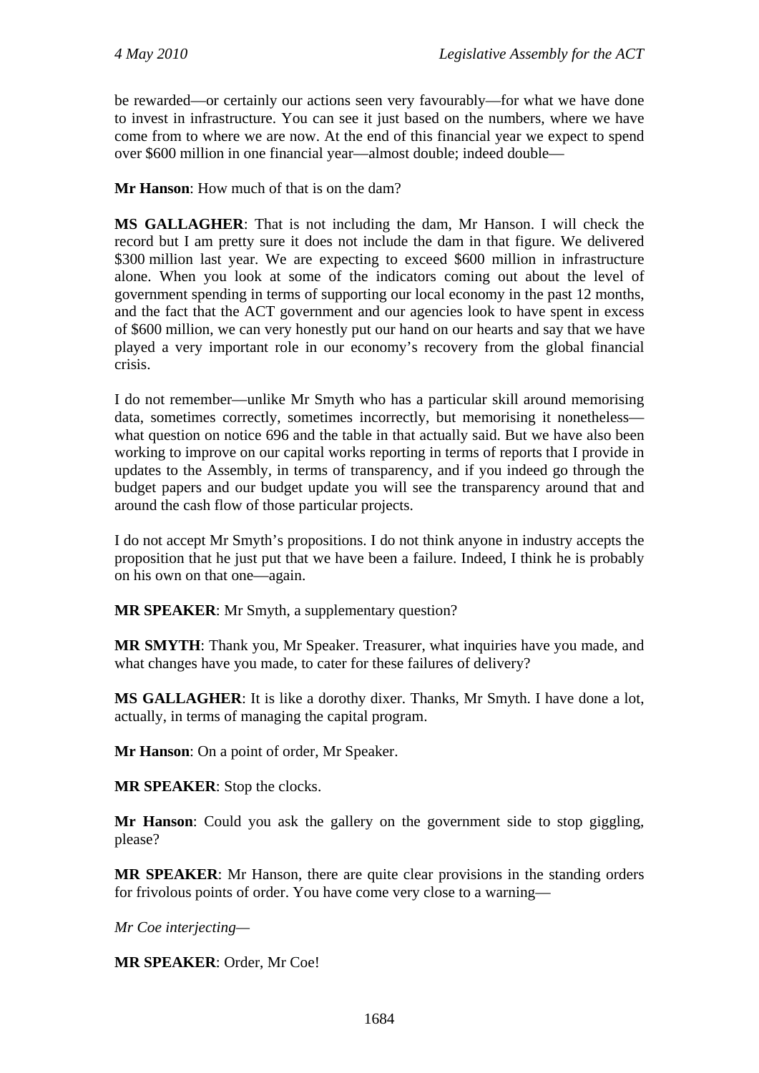be rewarded—or certainly our actions seen very favourably—for what we have done to invest in infrastructure. You can see it just based on the numbers, where we have come from to where we are now. At the end of this financial year we expect to spend over \$600 million in one financial year—almost double; indeed double—

**Mr Hanson**: How much of that is on the dam?

**MS GALLAGHER**: That is not including the dam, Mr Hanson. I will check the record but I am pretty sure it does not include the dam in that figure. We delivered \$300 million last year. We are expecting to exceed \$600 million in infrastructure alone. When you look at some of the indicators coming out about the level of government spending in terms of supporting our local economy in the past 12 months, and the fact that the ACT government and our agencies look to have spent in excess of \$600 million, we can very honestly put our hand on our hearts and say that we have played a very important role in our economy's recovery from the global financial crisis.

I do not remember—unlike Mr Smyth who has a particular skill around memorising data, sometimes correctly, sometimes incorrectly, but memorising it nonetheless what question on notice 696 and the table in that actually said. But we have also been working to improve on our capital works reporting in terms of reports that I provide in updates to the Assembly, in terms of transparency, and if you indeed go through the budget papers and our budget update you will see the transparency around that and around the cash flow of those particular projects.

I do not accept Mr Smyth's propositions. I do not think anyone in industry accepts the proposition that he just put that we have been a failure. Indeed, I think he is probably on his own on that one—again.

**MR SPEAKER**: Mr Smyth, a supplementary question?

**MR SMYTH**: Thank you, Mr Speaker. Treasurer, what inquiries have you made, and what changes have you made, to cater for these failures of delivery?

**MS GALLAGHER**: It is like a dorothy dixer. Thanks, Mr Smyth. I have done a lot, actually, in terms of managing the capital program.

**Mr Hanson**: On a point of order, Mr Speaker.

**MR SPEAKER**: Stop the clocks.

**Mr Hanson**: Could you ask the gallery on the government side to stop giggling, please?

**MR SPEAKER**: Mr Hanson, there are quite clear provisions in the standing orders for frivolous points of order. You have come very close to a warning—

*Mr Coe interjecting—* 

**MR SPEAKER**: Order, Mr Coe!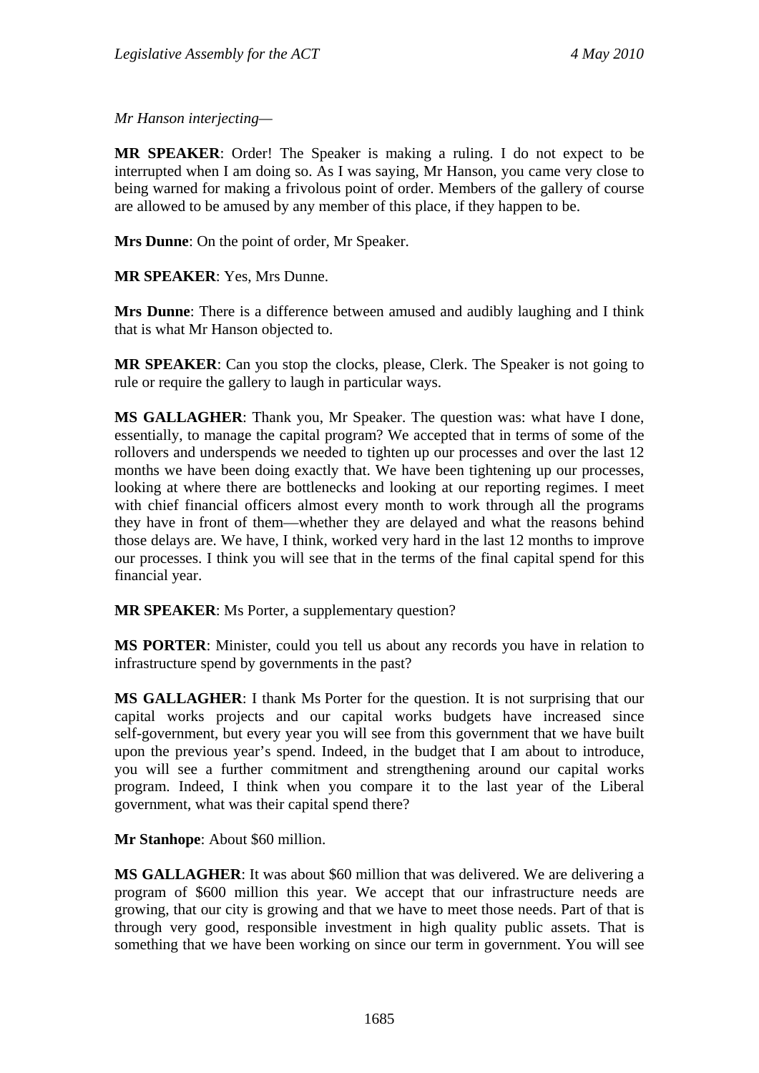*Mr Hanson interjecting—* 

**MR SPEAKER**: Order! The Speaker is making a ruling. I do not expect to be interrupted when I am doing so. As I was saying, Mr Hanson, you came very close to being warned for making a frivolous point of order. Members of the gallery of course are allowed to be amused by any member of this place, if they happen to be.

**Mrs Dunne**: On the point of order, Mr Speaker.

**MR SPEAKER**: Yes, Mrs Dunne.

**Mrs Dunne**: There is a difference between amused and audibly laughing and I think that is what Mr Hanson objected to.

**MR SPEAKER**: Can you stop the clocks, please, Clerk. The Speaker is not going to rule or require the gallery to laugh in particular ways.

**MS GALLAGHER**: Thank you, Mr Speaker. The question was: what have I done, essentially, to manage the capital program? We accepted that in terms of some of the rollovers and underspends we needed to tighten up our processes and over the last 12 months we have been doing exactly that. We have been tightening up our processes, looking at where there are bottlenecks and looking at our reporting regimes. I meet with chief financial officers almost every month to work through all the programs they have in front of them—whether they are delayed and what the reasons behind those delays are. We have, I think, worked very hard in the last 12 months to improve our processes. I think you will see that in the terms of the final capital spend for this financial year.

**MR SPEAKER**: Ms Porter, a supplementary question?

**MS PORTER**: Minister, could you tell us about any records you have in relation to infrastructure spend by governments in the past?

**MS GALLAGHER**: I thank Ms Porter for the question. It is not surprising that our capital works projects and our capital works budgets have increased since self-government, but every year you will see from this government that we have built upon the previous year's spend. Indeed, in the budget that I am about to introduce, you will see a further commitment and strengthening around our capital works program. Indeed, I think when you compare it to the last year of the Liberal government, what was their capital spend there?

**Mr Stanhope**: About \$60 million.

**MS GALLAGHER**: It was about \$60 million that was delivered. We are delivering a program of \$600 million this year. We accept that our infrastructure needs are growing, that our city is growing and that we have to meet those needs. Part of that is through very good, responsible investment in high quality public assets. That is something that we have been working on since our term in government. You will see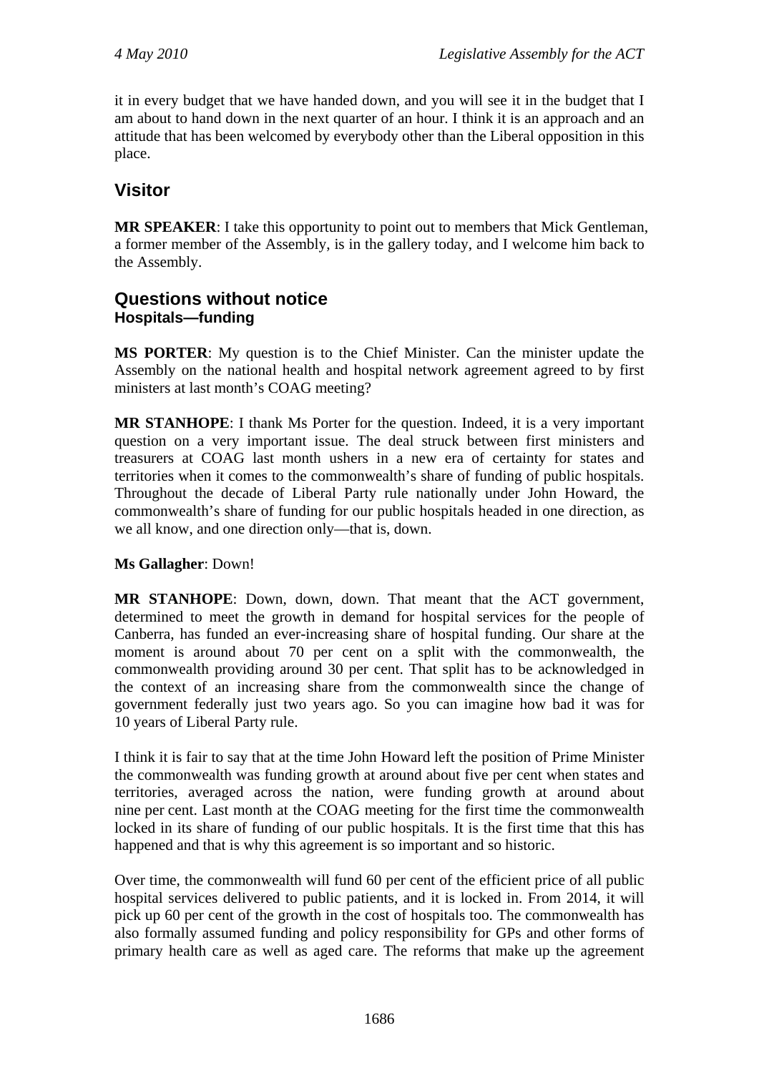it in every budget that we have handed down, and you will see it in the budget that I am about to hand down in the next quarter of an hour. I think it is an approach and an attitude that has been welcomed by everybody other than the Liberal opposition in this place.

# **Visitor**

**MR SPEAKER**: I take this opportunity to point out to members that Mick Gentleman, a former member of the Assembly, is in the gallery today, and I welcome him back to the Assembly.

## **Questions without notice Hospitals—funding**

**MS PORTER**: My question is to the Chief Minister. Can the minister update the Assembly on the national health and hospital network agreement agreed to by first ministers at last month's COAG meeting?

**MR STANHOPE**: I thank Ms Porter for the question. Indeed, it is a very important question on a very important issue. The deal struck between first ministers and treasurers at COAG last month ushers in a new era of certainty for states and territories when it comes to the commonwealth's share of funding of public hospitals. Throughout the decade of Liberal Party rule nationally under John Howard, the commonwealth's share of funding for our public hospitals headed in one direction, as we all know, and one direction only—that is, down.

## **Ms Gallagher**: Down!

**MR STANHOPE**: Down, down, down. That meant that the ACT government, determined to meet the growth in demand for hospital services for the people of Canberra, has funded an ever-increasing share of hospital funding. Our share at the moment is around about 70 per cent on a split with the commonwealth, the commonwealth providing around 30 per cent. That split has to be acknowledged in the context of an increasing share from the commonwealth since the change of government federally just two years ago. So you can imagine how bad it was for 10 years of Liberal Party rule.

I think it is fair to say that at the time John Howard left the position of Prime Minister the commonwealth was funding growth at around about five per cent when states and territories, averaged across the nation, were funding growth at around about nine per cent. Last month at the COAG meeting for the first time the commonwealth locked in its share of funding of our public hospitals. It is the first time that this has happened and that is why this agreement is so important and so historic.

Over time, the commonwealth will fund 60 per cent of the efficient price of all public hospital services delivered to public patients, and it is locked in. From 2014, it will pick up 60 per cent of the growth in the cost of hospitals too. The commonwealth has also formally assumed funding and policy responsibility for GPs and other forms of primary health care as well as aged care. The reforms that make up the agreement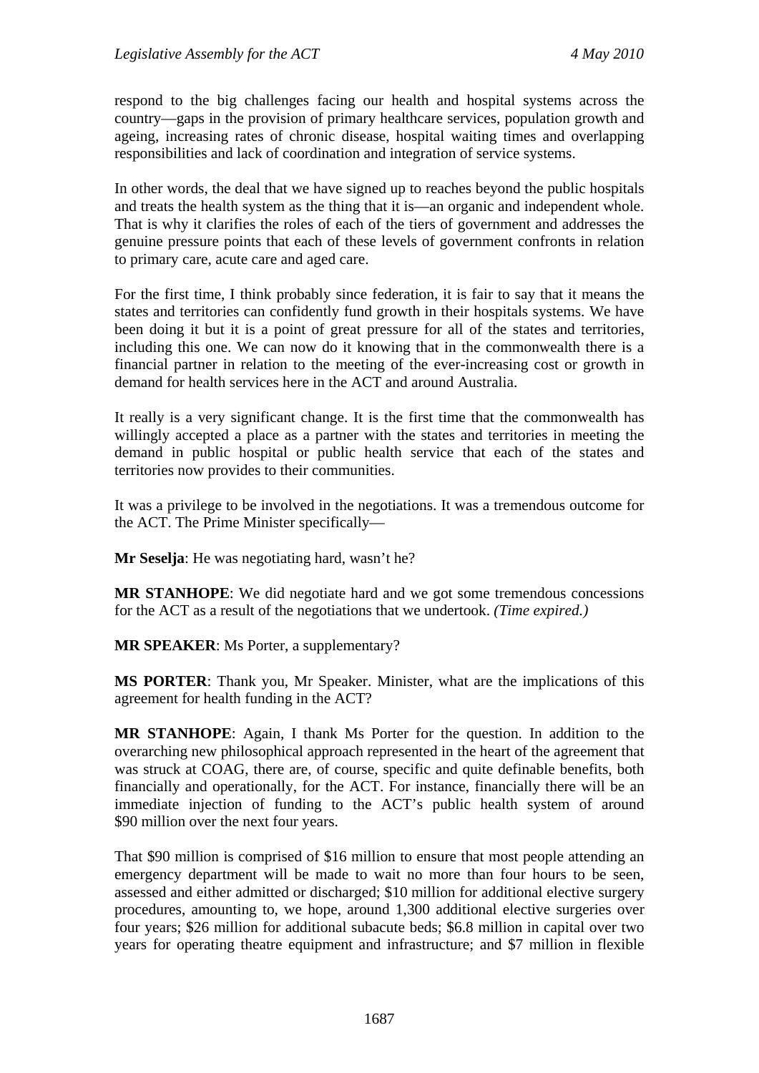respond to the big challenges facing our health and hospital systems across the country—gaps in the provision of primary healthcare services, population growth and ageing, increasing rates of chronic disease, hospital waiting times and overlapping responsibilities and lack of coordination and integration of service systems.

In other words, the deal that we have signed up to reaches beyond the public hospitals and treats the health system as the thing that it is—an organic and independent whole. That is why it clarifies the roles of each of the tiers of government and addresses the genuine pressure points that each of these levels of government confronts in relation to primary care, acute care and aged care.

For the first time, I think probably since federation, it is fair to say that it means the states and territories can confidently fund growth in their hospitals systems. We have been doing it but it is a point of great pressure for all of the states and territories, including this one. We can now do it knowing that in the commonwealth there is a financial partner in relation to the meeting of the ever-increasing cost or growth in demand for health services here in the ACT and around Australia.

It really is a very significant change. It is the first time that the commonwealth has willingly accepted a place as a partner with the states and territories in meeting the demand in public hospital or public health service that each of the states and territories now provides to their communities.

It was a privilege to be involved in the negotiations. It was a tremendous outcome for the ACT. The Prime Minister specifically—

**Mr Seselja**: He was negotiating hard, wasn't he?

**MR STANHOPE**: We did negotiate hard and we got some tremendous concessions for the ACT as a result of the negotiations that we undertook. *(Time expired.)*

**MR SPEAKER**: Ms Porter, a supplementary?

**MS PORTER**: Thank you, Mr Speaker. Minister, what are the implications of this agreement for health funding in the ACT?

**MR STANHOPE**: Again, I thank Ms Porter for the question. In addition to the overarching new philosophical approach represented in the heart of the agreement that was struck at COAG, there are, of course, specific and quite definable benefits, both financially and operationally, for the ACT. For instance, financially there will be an immediate injection of funding to the ACT's public health system of around \$90 million over the next four years.

That \$90 million is comprised of \$16 million to ensure that most people attending an emergency department will be made to wait no more than four hours to be seen, assessed and either admitted or discharged; \$10 million for additional elective surgery procedures, amounting to, we hope, around 1,300 additional elective surgeries over four years; \$26 million for additional subacute beds; \$6.8 million in capital over two years for operating theatre equipment and infrastructure; and \$7 million in flexible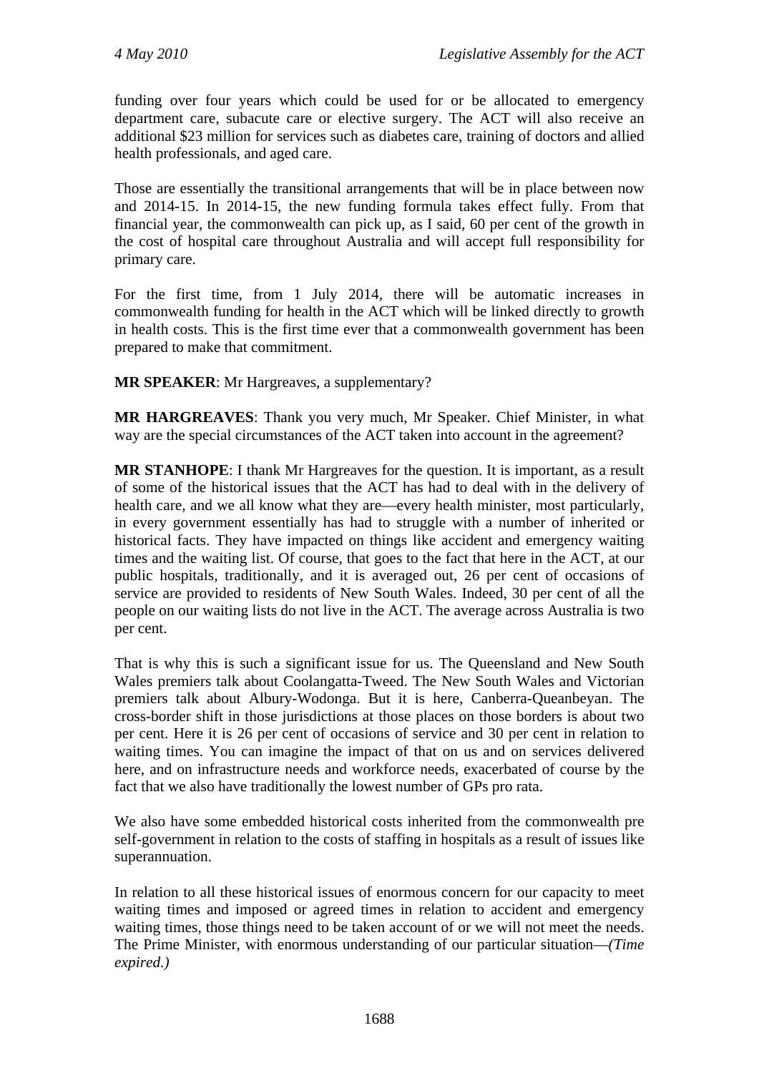funding over four years which could be used for or be allocated to emergency department care, subacute care or elective surgery. The ACT will also receive an additional \$23 million for services such as diabetes care, training of doctors and allied health professionals, and aged care.

Those are essentially the transitional arrangements that will be in place between now and 2014-15. In 2014-15, the new funding formula takes effect fully. From that financial year, the commonwealth can pick up, as I said, 60 per cent of the growth in the cost of hospital care throughout Australia and will accept full responsibility for primary care.

For the first time, from 1 July 2014, there will be automatic increases in commonwealth funding for health in the ACT which will be linked directly to growth in health costs. This is the first time ever that a commonwealth government has been prepared to make that commitment.

**MR SPEAKER**: Mr Hargreaves, a supplementary?

**MR HARGREAVES**: Thank you very much, Mr Speaker. Chief Minister, in what way are the special circumstances of the ACT taken into account in the agreement?

**MR STANHOPE**: I thank Mr Hargreaves for the question. It is important, as a result of some of the historical issues that the ACT has had to deal with in the delivery of health care, and we all know what they are—every health minister, most particularly, in every government essentially has had to struggle with a number of inherited or historical facts. They have impacted on things like accident and emergency waiting times and the waiting list. Of course, that goes to the fact that here in the ACT, at our public hospitals, traditionally, and it is averaged out, 26 per cent of occasions of service are provided to residents of New South Wales. Indeed, 30 per cent of all the people on our waiting lists do not live in the ACT. The average across Australia is two per cent.

That is why this is such a significant issue for us. The Queensland and New South Wales premiers talk about Coolangatta-Tweed. The New South Wales and Victorian premiers talk about Albury-Wodonga. But it is here, Canberra-Queanbeyan. The cross-border shift in those jurisdictions at those places on those borders is about two per cent. Here it is 26 per cent of occasions of service and 30 per cent in relation to waiting times. You can imagine the impact of that on us and on services delivered here, and on infrastructure needs and workforce needs, exacerbated of course by the fact that we also have traditionally the lowest number of GPs pro rata.

We also have some embedded historical costs inherited from the commonwealth pre self-government in relation to the costs of staffing in hospitals as a result of issues like superannuation.

In relation to all these historical issues of enormous concern for our capacity to meet waiting times and imposed or agreed times in relation to accident and emergency waiting times, those things need to be taken account of or we will not meet the needs. The Prime Minister, with enormous understanding of our particular situation—*(Time expired.)*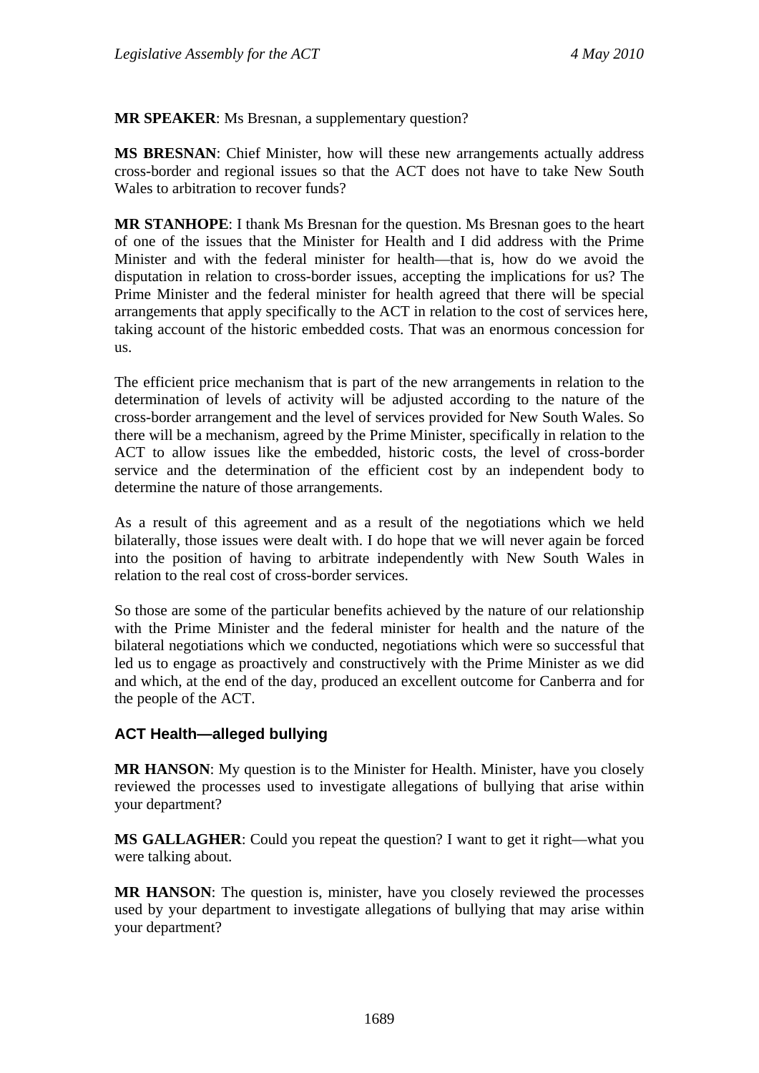**MR SPEAKER**: Ms Bresnan, a supplementary question?

**MS BRESNAN**: Chief Minister, how will these new arrangements actually address cross-border and regional issues so that the ACT does not have to take New South Wales to arbitration to recover funds?

**MR STANHOPE**: I thank Ms Bresnan for the question. Ms Bresnan goes to the heart of one of the issues that the Minister for Health and I did address with the Prime Minister and with the federal minister for health—that is, how do we avoid the disputation in relation to cross-border issues, accepting the implications for us? The Prime Minister and the federal minister for health agreed that there will be special arrangements that apply specifically to the ACT in relation to the cost of services here, taking account of the historic embedded costs. That was an enormous concession for us.

The efficient price mechanism that is part of the new arrangements in relation to the determination of levels of activity will be adjusted according to the nature of the cross-border arrangement and the level of services provided for New South Wales. So there will be a mechanism, agreed by the Prime Minister, specifically in relation to the ACT to allow issues like the embedded, historic costs, the level of cross-border service and the determination of the efficient cost by an independent body to determine the nature of those arrangements.

As a result of this agreement and as a result of the negotiations which we held bilaterally, those issues were dealt with. I do hope that we will never again be forced into the position of having to arbitrate independently with New South Wales in relation to the real cost of cross-border services.

So those are some of the particular benefits achieved by the nature of our relationship with the Prime Minister and the federal minister for health and the nature of the bilateral negotiations which we conducted, negotiations which were so successful that led us to engage as proactively and constructively with the Prime Minister as we did and which, at the end of the day, produced an excellent outcome for Canberra and for the people of the ACT.

## **ACT Health—alleged bullying**

**MR HANSON**: My question is to the Minister for Health. Minister, have you closely reviewed the processes used to investigate allegations of bullying that arise within your department?

**MS GALLAGHER**: Could you repeat the question? I want to get it right—what you were talking about.

**MR HANSON:** The question is, minister, have you closely reviewed the processes used by your department to investigate allegations of bullying that may arise within your department?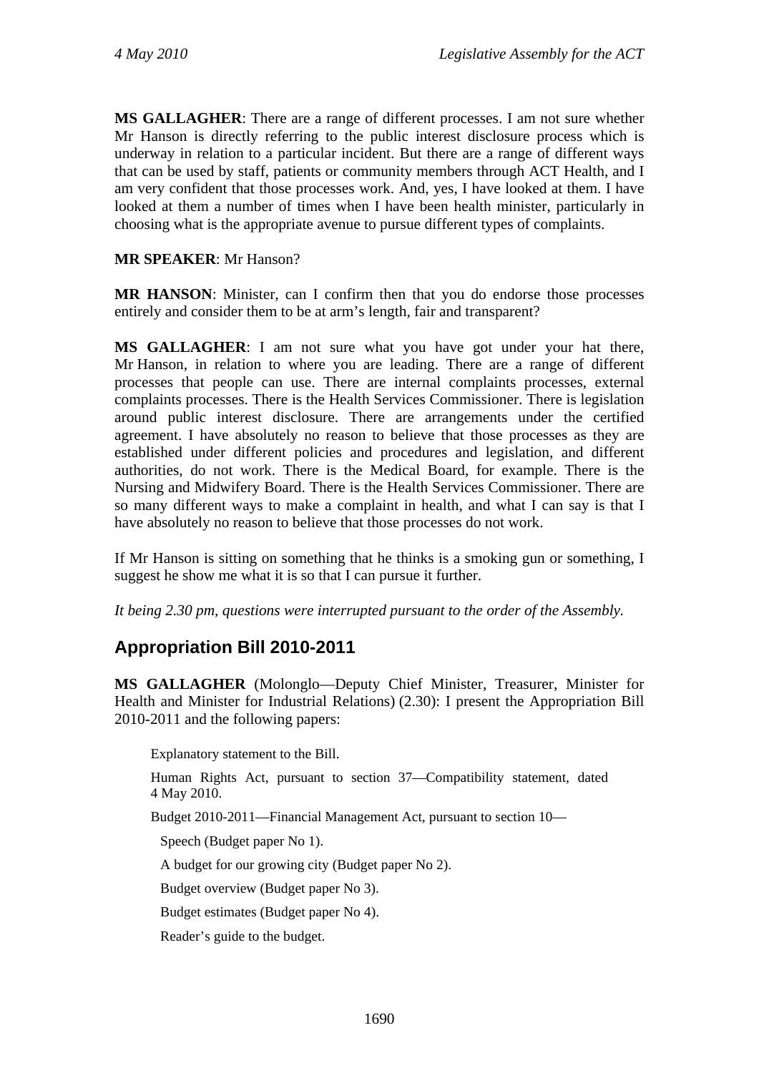**MS GALLAGHER**: There are a range of different processes. I am not sure whether Mr Hanson is directly referring to the public interest disclosure process which is underway in relation to a particular incident. But there are a range of different ways that can be used by staff, patients or community members through ACT Health, and I am very confident that those processes work. And, yes, I have looked at them. I have looked at them a number of times when I have been health minister, particularly in choosing what is the appropriate avenue to pursue different types of complaints.

## **MR SPEAKER**: Mr Hanson?

**MR HANSON**: Minister, can I confirm then that you do endorse those processes entirely and consider them to be at arm's length, fair and transparent?

**MS GALLAGHER**: I am not sure what you have got under your hat there, Mr Hanson, in relation to where you are leading. There are a range of different processes that people can use. There are internal complaints processes, external complaints processes. There is the Health Services Commissioner. There is legislation around public interest disclosure. There are arrangements under the certified agreement. I have absolutely no reason to believe that those processes as they are established under different policies and procedures and legislation, and different authorities, do not work. There is the Medical Board, for example. There is the Nursing and Midwifery Board. There is the Health Services Commissioner. There are so many different ways to make a complaint in health, and what I can say is that I have absolutely no reason to believe that those processes do not work.

If Mr Hanson is sitting on something that he thinks is a smoking gun or something, I suggest he show me what it is so that I can pursue it further.

*It being 2.30 pm, questions were interrupted pursuant to the order of the Assembly.* 

# **Appropriation Bill 2010-2011**

**MS GALLAGHER** (Molonglo—Deputy Chief Minister, Treasurer, Minister for Health and Minister for Industrial Relations) (2.30): I present the Appropriation Bill 2010-2011 and the following papers:

Explanatory statement to the Bill. Human Rights Act, pursuant to section 37—Compatibility statement, dated 4 May 2010. Budget 2010-2011—Financial Management Act, pursuant to section 10— Speech (Budget paper No 1). A budget for our growing city (Budget paper No 2). Budget overview (Budget paper No 3). Budget estimates (Budget paper No 4). Reader's guide to the budget.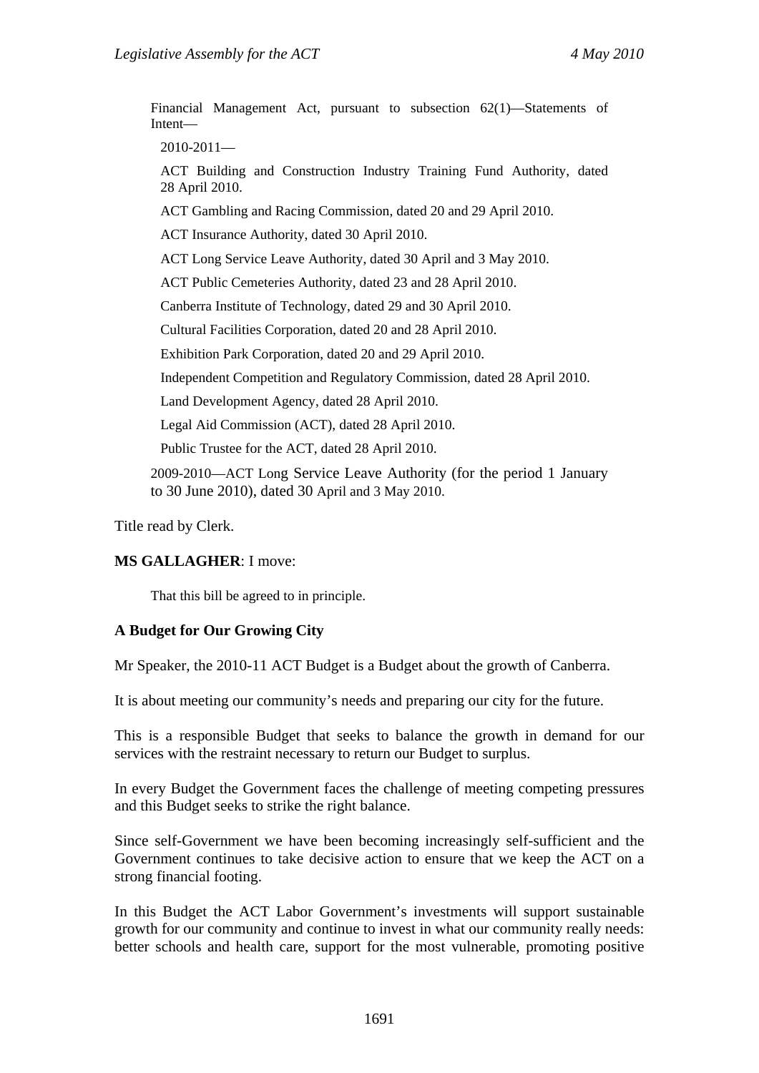Financial Management Act, pursuant to subsection 62(1)—Statements of Intent— 2010-2011—

ACT Building and Construction Industry Training Fund Authority, dated 28 April 2010.

ACT Gambling and Racing Commission, dated 20 and 29 April 2010.

ACT Insurance Authority, dated 30 April 2010.

ACT Long Service Leave Authority, dated 30 April and 3 May 2010.

ACT Public Cemeteries Authority, dated 23 and 28 April 2010.

Canberra Institute of Technology, dated 29 and 30 April 2010.

Cultural Facilities Corporation, dated 20 and 28 April 2010.

Exhibition Park Corporation, dated 20 and 29 April 2010.

Independent Competition and Regulatory Commission, dated 28 April 2010.

Land Development Agency, dated 28 April 2010.

Legal Aid Commission (ACT), dated 28 April 2010.

Public Trustee for the ACT, dated 28 April 2010.

2009-2010—ACT Long Service Leave Authority (for the period 1 January to 30 June 2010), dated 30 April and 3 May 2010.

Title read by Clerk.

#### **MS GALLAGHER**: I move:

That this bill be agreed to in principle.

#### **A Budget for Our Growing City**

Mr Speaker, the 2010-11 ACT Budget is a Budget about the growth of Canberra.

It is about meeting our community's needs and preparing our city for the future.

This is a responsible Budget that seeks to balance the growth in demand for our services with the restraint necessary to return our Budget to surplus.

In every Budget the Government faces the challenge of meeting competing pressures and this Budget seeks to strike the right balance.

Since self-Government we have been becoming increasingly self-sufficient and the Government continues to take decisive action to ensure that we keep the ACT on a strong financial footing.

In this Budget the ACT Labor Government's investments will support sustainable growth for our community and continue to invest in what our community really needs: better schools and health care, support for the most vulnerable, promoting positive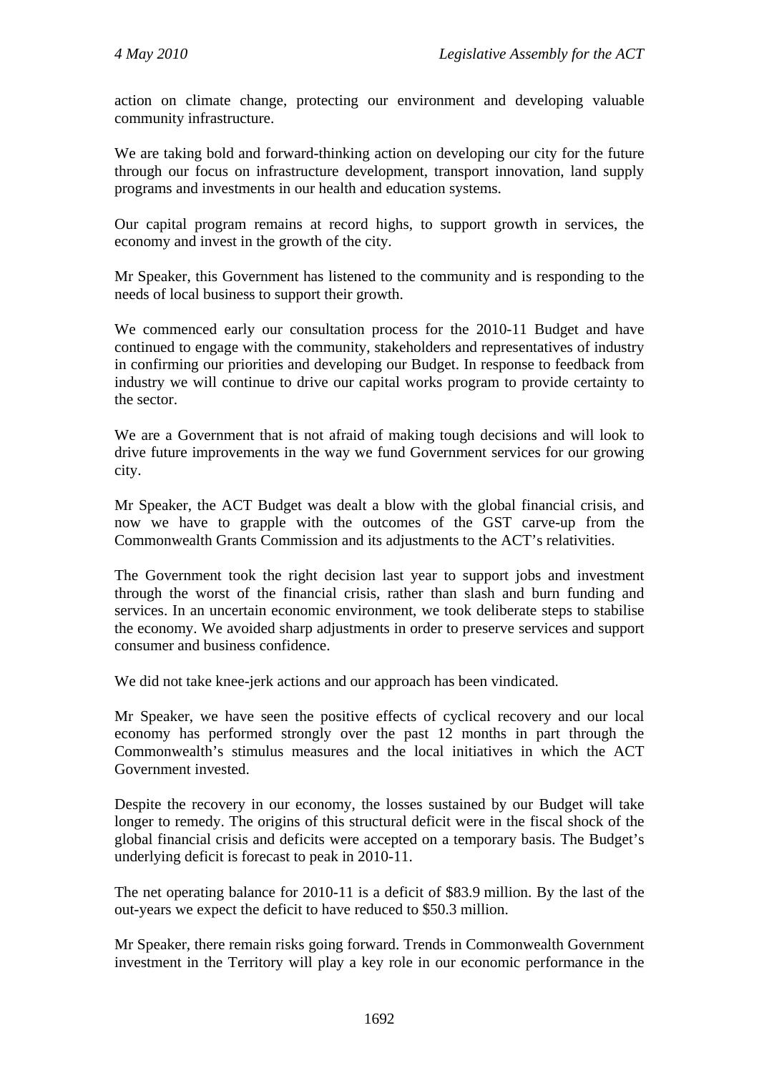action on climate change, protecting our environment and developing valuable community infrastructure.

We are taking bold and forward-thinking action on developing our city for the future through our focus on infrastructure development, transport innovation, land supply programs and investments in our health and education systems.

Our capital program remains at record highs, to support growth in services, the economy and invest in the growth of the city.

Mr Speaker, this Government has listened to the community and is responding to the needs of local business to support their growth.

We commenced early our consultation process for the 2010-11 Budget and have continued to engage with the community, stakeholders and representatives of industry in confirming our priorities and developing our Budget. In response to feedback from industry we will continue to drive our capital works program to provide certainty to the sector.

We are a Government that is not afraid of making tough decisions and will look to drive future improvements in the way we fund Government services for our growing city.

Mr Speaker, the ACT Budget was dealt a blow with the global financial crisis, and now we have to grapple with the outcomes of the GST carve-up from the Commonwealth Grants Commission and its adjustments to the ACT's relativities.

The Government took the right decision last year to support jobs and investment through the worst of the financial crisis, rather than slash and burn funding and services. In an uncertain economic environment, we took deliberate steps to stabilise the economy. We avoided sharp adjustments in order to preserve services and support consumer and business confidence.

We did not take knee-jerk actions and our approach has been vindicated.

Mr Speaker, we have seen the positive effects of cyclical recovery and our local economy has performed strongly over the past 12 months in part through the Commonwealth's stimulus measures and the local initiatives in which the ACT Government invested.

Despite the recovery in our economy, the losses sustained by our Budget will take longer to remedy. The origins of this structural deficit were in the fiscal shock of the global financial crisis and deficits were accepted on a temporary basis. The Budget's underlying deficit is forecast to peak in 2010-11.

The net operating balance for 2010-11 is a deficit of \$83.9 million. By the last of the out-years we expect the deficit to have reduced to \$50.3 million.

Mr Speaker, there remain risks going forward. Trends in Commonwealth Government investment in the Territory will play a key role in our economic performance in the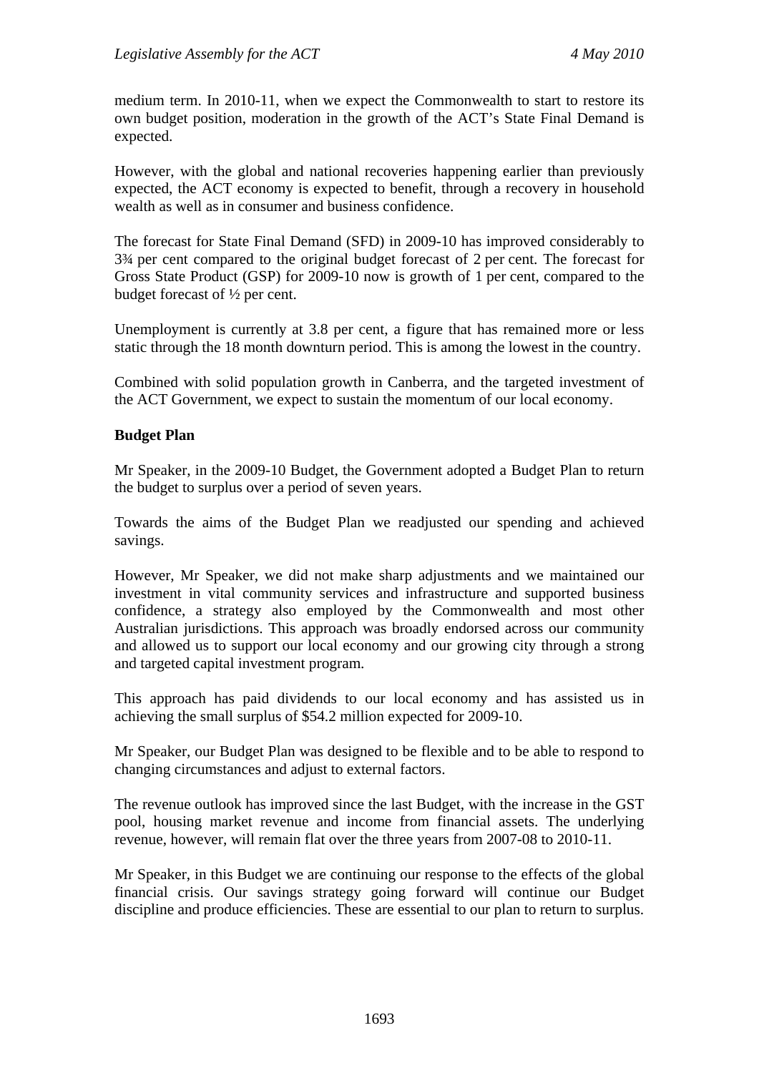medium term. In 2010-11, when we expect the Commonwealth to start to restore its own budget position, moderation in the growth of the ACT's State Final Demand is expected.

However, with the global and national recoveries happening earlier than previously expected, the ACT economy is expected to benefit, through a recovery in household wealth as well as in consumer and business confidence.

The forecast for State Final Demand (SFD) in 2009-10 has improved considerably to 3¾ per cent compared to the original budget forecast of 2 per cent. The forecast for Gross State Product (GSP) for 2009-10 now is growth of 1 per cent, compared to the budget forecast of ½ per cent.

Unemployment is currently at 3.8 per cent, a figure that has remained more or less static through the 18 month downturn period. This is among the lowest in the country.

Combined with solid population growth in Canberra, and the targeted investment of the ACT Government, we expect to sustain the momentum of our local economy.

#### **Budget Plan**

Mr Speaker, in the 2009-10 Budget, the Government adopted a Budget Plan to return the budget to surplus over a period of seven years.

Towards the aims of the Budget Plan we readjusted our spending and achieved savings.

However, Mr Speaker, we did not make sharp adjustments and we maintained our investment in vital community services and infrastructure and supported business confidence, a strategy also employed by the Commonwealth and most other Australian jurisdictions. This approach was broadly endorsed across our community and allowed us to support our local economy and our growing city through a strong and targeted capital investment program.

This approach has paid dividends to our local economy and has assisted us in achieving the small surplus of \$54.2 million expected for 2009-10.

Mr Speaker, our Budget Plan was designed to be flexible and to be able to respond to changing circumstances and adjust to external factors.

The revenue outlook has improved since the last Budget, with the increase in the GST pool, housing market revenue and income from financial assets. The underlying revenue, however, will remain flat over the three years from 2007-08 to 2010-11.

Mr Speaker, in this Budget we are continuing our response to the effects of the global financial crisis. Our savings strategy going forward will continue our Budget discipline and produce efficiencies. These are essential to our plan to return to surplus.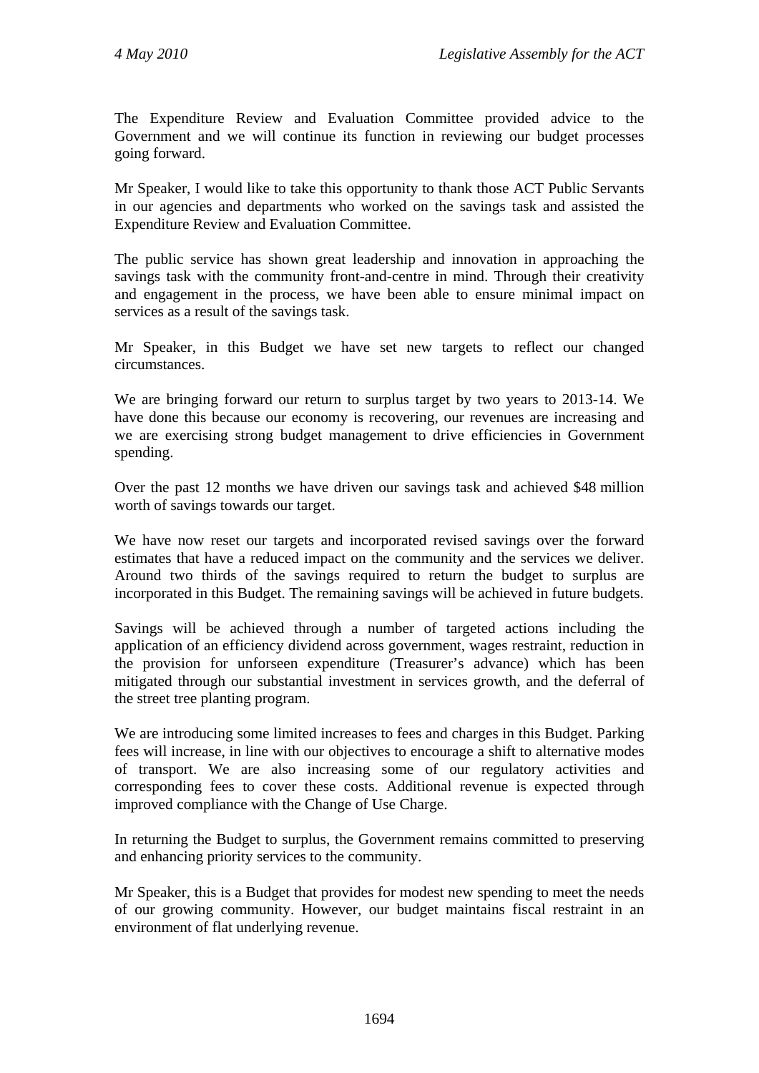The Expenditure Review and Evaluation Committee provided advice to the Government and we will continue its function in reviewing our budget processes going forward.

Mr Speaker, I would like to take this opportunity to thank those ACT Public Servants in our agencies and departments who worked on the savings task and assisted the Expenditure Review and Evaluation Committee.

The public service has shown great leadership and innovation in approaching the savings task with the community front-and-centre in mind. Through their creativity and engagement in the process, we have been able to ensure minimal impact on services as a result of the savings task.

Mr Speaker, in this Budget we have set new targets to reflect our changed circumstances.

We are bringing forward our return to surplus target by two years to 2013-14. We have done this because our economy is recovering, our revenues are increasing and we are exercising strong budget management to drive efficiencies in Government spending.

Over the past 12 months we have driven our savings task and achieved \$48 million worth of savings towards our target.

We have now reset our targets and incorporated revised savings over the forward estimates that have a reduced impact on the community and the services we deliver. Around two thirds of the savings required to return the budget to surplus are incorporated in this Budget. The remaining savings will be achieved in future budgets.

Savings will be achieved through a number of targeted actions including the application of an efficiency dividend across government, wages restraint, reduction in the provision for unforseen expenditure (Treasurer's advance) which has been mitigated through our substantial investment in services growth, and the deferral of the street tree planting program.

We are introducing some limited increases to fees and charges in this Budget. Parking fees will increase, in line with our objectives to encourage a shift to alternative modes of transport. We are also increasing some of our regulatory activities and corresponding fees to cover these costs. Additional revenue is expected through improved compliance with the Change of Use Charge.

In returning the Budget to surplus, the Government remains committed to preserving and enhancing priority services to the community.

Mr Speaker, this is a Budget that provides for modest new spending to meet the needs of our growing community. However, our budget maintains fiscal restraint in an environment of flat underlying revenue.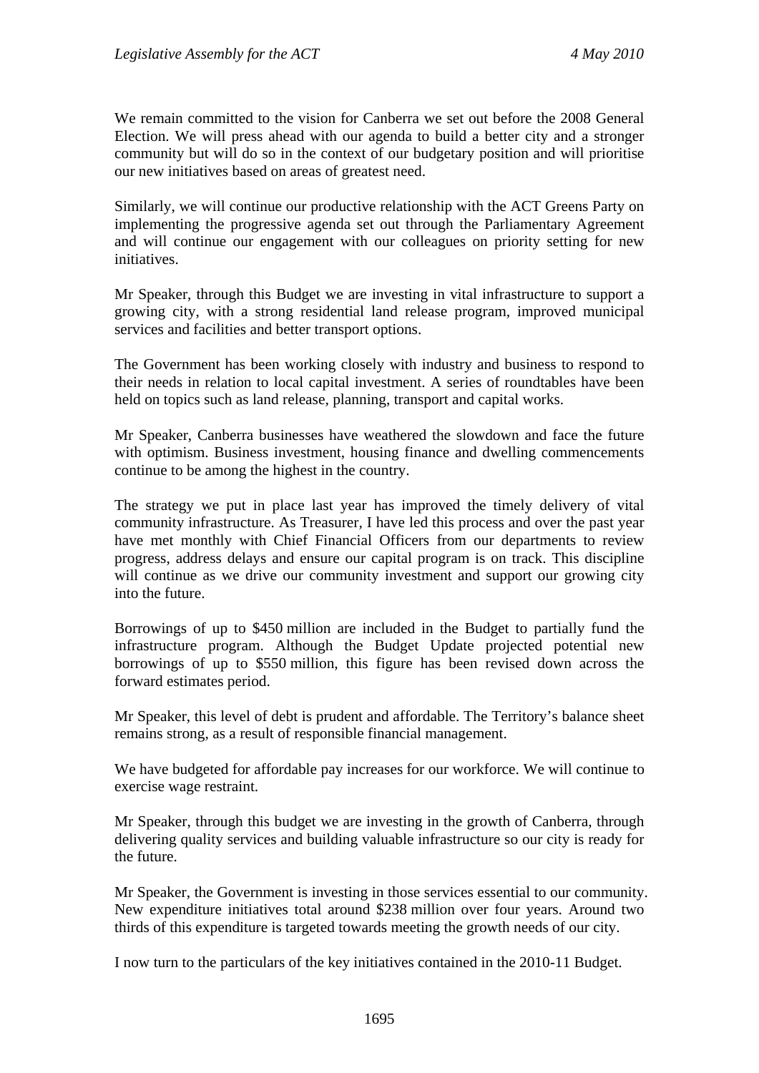We remain committed to the vision for Canberra we set out before the 2008 General Election. We will press ahead with our agenda to build a better city and a stronger community but will do so in the context of our budgetary position and will prioritise our new initiatives based on areas of greatest need.

Similarly, we will continue our productive relationship with the ACT Greens Party on implementing the progressive agenda set out through the Parliamentary Agreement and will continue our engagement with our colleagues on priority setting for new initiatives.

Mr Speaker, through this Budget we are investing in vital infrastructure to support a growing city, with a strong residential land release program, improved municipal services and facilities and better transport options.

The Government has been working closely with industry and business to respond to their needs in relation to local capital investment. A series of roundtables have been held on topics such as land release, planning, transport and capital works.

Mr Speaker, Canberra businesses have weathered the slowdown and face the future with optimism. Business investment, housing finance and dwelling commencements continue to be among the highest in the country.

The strategy we put in place last year has improved the timely delivery of vital community infrastructure. As Treasurer, I have led this process and over the past year have met monthly with Chief Financial Officers from our departments to review progress, address delays and ensure our capital program is on track. This discipline will continue as we drive our community investment and support our growing city into the future.

Borrowings of up to \$450 million are included in the Budget to partially fund the infrastructure program. Although the Budget Update projected potential new borrowings of up to \$550 million, this figure has been revised down across the forward estimates period.

Mr Speaker, this level of debt is prudent and affordable. The Territory's balance sheet remains strong, as a result of responsible financial management.

We have budgeted for affordable pay increases for our workforce. We will continue to exercise wage restraint.

Mr Speaker, through this budget we are investing in the growth of Canberra, through delivering quality services and building valuable infrastructure so our city is ready for the future.

Mr Speaker, the Government is investing in those services essential to our community. New expenditure initiatives total around \$238 million over four years. Around two thirds of this expenditure is targeted towards meeting the growth needs of our city.

I now turn to the particulars of the key initiatives contained in the 2010-11 Budget.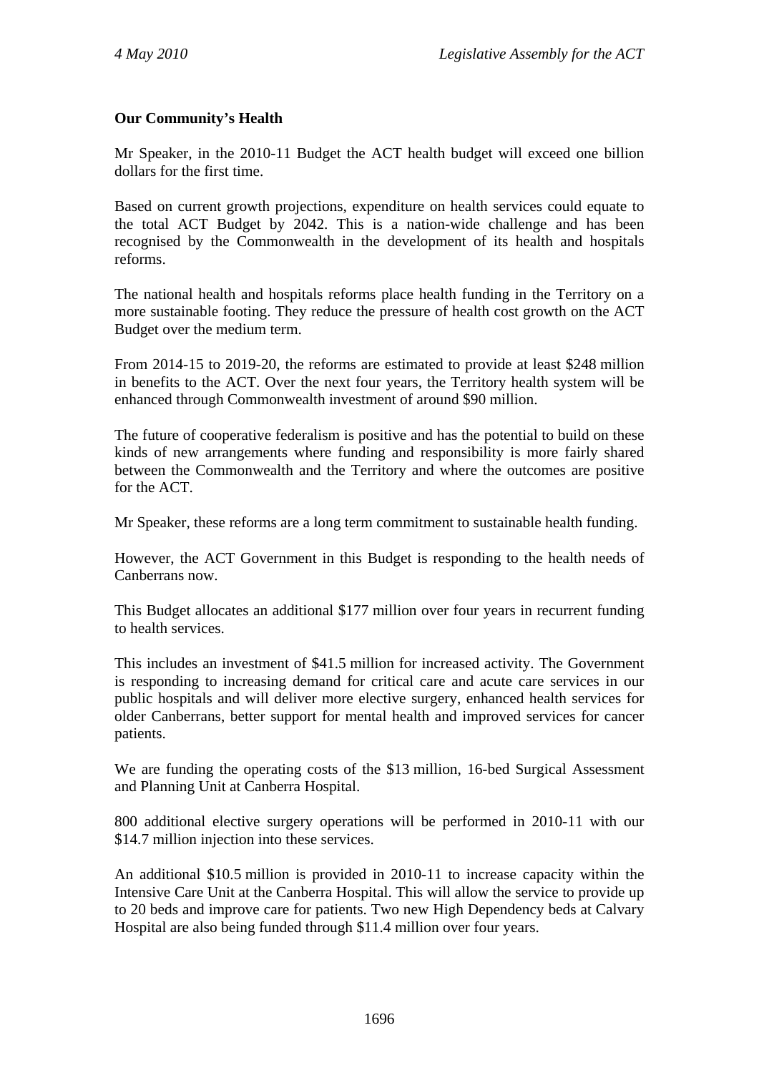## **Our Community's Health**

Mr Speaker, in the 2010-11 Budget the ACT health budget will exceed one billion dollars for the first time.

Based on current growth projections, expenditure on health services could equate to the total ACT Budget by 2042. This is a nation-wide challenge and has been recognised by the Commonwealth in the development of its health and hospitals reforms.

The national health and hospitals reforms place health funding in the Territory on a more sustainable footing. They reduce the pressure of health cost growth on the ACT Budget over the medium term.

From 2014-15 to 2019-20, the reforms are estimated to provide at least \$248 million in benefits to the ACT. Over the next four years, the Territory health system will be enhanced through Commonwealth investment of around \$90 million.

The future of cooperative federalism is positive and has the potential to build on these kinds of new arrangements where funding and responsibility is more fairly shared between the Commonwealth and the Territory and where the outcomes are positive for the ACT.

Mr Speaker, these reforms are a long term commitment to sustainable health funding.

However, the ACT Government in this Budget is responding to the health needs of Canberrans now.

This Budget allocates an additional \$177 million over four years in recurrent funding to health services.

This includes an investment of \$41.5 million for increased activity. The Government is responding to increasing demand for critical care and acute care services in our public hospitals and will deliver more elective surgery, enhanced health services for older Canberrans, better support for mental health and improved services for cancer patients.

We are funding the operating costs of the \$13 million, 16-bed Surgical Assessment and Planning Unit at Canberra Hospital.

800 additional elective surgery operations will be performed in 2010-11 with our \$14.7 million injection into these services.

An additional \$10.5 million is provided in 2010-11 to increase capacity within the Intensive Care Unit at the Canberra Hospital. This will allow the service to provide up to 20 beds and improve care for patients. Two new High Dependency beds at Calvary Hospital are also being funded through \$11.4 million over four years.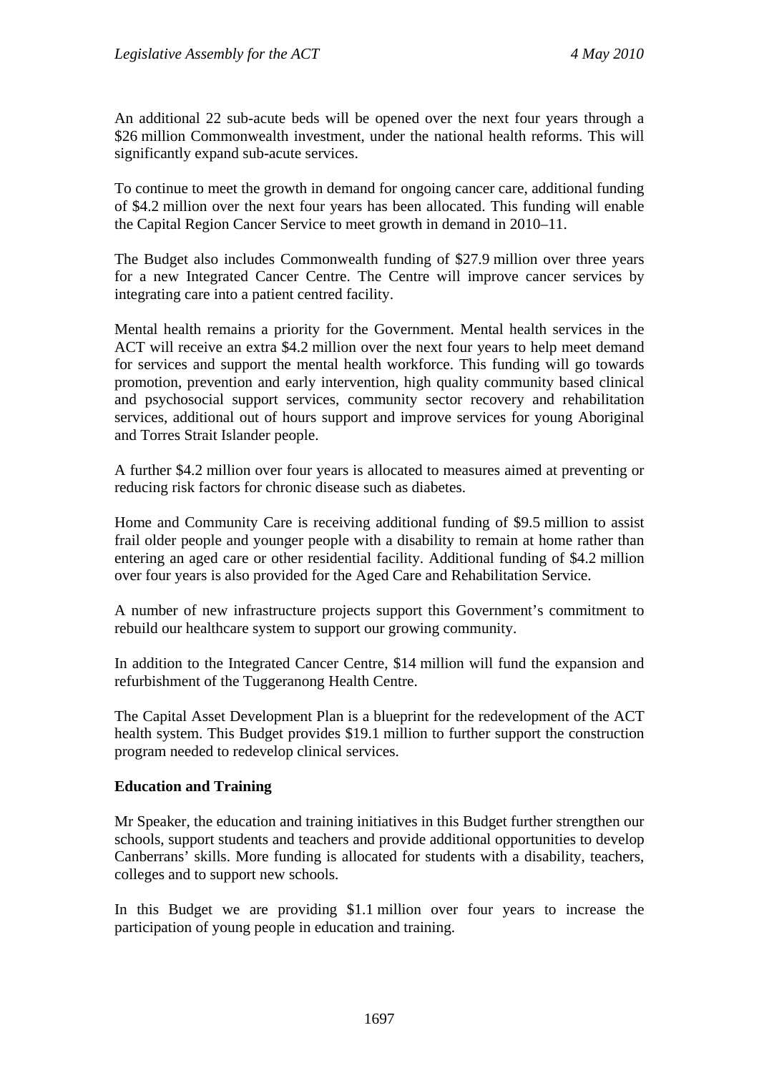An additional 22 sub-acute beds will be opened over the next four years through a \$26 million Commonwealth investment, under the national health reforms. This will significantly expand sub-acute services.

To continue to meet the growth in demand for ongoing cancer care, additional funding of \$4.2 million over the next four years has been allocated. This funding will enable the Capital Region Cancer Service to meet growth in demand in 2010–11.

The Budget also includes Commonwealth funding of \$27.9 million over three years for a new Integrated Cancer Centre. The Centre will improve cancer services by integrating care into a patient centred facility.

Mental health remains a priority for the Government. Mental health services in the ACT will receive an extra \$4.2 million over the next four years to help meet demand for services and support the mental health workforce. This funding will go towards promotion, prevention and early intervention, high quality community based clinical and psychosocial support services, community sector recovery and rehabilitation services, additional out of hours support and improve services for young Aboriginal and Torres Strait Islander people.

A further \$4.2 million over four years is allocated to measures aimed at preventing or reducing risk factors for chronic disease such as diabetes.

Home and Community Care is receiving additional funding of \$9.5 million to assist frail older people and younger people with a disability to remain at home rather than entering an aged care or other residential facility. Additional funding of \$4.2 million over four years is also provided for the Aged Care and Rehabilitation Service.

A number of new infrastructure projects support this Government's commitment to rebuild our healthcare system to support our growing community.

In addition to the Integrated Cancer Centre, \$14 million will fund the expansion and refurbishment of the Tuggeranong Health Centre.

The Capital Asset Development Plan is a blueprint for the redevelopment of the ACT health system. This Budget provides \$19.1 million to further support the construction program needed to redevelop clinical services.

#### **Education and Training**

Mr Speaker, the education and training initiatives in this Budget further strengthen our schools, support students and teachers and provide additional opportunities to develop Canberrans' skills. More funding is allocated for students with a disability, teachers, colleges and to support new schools.

In this Budget we are providing \$1.1 million over four years to increase the participation of young people in education and training.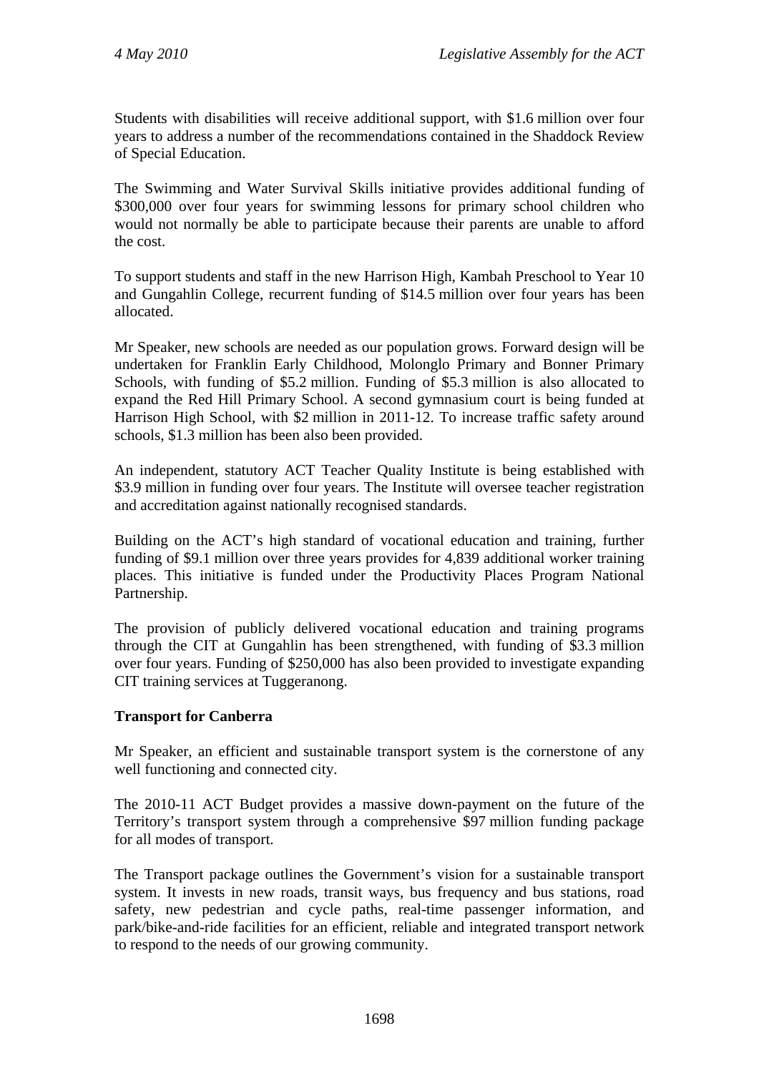Students with disabilities will receive additional support, with \$1.6 million over four years to address a number of the recommendations contained in the Shaddock Review of Special Education.

The Swimming and Water Survival Skills initiative provides additional funding of \$300,000 over four years for swimming lessons for primary school children who would not normally be able to participate because their parents are unable to afford the cost.

To support students and staff in the new Harrison High, Kambah Preschool to Year 10 and Gungahlin College, recurrent funding of \$14.5 million over four years has been allocated.

Mr Speaker, new schools are needed as our population grows. Forward design will be undertaken for Franklin Early Childhood, Molonglo Primary and Bonner Primary Schools, with funding of \$5.2 million. Funding of \$5.3 million is also allocated to expand the Red Hill Primary School. A second gymnasium court is being funded at Harrison High School, with \$2 million in 2011-12. To increase traffic safety around schools, \$1.3 million has been also been provided.

An independent, statutory ACT Teacher Quality Institute is being established with \$3.9 million in funding over four years. The Institute will oversee teacher registration and accreditation against nationally recognised standards.

Building on the ACT's high standard of vocational education and training, further funding of \$9.1 million over three years provides for 4,839 additional worker training places. This initiative is funded under the Productivity Places Program National Partnership.

The provision of publicly delivered vocational education and training programs through the CIT at Gungahlin has been strengthened, with funding of \$3.3 million over four years. Funding of \$250,000 has also been provided to investigate expanding CIT training services at Tuggeranong.

## **Transport for Canberra**

Mr Speaker, an efficient and sustainable transport system is the cornerstone of any well functioning and connected city.

The 2010-11 ACT Budget provides a massive down-payment on the future of the Territory's transport system through a comprehensive \$97 million funding package for all modes of transport.

The Transport package outlines the Government's vision for a sustainable transport system. It invests in new roads, transit ways, bus frequency and bus stations, road safety, new pedestrian and cycle paths, real-time passenger information, and park/bike-and-ride facilities for an efficient, reliable and integrated transport network to respond to the needs of our growing community.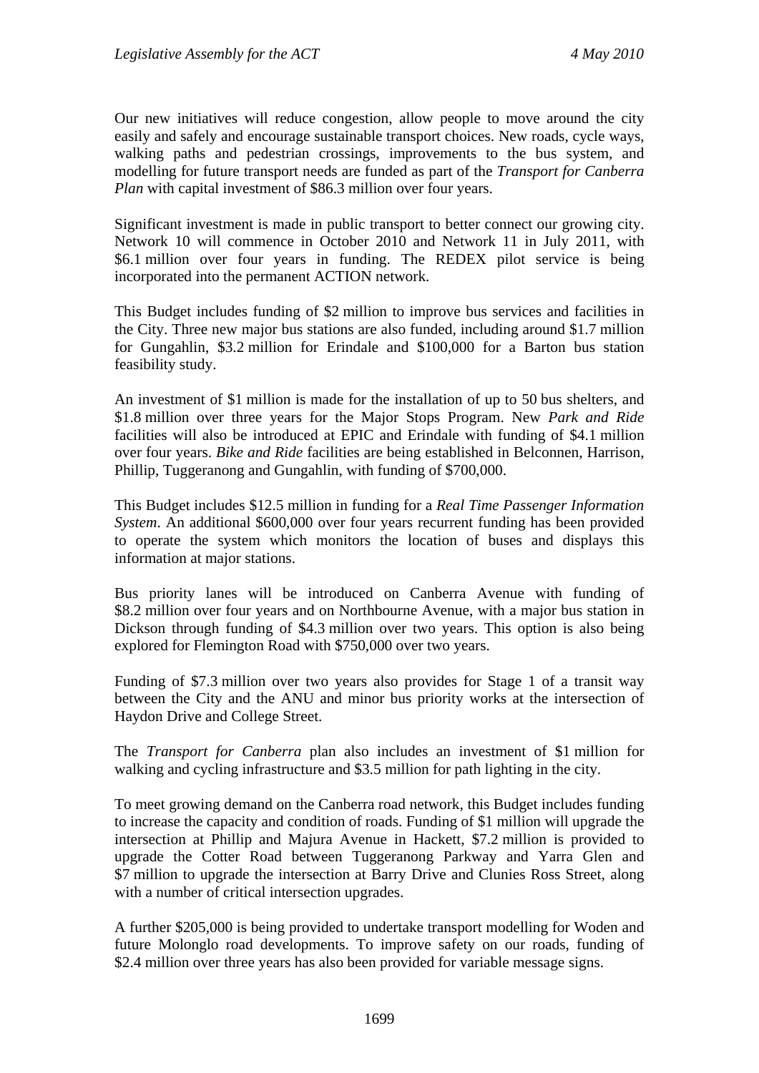Our new initiatives will reduce congestion, allow people to move around the city easily and safely and encourage sustainable transport choices. New roads, cycle ways, walking paths and pedestrian crossings, improvements to the bus system, and modelling for future transport needs are funded as part of the *Transport for Canberra Plan* with capital investment of \$86.3 million over four years.

Significant investment is made in public transport to better connect our growing city. Network 10 will commence in October 2010 and Network 11 in July 2011, with \$6.1 million over four years in funding. The REDEX pilot service is being incorporated into the permanent ACTION network.

This Budget includes funding of \$2 million to improve bus services and facilities in the City. Three new major bus stations are also funded, including around \$1.7 million for Gungahlin, \$3.2 million for Erindale and \$100,000 for a Barton bus station feasibility study.

An investment of \$1 million is made for the installation of up to 50 bus shelters, and \$1.8 million over three years for the Major Stops Program. New *Park and Ride* facilities will also be introduced at EPIC and Erindale with funding of \$4.1 million over four years. *Bike and Ride* facilities are being established in Belconnen, Harrison, Phillip, Tuggeranong and Gungahlin, with funding of \$700,000.

This Budget includes \$12.5 million in funding for a *Real Time Passenger Information System*. An additional \$600,000 over four years recurrent funding has been provided to operate the system which monitors the location of buses and displays this information at major stations.

Bus priority lanes will be introduced on Canberra Avenue with funding of \$8.2 million over four years and on Northbourne Avenue, with a major bus station in Dickson through funding of \$4.3 million over two years. This option is also being explored for Flemington Road with \$750,000 over two years.

Funding of \$7.3 million over two years also provides for Stage 1 of a transit way between the City and the ANU and minor bus priority works at the intersection of Haydon Drive and College Street.

The *Transport for Canberra* plan also includes an investment of \$1 million for walking and cycling infrastructure and \$3.5 million for path lighting in the city.

To meet growing demand on the Canberra road network, this Budget includes funding to increase the capacity and condition of roads. Funding of \$1 million will upgrade the intersection at Phillip and Majura Avenue in Hackett, \$7.2 million is provided to upgrade the Cotter Road between Tuggeranong Parkway and Yarra Glen and \$7 million to upgrade the intersection at Barry Drive and Clunies Ross Street, along with a number of critical intersection upgrades.

A further \$205,000 is being provided to undertake transport modelling for Woden and future Molonglo road developments. To improve safety on our roads, funding of \$2.4 million over three years has also been provided for variable message signs.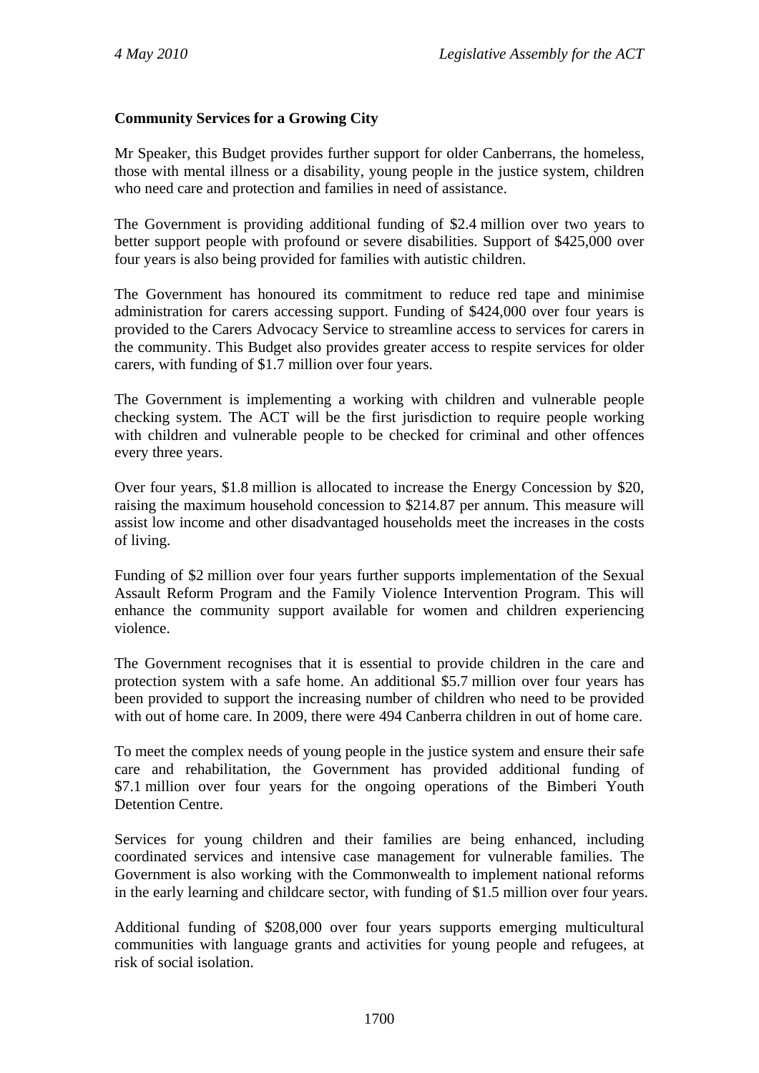## **Community Services for a Growing City**

Mr Speaker, this Budget provides further support for older Canberrans, the homeless, those with mental illness or a disability, young people in the justice system, children who need care and protection and families in need of assistance.

The Government is providing additional funding of \$2.4 million over two years to better support people with profound or severe disabilities. Support of \$425,000 over four years is also being provided for families with autistic children.

The Government has honoured its commitment to reduce red tape and minimise administration for carers accessing support. Funding of \$424,000 over four years is provided to the Carers Advocacy Service to streamline access to services for carers in the community. This Budget also provides greater access to respite services for older carers, with funding of \$1.7 million over four years.

The Government is implementing a working with children and vulnerable people checking system. The ACT will be the first jurisdiction to require people working with children and vulnerable people to be checked for criminal and other offences every three years.

Over four years, \$1.8 million is allocated to increase the Energy Concession by \$20, raising the maximum household concession to \$214.87 per annum. This measure will assist low income and other disadvantaged households meet the increases in the costs of living.

Funding of \$2 million over four years further supports implementation of the Sexual Assault Reform Program and the Family Violence Intervention Program. This will enhance the community support available for women and children experiencing violence.

The Government recognises that it is essential to provide children in the care and protection system with a safe home. An additional \$5.7 million over four years has been provided to support the increasing number of children who need to be provided with out of home care. In 2009, there were 494 Canberra children in out of home care.

To meet the complex needs of young people in the justice system and ensure their safe care and rehabilitation, the Government has provided additional funding of \$7.1 million over four years for the ongoing operations of the Bimberi Youth Detention Centre.

Services for young children and their families are being enhanced, including coordinated services and intensive case management for vulnerable families. The Government is also working with the Commonwealth to implement national reforms in the early learning and childcare sector, with funding of \$1.5 million over four years.

Additional funding of \$208,000 over four years supports emerging multicultural communities with language grants and activities for young people and refugees, at risk of social isolation.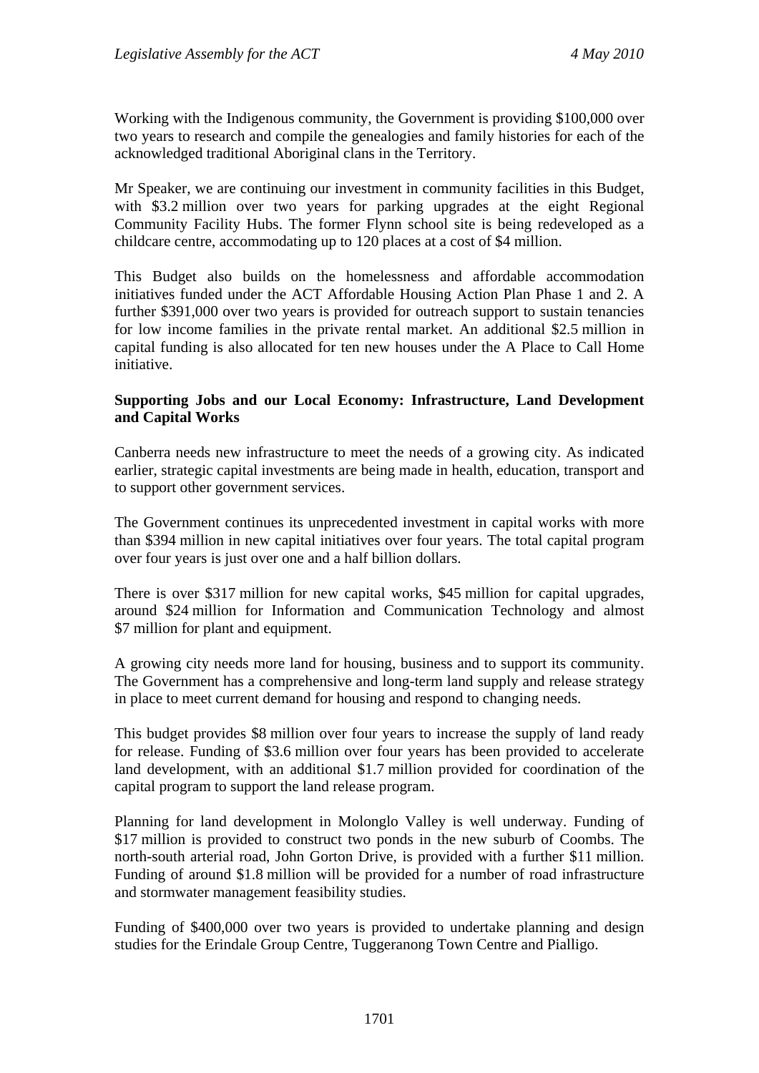Working with the Indigenous community, the Government is providing \$100,000 over two years to research and compile the genealogies and family histories for each of the acknowledged traditional Aboriginal clans in the Territory.

Mr Speaker, we are continuing our investment in community facilities in this Budget, with \$3.2 million over two years for parking upgrades at the eight Regional Community Facility Hubs. The former Flynn school site is being redeveloped as a childcare centre, accommodating up to 120 places at a cost of \$4 million.

This Budget also builds on the homelessness and affordable accommodation initiatives funded under the ACT Affordable Housing Action Plan Phase 1 and 2. A further \$391,000 over two years is provided for outreach support to sustain tenancies for low income families in the private rental market. An additional \$2.5 million in capital funding is also allocated for ten new houses under the A Place to Call Home initiative.

#### **Supporting Jobs and our Local Economy: Infrastructure, Land Development and Capital Works**

Canberra needs new infrastructure to meet the needs of a growing city. As indicated earlier, strategic capital investments are being made in health, education, transport and to support other government services.

The Government continues its unprecedented investment in capital works with more than \$394 million in new capital initiatives over four years. The total capital program over four years is just over one and a half billion dollars.

There is over \$317 million for new capital works, \$45 million for capital upgrades, around \$24 million for Information and Communication Technology and almost \$7 million for plant and equipment.

A growing city needs more land for housing, business and to support its community. The Government has a comprehensive and long-term land supply and release strategy in place to meet current demand for housing and respond to changing needs.

This budget provides \$8 million over four years to increase the supply of land ready for release. Funding of \$3.6 million over four years has been provided to accelerate land development, with an additional \$1.7 million provided for coordination of the capital program to support the land release program.

Planning for land development in Molonglo Valley is well underway. Funding of \$17 million is provided to construct two ponds in the new suburb of Coombs. The north-south arterial road, John Gorton Drive, is provided with a further \$11 million. Funding of around \$1.8 million will be provided for a number of road infrastructure and stormwater management feasibility studies.

Funding of \$400,000 over two years is provided to undertake planning and design studies for the Erindale Group Centre, Tuggeranong Town Centre and Pialligo.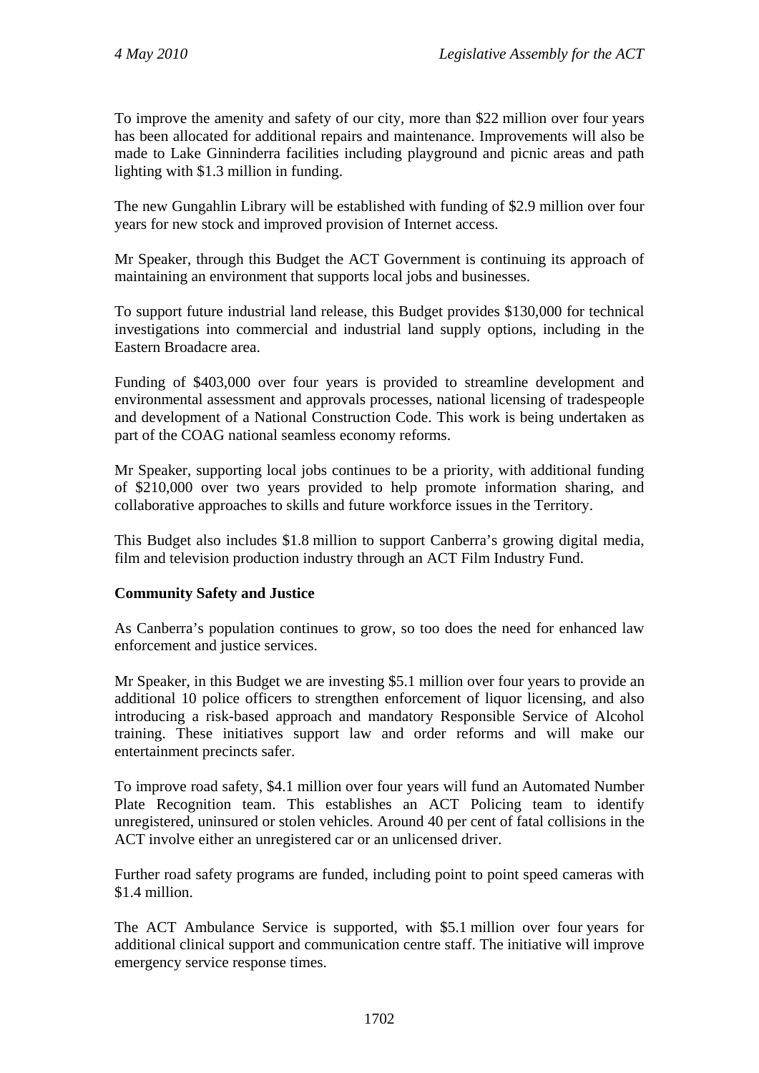To improve the amenity and safety of our city, more than \$22 million over four years has been allocated for additional repairs and maintenance. Improvements will also be made to Lake Ginninderra facilities including playground and picnic areas and path lighting with \$1.3 million in funding.

The new Gungahlin Library will be established with funding of \$2.9 million over four years for new stock and improved provision of Internet access.

Mr Speaker, through this Budget the ACT Government is continuing its approach of maintaining an environment that supports local jobs and businesses.

To support future industrial land release, this Budget provides \$130,000 for technical investigations into commercial and industrial land supply options, including in the Eastern Broadacre area.

Funding of \$403,000 over four years is provided to streamline development and environmental assessment and approvals processes, national licensing of tradespeople and development of a National Construction Code. This work is being undertaken as part of the COAG national seamless economy reforms.

Mr Speaker, supporting local jobs continues to be a priority, with additional funding of \$210,000 over two years provided to help promote information sharing, and collaborative approaches to skills and future workforce issues in the Territory.

This Budget also includes \$1.8 million to support Canberra's growing digital media, film and television production industry through an ACT Film Industry Fund.

## **Community Safety and Justice**

As Canberra's population continues to grow, so too does the need for enhanced law enforcement and justice services.

Mr Speaker, in this Budget we are investing \$5.1 million over four years to provide an additional 10 police officers to strengthen enforcement of liquor licensing, and also introducing a risk-based approach and mandatory Responsible Service of Alcohol training. These initiatives support law and order reforms and will make our entertainment precincts safer.

To improve road safety, \$4.1 million over four years will fund an Automated Number Plate Recognition team. This establishes an ACT Policing team to identify unregistered, uninsured or stolen vehicles. Around 40 per cent of fatal collisions in the ACT involve either an unregistered car or an unlicensed driver.

Further road safety programs are funded, including point to point speed cameras with \$1.4 million.

The ACT Ambulance Service is supported, with \$5.1 million over four years for additional clinical support and communication centre staff. The initiative will improve emergency service response times.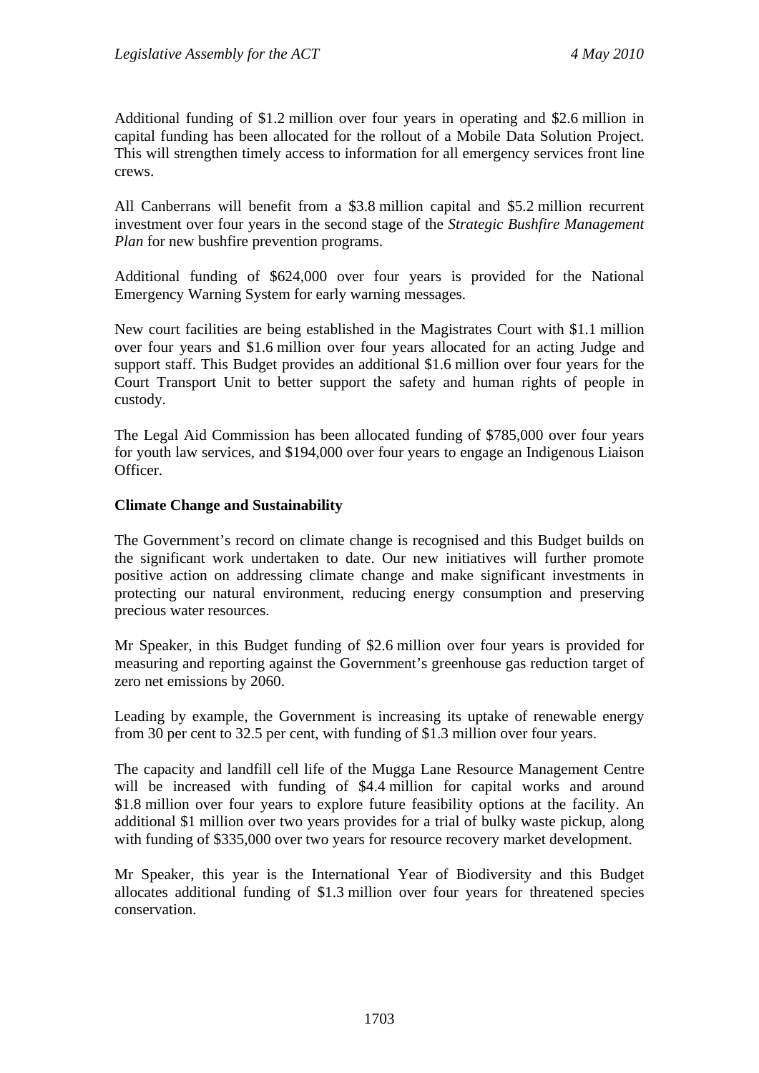Additional funding of \$1.2 million over four years in operating and \$2.6 million in capital funding has been allocated for the rollout of a Mobile Data Solution Project. This will strengthen timely access to information for all emergency services front line crews.

All Canberrans will benefit from a \$3.8 million capital and \$5.2 million recurrent investment over four years in the second stage of the *Strategic Bushfire Management Plan* for new bushfire prevention programs.

Additional funding of \$624,000 over four years is provided for the National Emergency Warning System for early warning messages.

New court facilities are being established in the Magistrates Court with \$1.1 million over four years and \$1.6 million over four years allocated for an acting Judge and support staff. This Budget provides an additional \$1.6 million over four years for the Court Transport Unit to better support the safety and human rights of people in custody.

The Legal Aid Commission has been allocated funding of \$785,000 over four years for youth law services, and \$194,000 over four years to engage an Indigenous Liaison Officer.

#### **Climate Change and Sustainability**

The Government's record on climate change is recognised and this Budget builds on the significant work undertaken to date. Our new initiatives will further promote positive action on addressing climate change and make significant investments in protecting our natural environment, reducing energy consumption and preserving precious water resources.

Mr Speaker, in this Budget funding of \$2.6 million over four years is provided for measuring and reporting against the Government's greenhouse gas reduction target of zero net emissions by 2060.

Leading by example, the Government is increasing its uptake of renewable energy from 30 per cent to 32.5 per cent, with funding of \$1.3 million over four years.

The capacity and landfill cell life of the Mugga Lane Resource Management Centre will be increased with funding of \$4.4 million for capital works and around \$1.8 million over four years to explore future feasibility options at the facility. An additional \$1 million over two years provides for a trial of bulky waste pickup, along with funding of \$335,000 over two years for resource recovery market development.

Mr Speaker, this year is the International Year of Biodiversity and this Budget allocates additional funding of \$1.3 million over four years for threatened species conservation.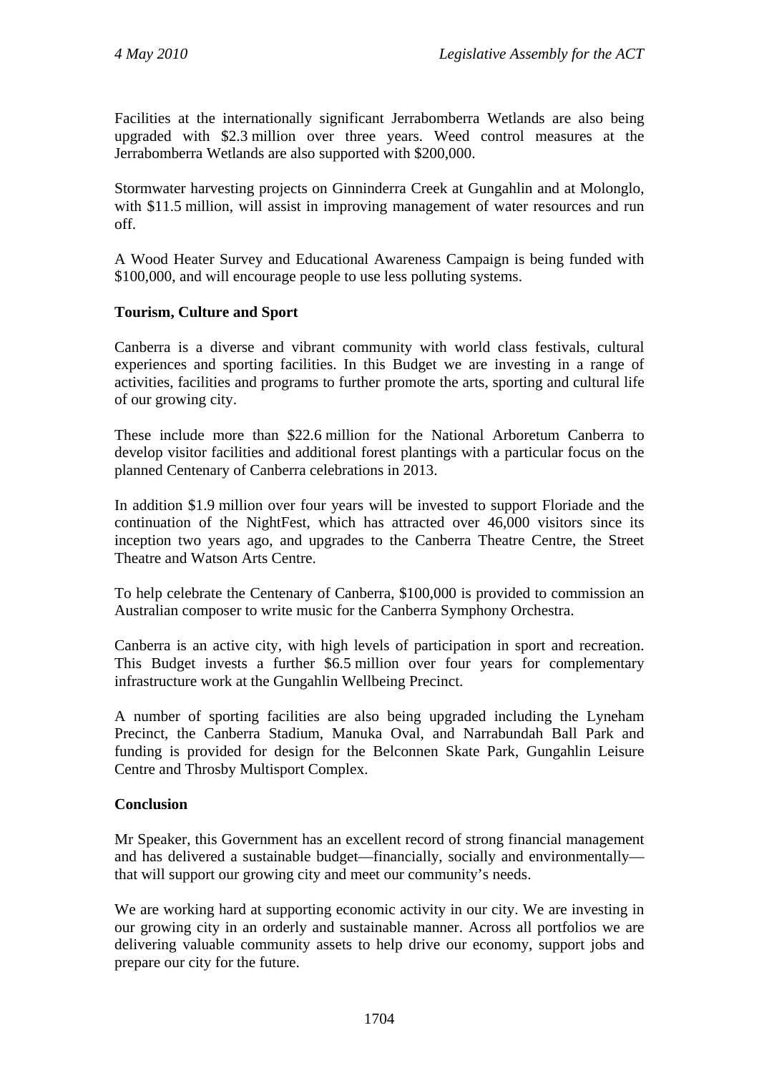Facilities at the internationally significant Jerrabomberra Wetlands are also being upgraded with \$2.3 million over three years. Weed control measures at the Jerrabomberra Wetlands are also supported with \$200,000.

Stormwater harvesting projects on Ginninderra Creek at Gungahlin and at Molonglo, with \$11.5 million, will assist in improving management of water resources and run off.

A Wood Heater Survey and Educational Awareness Campaign is being funded with \$100,000, and will encourage people to use less polluting systems.

## **Tourism, Culture and Sport**

Canberra is a diverse and vibrant community with world class festivals, cultural experiences and sporting facilities. In this Budget we are investing in a range of activities, facilities and programs to further promote the arts, sporting and cultural life of our growing city.

These include more than \$22.6 million for the National Arboretum Canberra to develop visitor facilities and additional forest plantings with a particular focus on the planned Centenary of Canberra celebrations in 2013.

In addition \$1.9 million over four years will be invested to support Floriade and the continuation of the NightFest, which has attracted over 46,000 visitors since its inception two years ago, and upgrades to the Canberra Theatre Centre, the Street Theatre and Watson Arts Centre.

To help celebrate the Centenary of Canberra, \$100,000 is provided to commission an Australian composer to write music for the Canberra Symphony Orchestra.

Canberra is an active city, with high levels of participation in sport and recreation. This Budget invests a further \$6.5 million over four years for complementary infrastructure work at the Gungahlin Wellbeing Precinct.

A number of sporting facilities are also being upgraded including the Lyneham Precinct, the Canberra Stadium, Manuka Oval, and Narrabundah Ball Park and funding is provided for design for the Belconnen Skate Park, Gungahlin Leisure Centre and Throsby Multisport Complex.

## **Conclusion**

Mr Speaker, this Government has an excellent record of strong financial management and has delivered a sustainable budget—financially, socially and environmentally that will support our growing city and meet our community's needs.

We are working hard at supporting economic activity in our city. We are investing in our growing city in an orderly and sustainable manner. Across all portfolios we are delivering valuable community assets to help drive our economy, support jobs and prepare our city for the future.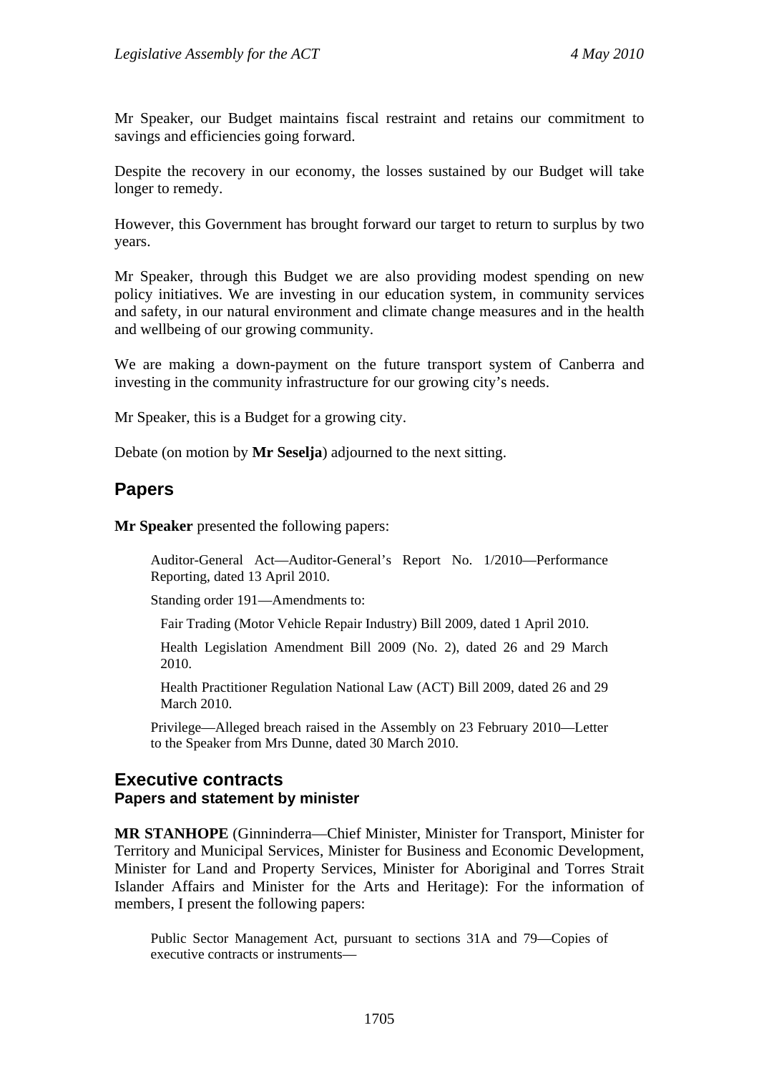Mr Speaker, our Budget maintains fiscal restraint and retains our commitment to savings and efficiencies going forward.

Despite the recovery in our economy, the losses sustained by our Budget will take longer to remedy.

However, this Government has brought forward our target to return to surplus by two years.

Mr Speaker, through this Budget we are also providing modest spending on new policy initiatives. We are investing in our education system, in community services and safety, in our natural environment and climate change measures and in the health and wellbeing of our growing community.

We are making a down-payment on the future transport system of Canberra and investing in the community infrastructure for our growing city's needs.

Mr Speaker, this is a Budget for a growing city.

Debate (on motion by **Mr Seselja**) adjourned to the next sitting.

## **Papers**

**Mr Speaker** presented the following papers:

Auditor-General Act—Auditor-General's Report No. 1/2010—Performance Reporting, dated 13 April 2010.

Standing order 191—Amendments to:

Fair Trading (Motor Vehicle Repair Industry) Bill 2009, dated 1 April 2010.

Health Legislation Amendment Bill 2009 (No. 2), dated 26 and 29 March 2010.

Health Practitioner Regulation National Law (ACT) Bill 2009, dated 26 and 29 March 2010.

Privilege—Alleged breach raised in the Assembly on 23 February 2010—Letter to the Speaker from Mrs Dunne, dated 30 March 2010.

## **Executive contracts Papers and statement by minister**

**MR STANHOPE** (Ginninderra—Chief Minister, Minister for Transport, Minister for Territory and Municipal Services, Minister for Business and Economic Development, Minister for Land and Property Services, Minister for Aboriginal and Torres Strait Islander Affairs and Minister for the Arts and Heritage): For the information of members, I present the following papers:

Public Sector Management Act, pursuant to sections 31A and 79—Copies of executive contracts or instruments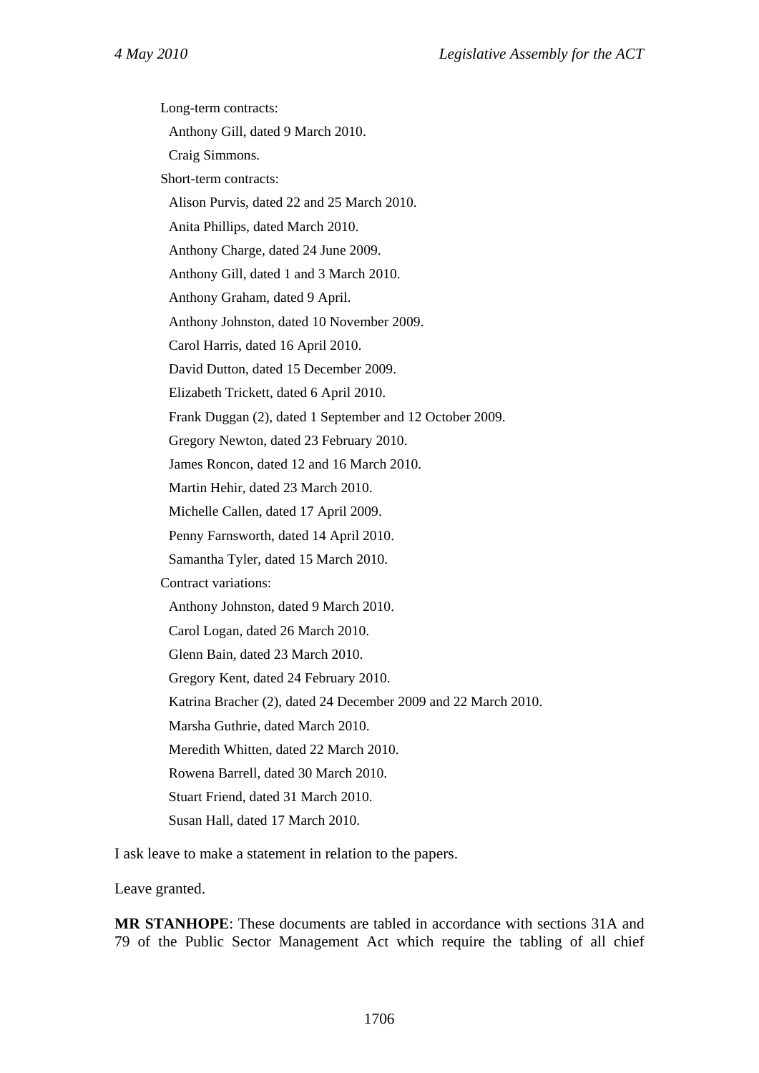Long-term contracts: Anthony Gill, dated 9 March 2010. Craig Simmons. Short-term contracts: Alison Purvis, dated 22 and 25 March 2010. Anita Phillips, dated March 2010. Anthony Charge, dated 24 June 2009. Anthony Gill, dated 1 and 3 March 2010. Anthony Graham, dated 9 April. Anthony Johnston, dated 10 November 2009. Carol Harris, dated 16 April 2010. David Dutton, dated 15 December 2009. Elizabeth Trickett, dated 6 April 2010. Frank Duggan (2), dated 1 September and 12 October 2009. Gregory Newton, dated 23 February 2010. James Roncon, dated 12 and 16 March 2010. Martin Hehir, dated 23 March 2010. Michelle Callen, dated 17 April 2009. Penny Farnsworth, dated 14 April 2010. Samantha Tyler, dated 15 March 2010. Contract variations: Anthony Johnston, dated 9 March 2010. Carol Logan, dated 26 March 2010. Glenn Bain, dated 23 March 2010. Gregory Kent, dated 24 February 2010. Katrina Bracher (2), dated 24 December 2009 and 22 March 2010. Marsha Guthrie, dated March 2010. Meredith Whitten, dated 22 March 2010. Rowena Barrell, dated 30 March 2010. Stuart Friend, dated 31 March 2010. Susan Hall, dated 17 March 2010.

I ask leave to make a statement in relation to the papers.

Leave granted.

**MR STANHOPE**: These documents are tabled in accordance with sections 31A and 79 of the Public Sector Management Act which require the tabling of all chief